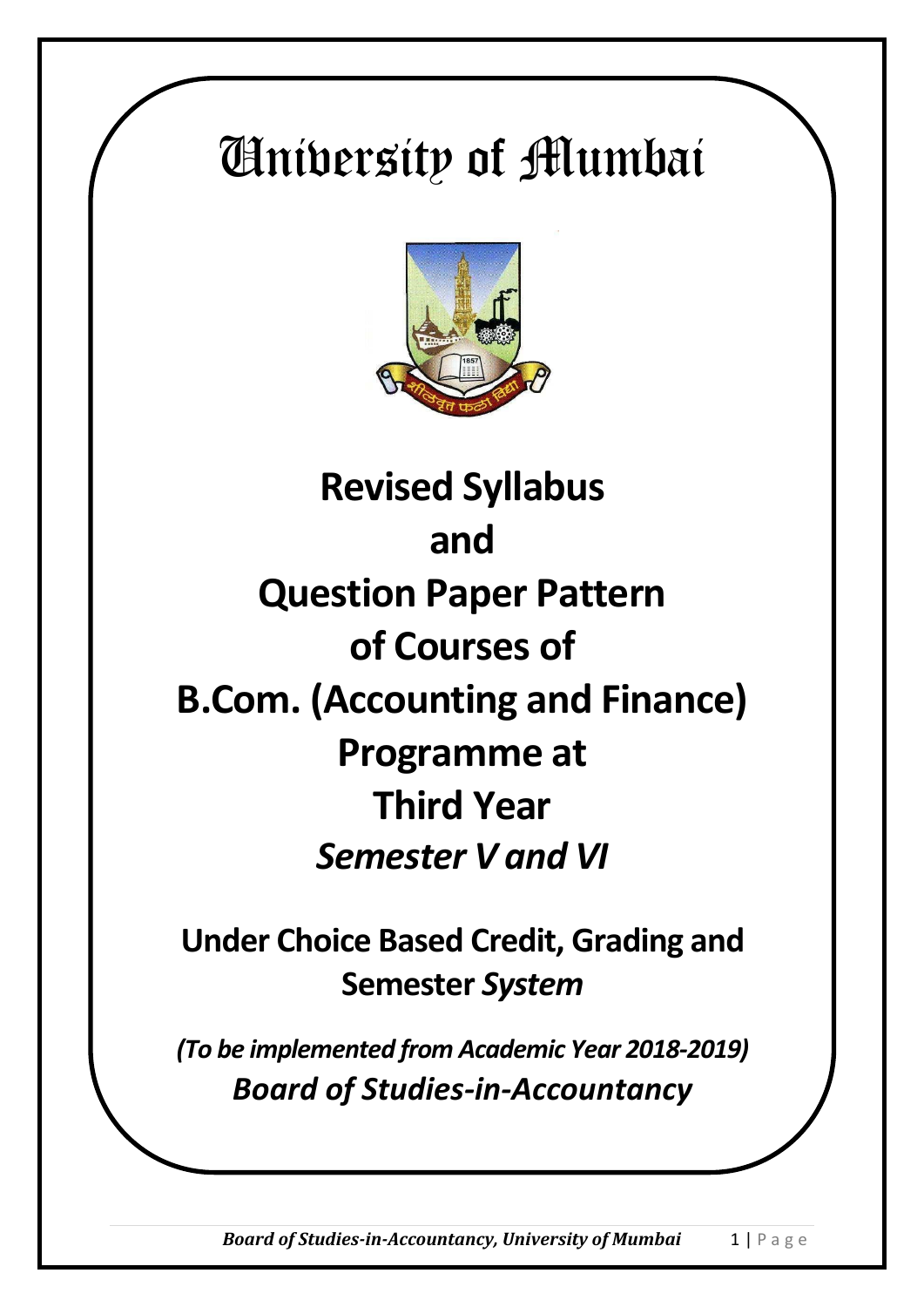# University of Mumbai



# **Revised Syllabus and Question Paper Pattern of Courses of B.Com. (Accounting and Finance) Programme at Third Year**  *Semester V and VI*

**Under Choice Based Credit, Grading and Semester** *System*

*(To be implemented from Academic Year 2018-2019) Board of Studies-in-Accountancy*

*Board of Studies-in-Accountancy, University of Mumbai* 1 | P a g e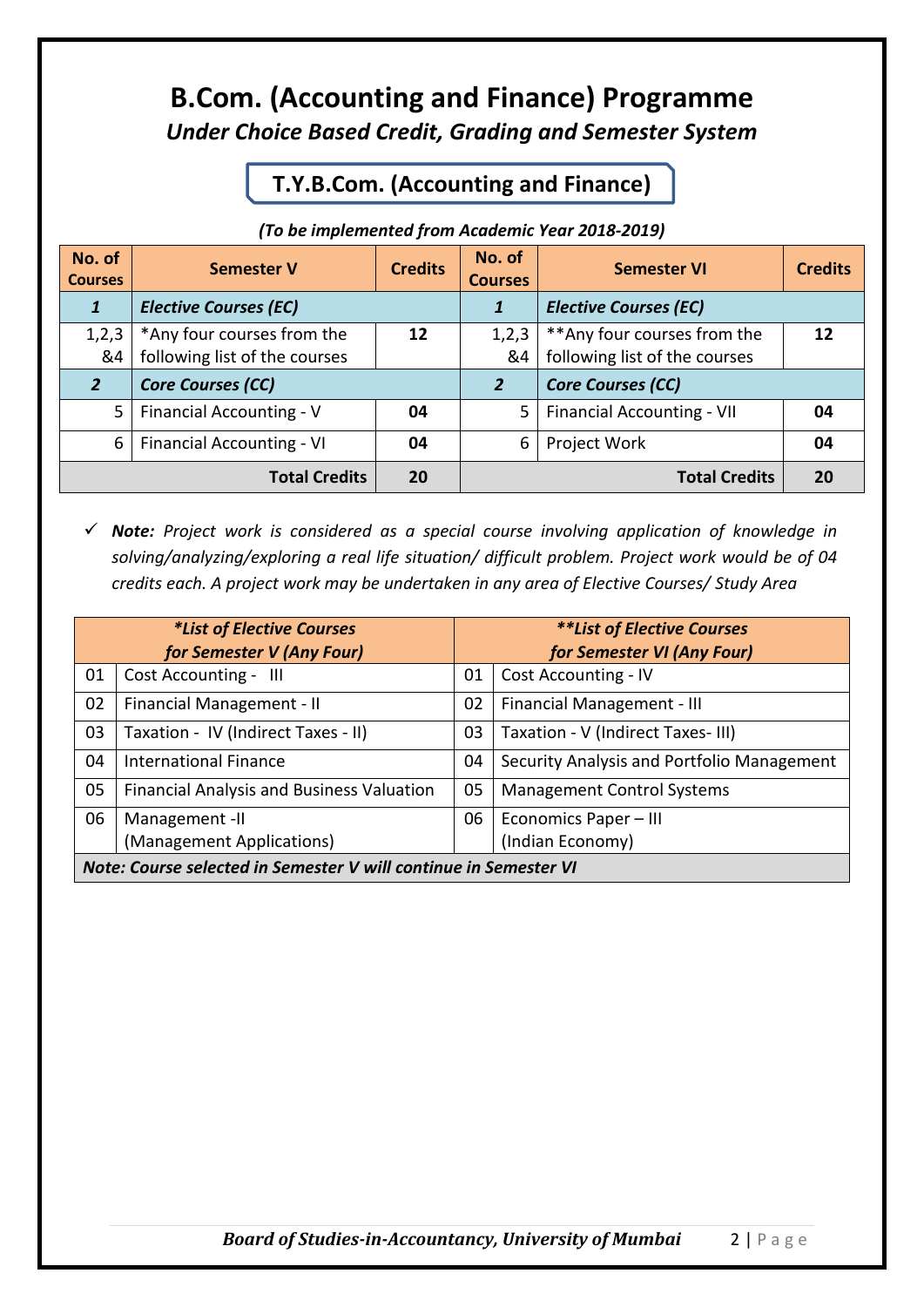## **B.Com. (Accounting and Finance) Programme** *Under Choice Based Credit, Grading and Semester System*

#### **T.Y.B.Com. (Accounting and Finance)**

#### *(To be implemented from Academic Year 2018-2019)*

| No. of<br><b>Courses</b>                   | <b>Semester V</b>                                           | <b>Credits</b> | No. of<br><b>Courses</b> | <b>Semester VI</b>                                            | <b>Credits</b> |
|--------------------------------------------|-------------------------------------------------------------|----------------|--------------------------|---------------------------------------------------------------|----------------|
| 1                                          | <b>Elective Courses (EC)</b>                                |                | 1                        | <b>Elective Courses (EC)</b>                                  |                |
| 1,2,3<br>&4                                | *Any four courses from the<br>following list of the courses | 12             | 1,2,3<br>&4              | ** Any four courses from the<br>following list of the courses | 12             |
| <b>Core Courses (CC)</b><br>$\overline{2}$ |                                                             | $\overline{2}$ | <b>Core Courses (CC)</b> |                                                               |                |
| 5                                          | Financial Accounting - V                                    | 04             | 5                        | <b>Financial Accounting - VII</b>                             | 04             |
| 6                                          | <b>Financial Accounting - VI</b>                            | 04             | 6                        | Project Work                                                  | 04             |
| <b>Total Credits</b>                       |                                                             | <b>20</b>      |                          | <b>Total Credits</b>                                          | 20             |

 *Note: Project work is considered as a special course involving application of knowledge in solving/analyzing/exploring a real life situation/ difficult problem. Project work would be of 04 credits each. A project work may be undertaken in any area of Elective Courses/ Study Area*

| <i>*List of Elective Courses</i><br>for Semester V (Any Four)    |                                                  | **List of Elective Courses<br>for Semester VI (Any Four) |                                            |
|------------------------------------------------------------------|--------------------------------------------------|----------------------------------------------------------|--------------------------------------------|
|                                                                  |                                                  |                                                          |                                            |
| 01                                                               | Cost Accounting - III                            | 01                                                       | <b>Cost Accounting - IV</b>                |
| 02                                                               | Financial Management - II                        | 02                                                       | Financial Management - III                 |
| 03                                                               | Taxation - IV (Indirect Taxes - II)              | 03                                                       | Taxation - V (Indirect Taxes-III)          |
| 04                                                               | <b>International Finance</b>                     | 04                                                       | Security Analysis and Portfolio Management |
| 05                                                               | <b>Financial Analysis and Business Valuation</b> | 05                                                       | <b>Management Control Systems</b>          |
| 06                                                               | Management -II                                   | 06                                                       | Economics Paper - III                      |
|                                                                  | (Management Applications)                        |                                                          | (Indian Economy)                           |
| Note: Course selected in Semester V will continue in Semester VI |                                                  |                                                          |                                            |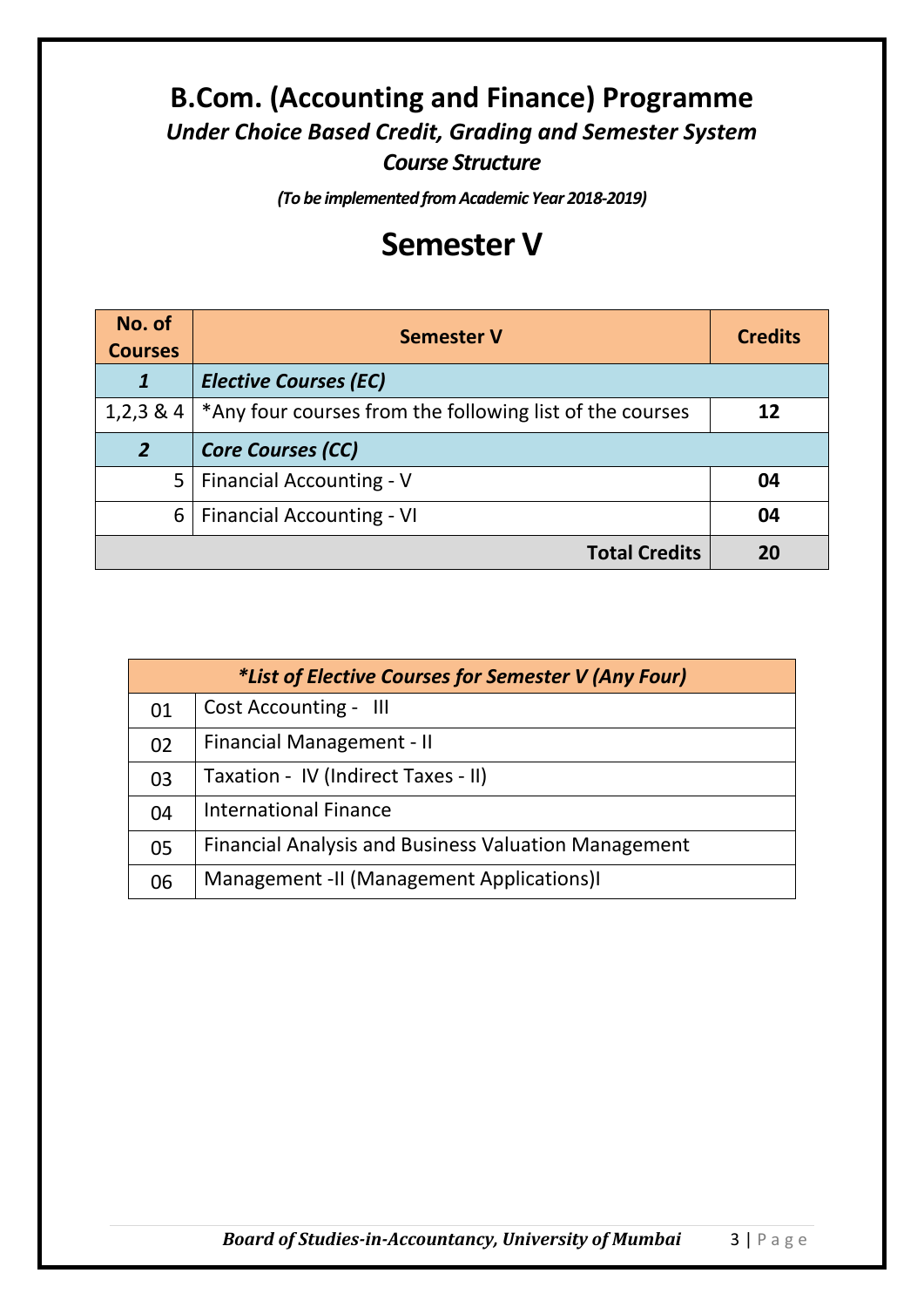## **B.Com. (Accounting and Finance) Programme** *Under Choice Based Credit, Grading and Semester System Course Structure*

*(To be implemented from Academic Year 2018-2019)*

# **Semester V**

| No. of<br><b>Semester V</b><br><b>Courses</b> |                                                          | <b>Credits</b> |
|-----------------------------------------------|----------------------------------------------------------|----------------|
|                                               | <b>Elective Courses (EC)</b>                             |                |
| $1,2,3 \& 4$                                  | *Any four courses from the following list of the courses | 12             |
| $\overline{2}$                                | <b>Core Courses (CC)</b>                                 |                |
| 5                                             | <b>Financial Accounting - V</b>                          | 04             |
| 6                                             | <b>Financial Accounting - VI</b>                         | 04             |
| <b>Total Credits</b>                          |                                                          | 20             |

| <i>*List of Elective Courses for Semester V (Any Four)</i> |                                                             |  |
|------------------------------------------------------------|-------------------------------------------------------------|--|
| 01                                                         | <b>Cost Accounting - III</b>                                |  |
| 02                                                         | Financial Management - II                                   |  |
| 03                                                         | Taxation - IV (Indirect Taxes - II)                         |  |
| 04                                                         | <b>International Finance</b>                                |  |
| 05                                                         | <b>Financial Analysis and Business Valuation Management</b> |  |
| 06                                                         | Management - II (Management Applications) I                 |  |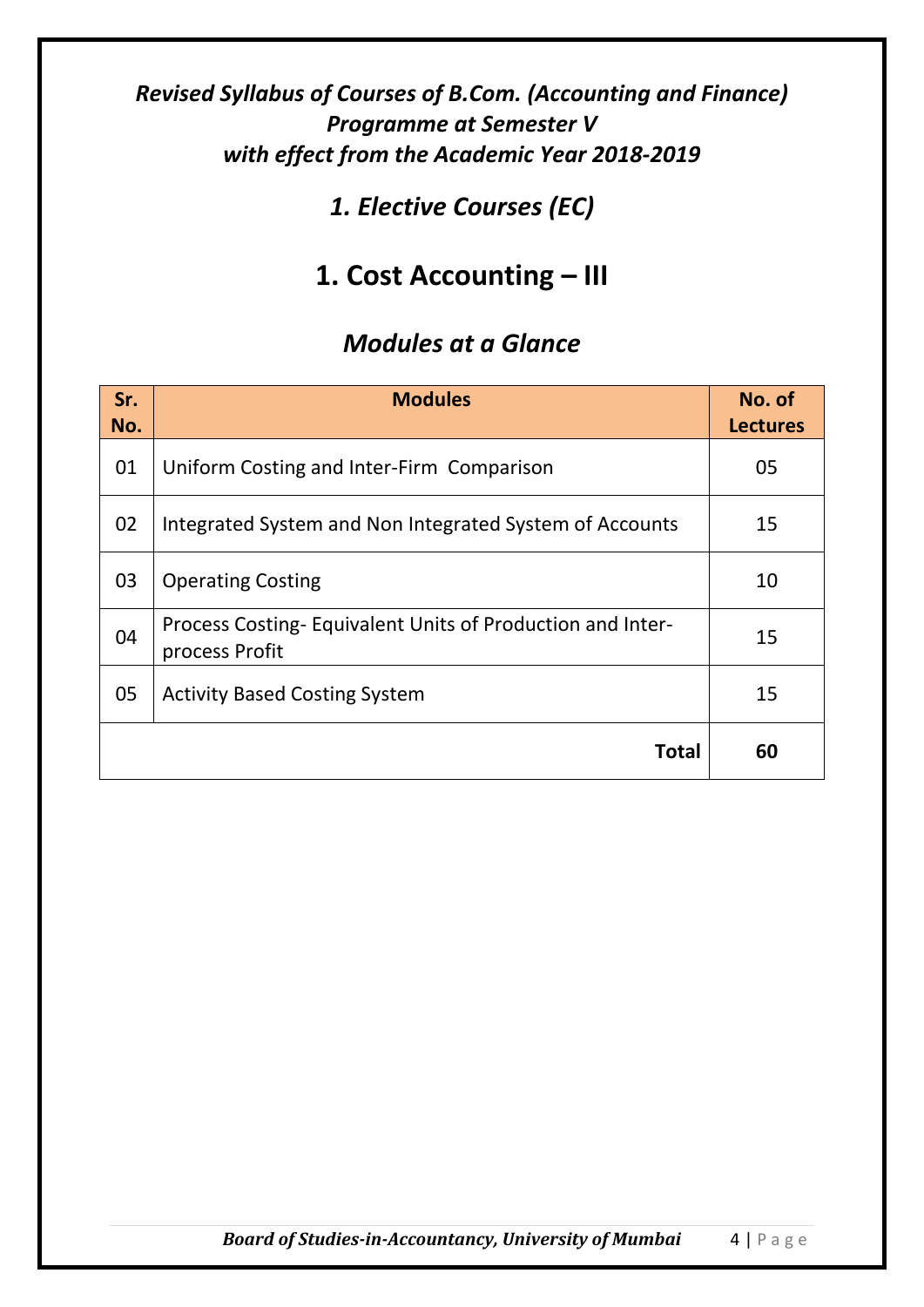## *1. Elective Courses (EC)*

# **1. Cost Accounting – III**

| Sr.<br>No. | <b>Modules</b>                                                              | No. of<br><b>Lectures</b> |
|------------|-----------------------------------------------------------------------------|---------------------------|
| 01         | Uniform Costing and Inter-Firm Comparison                                   | 05                        |
| 02         | Integrated System and Non Integrated System of Accounts                     | 15                        |
| 03         | <b>Operating Costing</b>                                                    | 10                        |
| 04         | Process Costing-Equivalent Units of Production and Inter-<br>process Profit | 15                        |
| 05         | <b>Activity Based Costing System</b>                                        | 15                        |
|            | Total                                                                       | 60                        |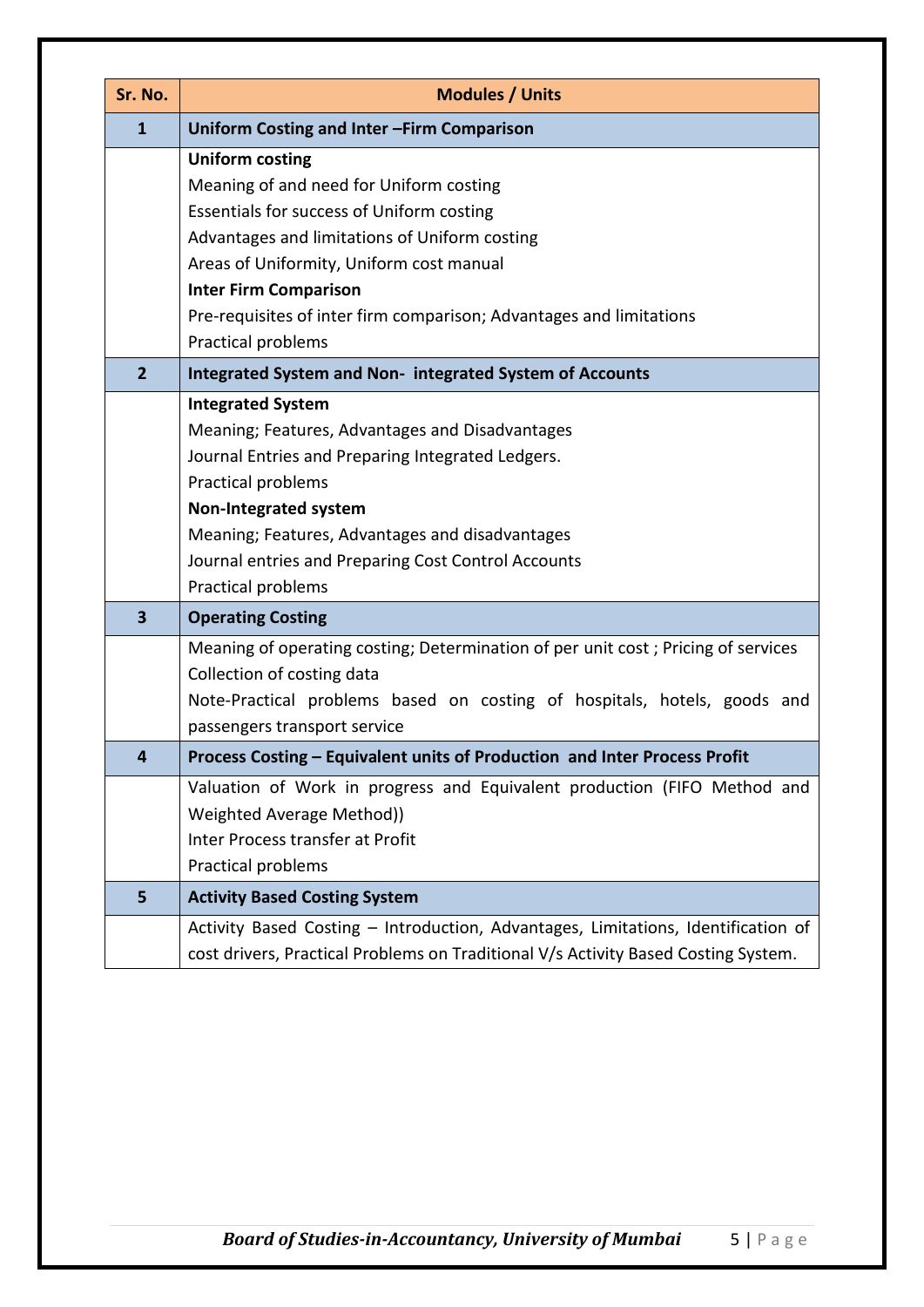| Sr. No.                 | <b>Modules / Units</b>                                                                                                                                                                                                                                                                                                 |
|-------------------------|------------------------------------------------------------------------------------------------------------------------------------------------------------------------------------------------------------------------------------------------------------------------------------------------------------------------|
| $\mathbf{1}$            | Uniform Costing and Inter-Firm Comparison                                                                                                                                                                                                                                                                              |
|                         | <b>Uniform costing</b><br>Meaning of and need for Uniform costing<br>Essentials for success of Uniform costing<br>Advantages and limitations of Uniform costing<br>Areas of Uniformity, Uniform cost manual<br><b>Inter Firm Comparison</b><br>Pre-requisites of inter firm comparison; Advantages and limitations     |
|                         | Practical problems                                                                                                                                                                                                                                                                                                     |
| $\overline{2}$          | Integrated System and Non- integrated System of Accounts                                                                                                                                                                                                                                                               |
|                         | <b>Integrated System</b><br>Meaning; Features, Advantages and Disadvantages<br>Journal Entries and Preparing Integrated Ledgers.<br>Practical problems<br><b>Non-Integrated system</b><br>Meaning; Features, Advantages and disadvantages<br>Journal entries and Preparing Cost Control Accounts<br>Practical problems |
| $\overline{\mathbf{3}}$ | <b>Operating Costing</b>                                                                                                                                                                                                                                                                                               |
|                         | Meaning of operating costing; Determination of per unit cost; Pricing of services<br>Collection of costing data<br>Note-Practical problems based on costing of hospitals, hotels, goods and<br>passengers transport service                                                                                            |
| 4                       | Process Costing - Equivalent units of Production and Inter Process Profit                                                                                                                                                                                                                                              |
|                         | Valuation of Work in progress and Equivalent production (FIFO Method and<br>Weighted Average Method))<br>Inter Process transfer at Profit<br>Practical problems                                                                                                                                                        |
| 5                       | <b>Activity Based Costing System</b>                                                                                                                                                                                                                                                                                   |
|                         | Activity Based Costing - Introduction, Advantages, Limitations, Identification of<br>cost drivers, Practical Problems on Traditional V/s Activity Based Costing System.                                                                                                                                                |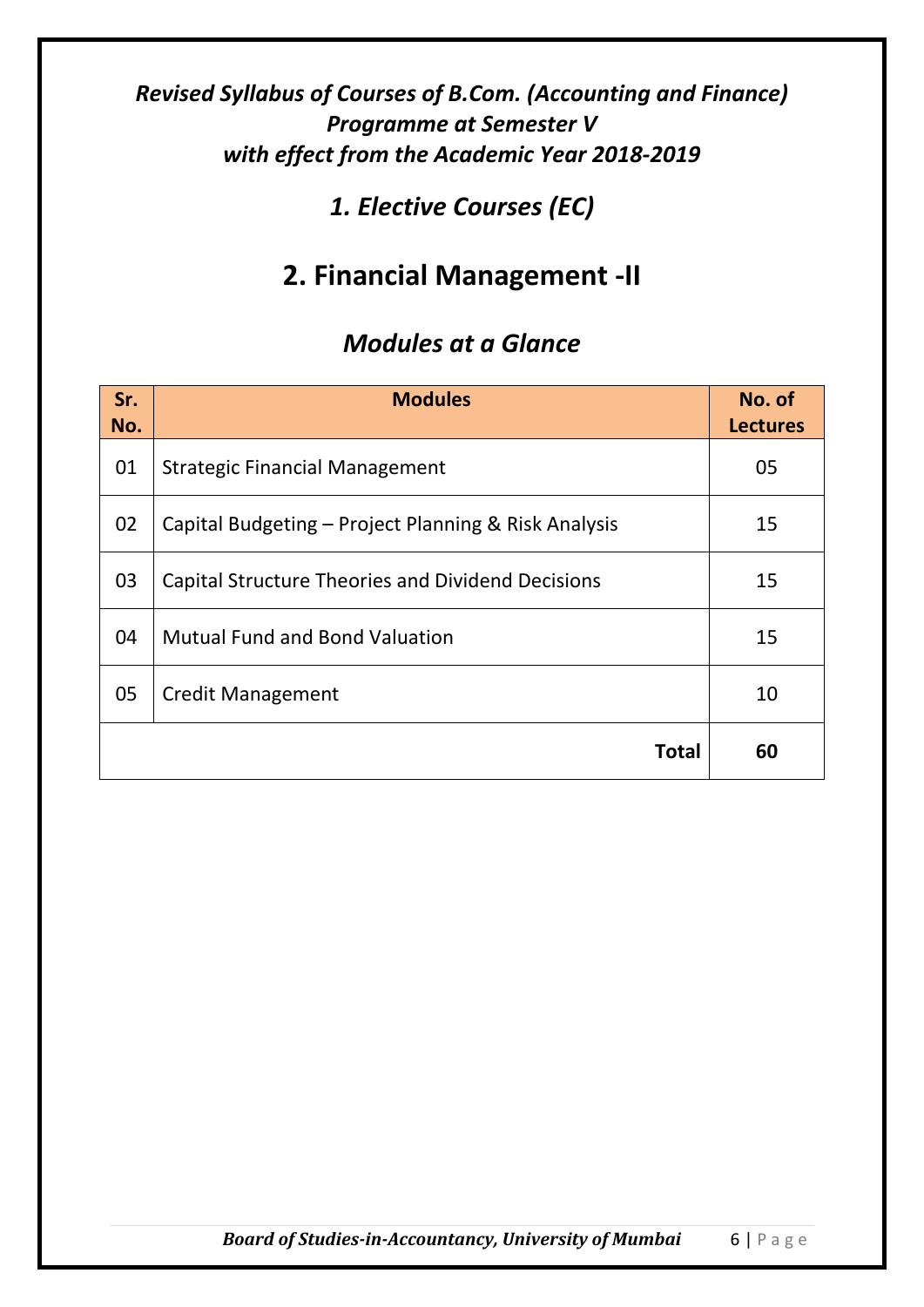## *1. Elective Courses (EC)*

# **2. Financial Management -II**

| Sr.<br>No. | <b>Modules</b>                                           | No. of<br><b>Lectures</b> |
|------------|----------------------------------------------------------|---------------------------|
| 01         | <b>Strategic Financial Management</b>                    | 05                        |
| 02         | Capital Budgeting – Project Planning & Risk Analysis     | 15                        |
| 03         | <b>Capital Structure Theories and Dividend Decisions</b> | 15                        |
| 04         | <b>Mutual Fund and Bond Valuation</b>                    | 15                        |
| 05         | <b>Credit Management</b>                                 | 10                        |
|            | Total                                                    | 60                        |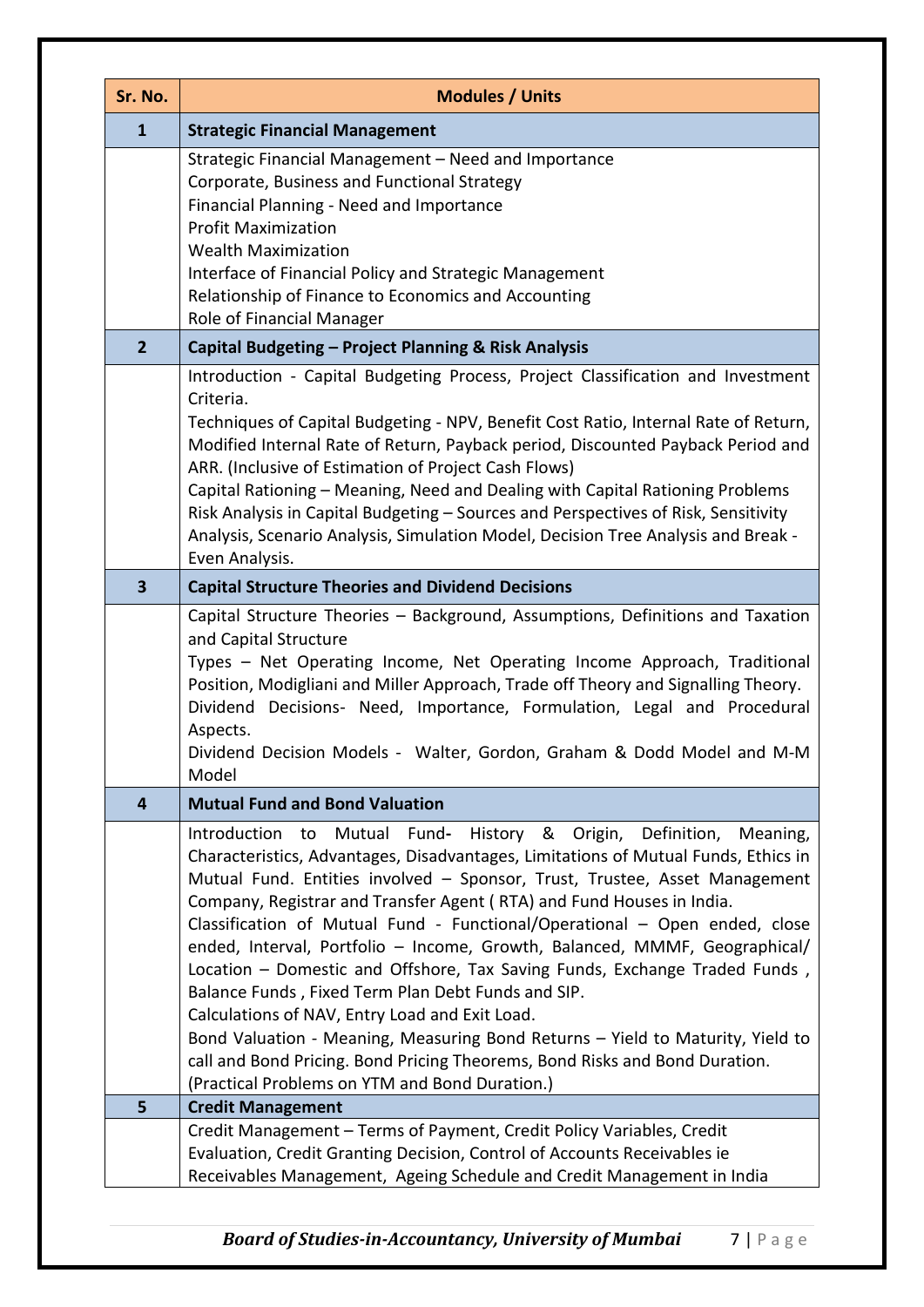| Sr. No.        | <b>Modules / Units</b>                                                                                                                                                                                                                                                                                                                                                                                                                                                                                                                                                                                                                                                                                                                                                                                                                                                                                     |  |
|----------------|------------------------------------------------------------------------------------------------------------------------------------------------------------------------------------------------------------------------------------------------------------------------------------------------------------------------------------------------------------------------------------------------------------------------------------------------------------------------------------------------------------------------------------------------------------------------------------------------------------------------------------------------------------------------------------------------------------------------------------------------------------------------------------------------------------------------------------------------------------------------------------------------------------|--|
| $\mathbf{1}$   | <b>Strategic Financial Management</b>                                                                                                                                                                                                                                                                                                                                                                                                                                                                                                                                                                                                                                                                                                                                                                                                                                                                      |  |
|                | Strategic Financial Management - Need and Importance<br>Corporate, Business and Functional Strategy<br>Financial Planning - Need and Importance<br><b>Profit Maximization</b><br><b>Wealth Maximization</b><br>Interface of Financial Policy and Strategic Management<br>Relationship of Finance to Economics and Accounting<br>Role of Financial Manager                                                                                                                                                                                                                                                                                                                                                                                                                                                                                                                                                  |  |
| $\overline{2}$ | Capital Budgeting - Project Planning & Risk Analysis                                                                                                                                                                                                                                                                                                                                                                                                                                                                                                                                                                                                                                                                                                                                                                                                                                                       |  |
|                | Introduction - Capital Budgeting Process, Project Classification and Investment<br>Criteria.<br>Techniques of Capital Budgeting - NPV, Benefit Cost Ratio, Internal Rate of Return,<br>Modified Internal Rate of Return, Payback period, Discounted Payback Period and<br>ARR. (Inclusive of Estimation of Project Cash Flows)<br>Capital Rationing - Meaning, Need and Dealing with Capital Rationing Problems<br>Risk Analysis in Capital Budgeting - Sources and Perspectives of Risk, Sensitivity<br>Analysis, Scenario Analysis, Simulation Model, Decision Tree Analysis and Break -<br>Even Analysis.                                                                                                                                                                                                                                                                                               |  |
| 3              | <b>Capital Structure Theories and Dividend Decisions</b>                                                                                                                                                                                                                                                                                                                                                                                                                                                                                                                                                                                                                                                                                                                                                                                                                                                   |  |
|                | Capital Structure Theories - Background, Assumptions, Definitions and Taxation<br>and Capital Structure<br>Types - Net Operating Income, Net Operating Income Approach, Traditional<br>Position, Modigliani and Miller Approach, Trade off Theory and Signalling Theory.<br>Dividend Decisions- Need, Importance, Formulation, Legal and Procedural<br>Aspects.<br>Dividend Decision Models - Walter, Gordon, Graham & Dodd Model and M-M<br>Model                                                                                                                                                                                                                                                                                                                                                                                                                                                         |  |
| 4              | <b>Mutual Fund and Bond Valuation</b>                                                                                                                                                                                                                                                                                                                                                                                                                                                                                                                                                                                                                                                                                                                                                                                                                                                                      |  |
|                | History &<br>Origin,<br>Definition,<br>Introduction<br>Fund-<br>Mutual<br>Meaning,<br>to<br>Characteristics, Advantages, Disadvantages, Limitations of Mutual Funds, Ethics in<br>Mutual Fund. Entities involved - Sponsor, Trust, Trustee, Asset Management<br>Company, Registrar and Transfer Agent (RTA) and Fund Houses in India.<br>Classification of Mutual Fund - Functional/Operational - Open ended, close<br>ended, Interval, Portfolio - Income, Growth, Balanced, MMMF, Geographical/<br>Location - Domestic and Offshore, Tax Saving Funds, Exchange Traded Funds,<br>Balance Funds, Fixed Term Plan Debt Funds and SIP.<br>Calculations of NAV, Entry Load and Exit Load.<br>Bond Valuation - Meaning, Measuring Bond Returns - Yield to Maturity, Yield to<br>call and Bond Pricing. Bond Pricing Theorems, Bond Risks and Bond Duration.<br>(Practical Problems on YTM and Bond Duration.) |  |
| 5              | <b>Credit Management</b>                                                                                                                                                                                                                                                                                                                                                                                                                                                                                                                                                                                                                                                                                                                                                                                                                                                                                   |  |
|                | Credit Management - Terms of Payment, Credit Policy Variables, Credit<br>Evaluation, Credit Granting Decision, Control of Accounts Receivables ie<br>Receivables Management, Ageing Schedule and Credit Management in India                                                                                                                                                                                                                                                                                                                                                                                                                                                                                                                                                                                                                                                                                |  |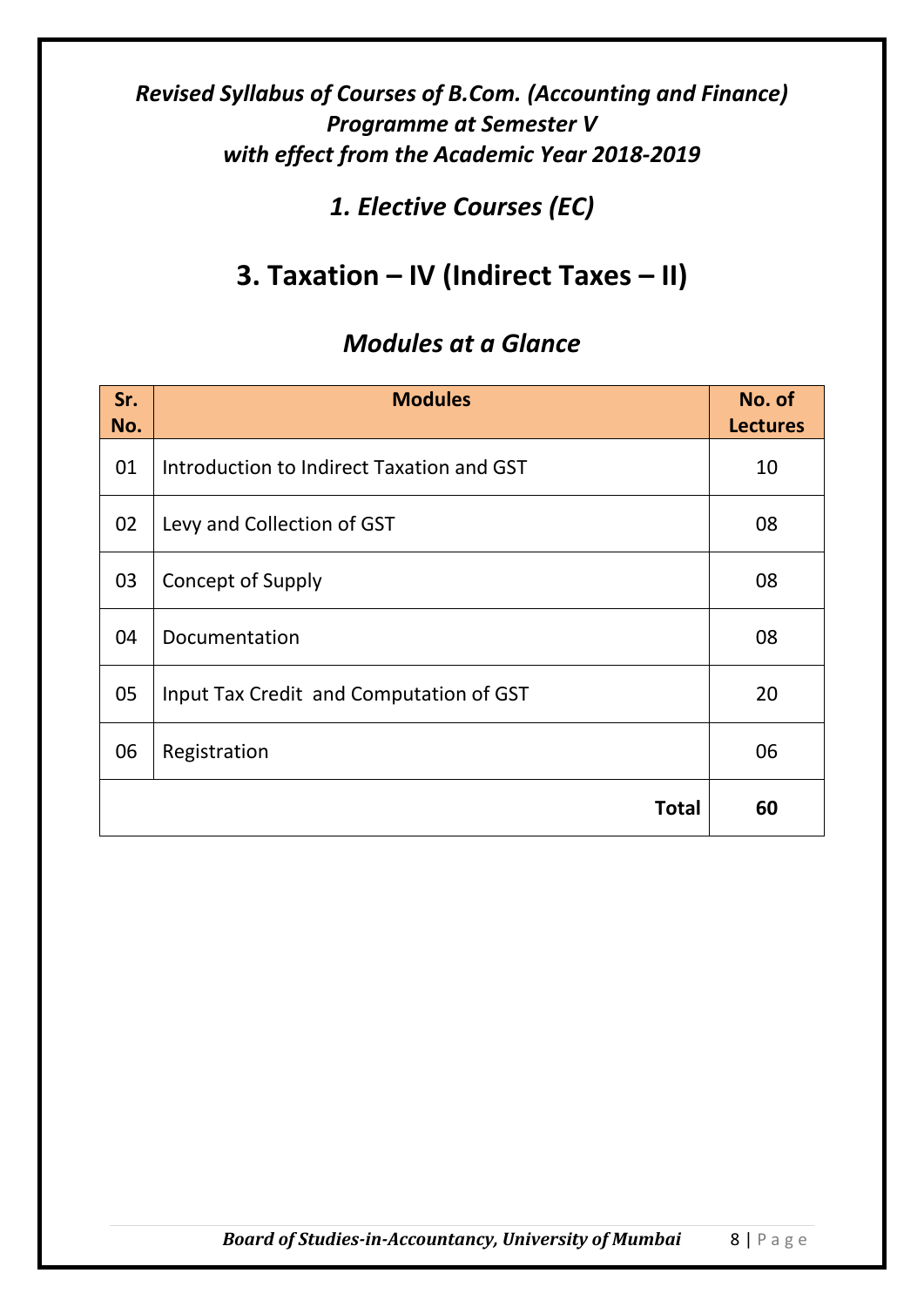## *1. Elective Courses (EC)*

# **3. Taxation – IV (Indirect Taxes – II)**

| Sr.<br>No. | <b>Modules</b>                            | No. of<br><b>Lectures</b> |
|------------|-------------------------------------------|---------------------------|
| 01         | Introduction to Indirect Taxation and GST | 10                        |
| 02         | Levy and Collection of GST                | 08                        |
| 03         | <b>Concept of Supply</b>                  | 08                        |
| 04         | Documentation                             | 08                        |
| 05         | Input Tax Credit and Computation of GST   | 20                        |
| 06         | Registration                              | 06                        |
|            | Total                                     | 60                        |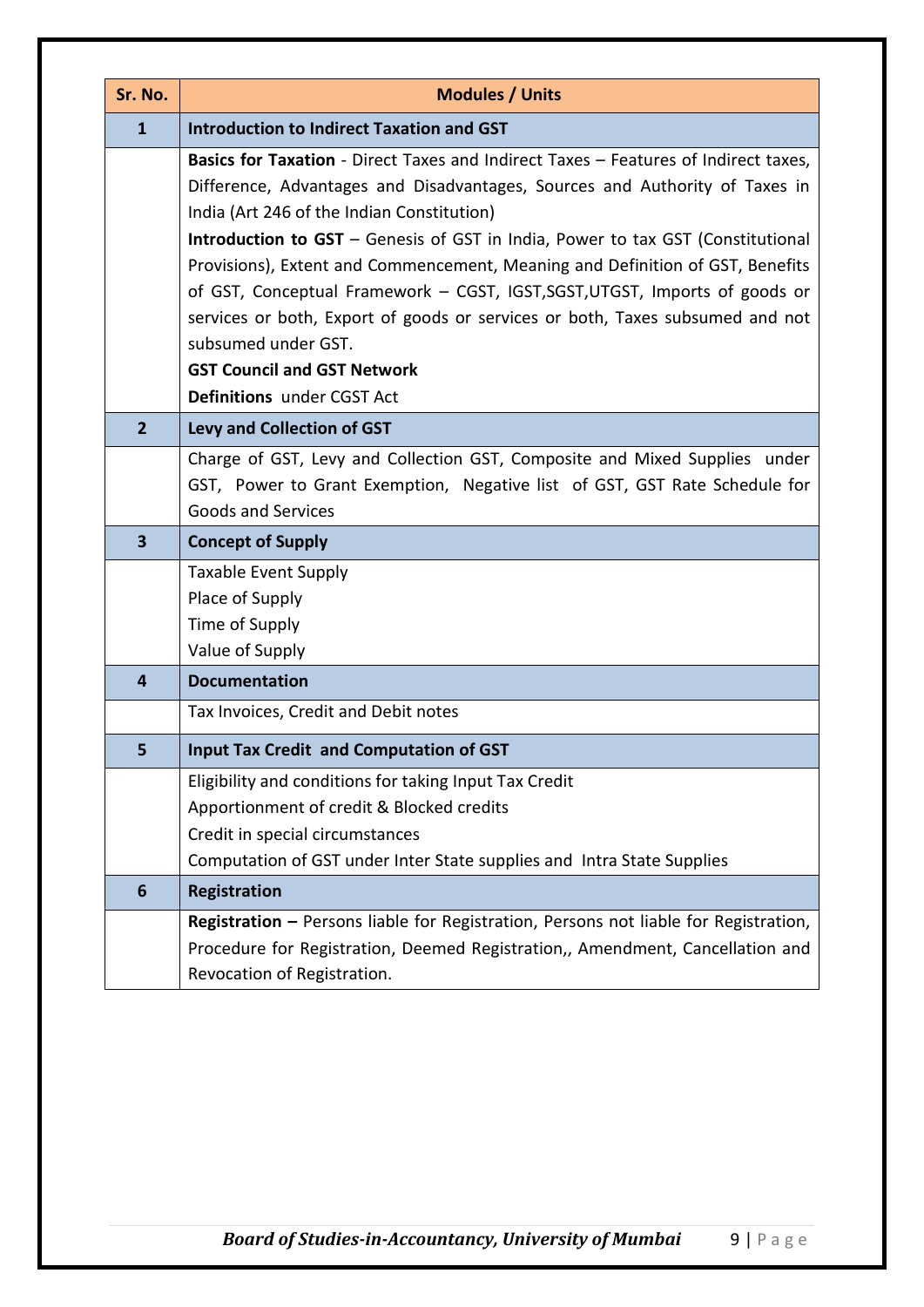| Sr. No.                 | <b>Modules / Units</b>                                                                                       |  |
|-------------------------|--------------------------------------------------------------------------------------------------------------|--|
| $\mathbf{1}$            | <b>Introduction to Indirect Taxation and GST</b>                                                             |  |
|                         | Basics for Taxation - Direct Taxes and Indirect Taxes - Features of Indirect taxes,                          |  |
|                         | Difference, Advantages and Disadvantages, Sources and Authority of Taxes in                                  |  |
|                         | India (Art 246 of the Indian Constitution)                                                                   |  |
|                         | Introduction to GST - Genesis of GST in India, Power to tax GST (Constitutional                              |  |
|                         | Provisions), Extent and Commencement, Meaning and Definition of GST, Benefits                                |  |
|                         | of GST, Conceptual Framework - CGST, IGST, SGST, UTGST, Imports of goods or                                  |  |
|                         | services or both, Export of goods or services or both, Taxes subsumed and not                                |  |
|                         | subsumed under GST.<br><b>GST Council and GST Network</b>                                                    |  |
|                         | Definitions under CGST Act                                                                                   |  |
|                         |                                                                                                              |  |
| $\overline{2}$          | <b>Levy and Collection of GST</b>                                                                            |  |
|                         | Charge of GST, Levy and Collection GST, Composite and Mixed Supplies under                                   |  |
|                         | GST, Power to Grant Exemption, Negative list of GST, GST Rate Schedule for<br><b>Goods and Services</b>      |  |
|                         |                                                                                                              |  |
|                         | <b>Concept of Supply</b>                                                                                     |  |
| $\overline{\mathbf{3}}$ |                                                                                                              |  |
|                         | <b>Taxable Event Supply</b>                                                                                  |  |
|                         | Place of Supply                                                                                              |  |
|                         | Time of Supply                                                                                               |  |
|                         | Value of Supply                                                                                              |  |
| $\overline{4}$          | <b>Documentation</b>                                                                                         |  |
|                         | Tax Invoices, Credit and Debit notes                                                                         |  |
| 5                       | <b>Input Tax Credit and Computation of GST</b>                                                               |  |
|                         | Eligibility and conditions for taking Input Tax Credit                                                       |  |
|                         | Apportionment of credit & Blocked credits                                                                    |  |
|                         | Credit in special circumstances                                                                              |  |
|                         | Computation of GST under Inter State supplies and Intra State Supplies                                       |  |
| $6\phantom{1}$          | <b>Registration</b>                                                                                          |  |
|                         | Registration - Persons liable for Registration, Persons not liable for Registration,                         |  |
|                         | Procedure for Registration, Deemed Registration,, Amendment, Cancellation and<br>Revocation of Registration. |  |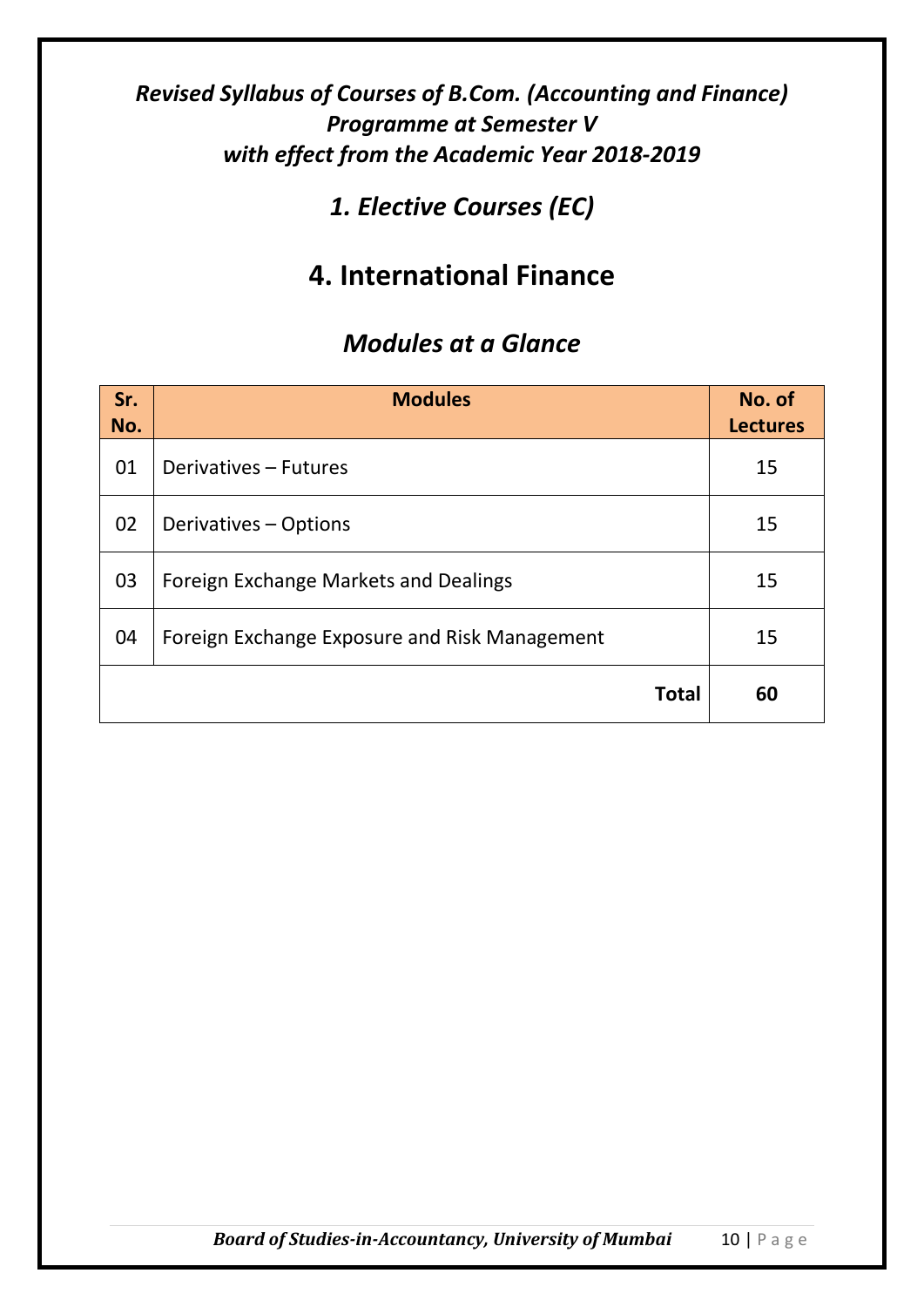## *1. Elective Courses (EC)*

# **4. International Finance**

| Sr.<br>No. | <b>Modules</b>                                | No. of<br><b>Lectures</b> |
|------------|-----------------------------------------------|---------------------------|
| 01         | Derivatives - Futures                         | 15                        |
| 02         | Derivatives - Options                         | 15                        |
| 03         | Foreign Exchange Markets and Dealings         | 15                        |
| 04         | Foreign Exchange Exposure and Risk Management | 15                        |
|            | <b>Total</b>                                  | 60                        |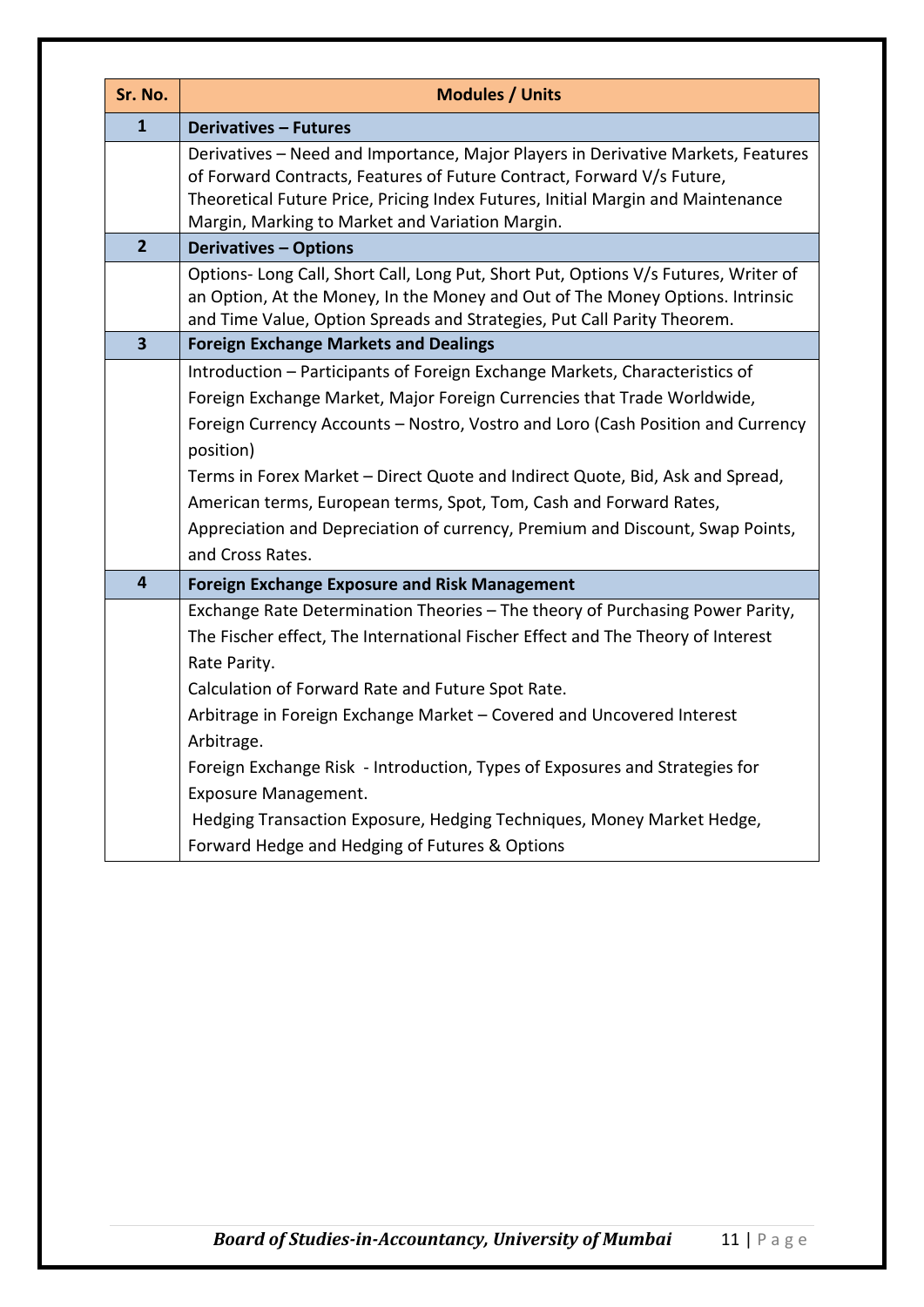| Sr. No.                 | <b>Modules / Units</b>                                                                                                                                                                                                                                                                                                                                                                                                                                                                         |  |
|-------------------------|------------------------------------------------------------------------------------------------------------------------------------------------------------------------------------------------------------------------------------------------------------------------------------------------------------------------------------------------------------------------------------------------------------------------------------------------------------------------------------------------|--|
| $\mathbf{1}$            | <b>Derivatives - Futures</b>                                                                                                                                                                                                                                                                                                                                                                                                                                                                   |  |
|                         | Derivatives - Need and Importance, Major Players in Derivative Markets, Features<br>of Forward Contracts, Features of Future Contract, Forward V/s Future,<br>Theoretical Future Price, Pricing Index Futures, Initial Margin and Maintenance<br>Margin, Marking to Market and Variation Margin.                                                                                                                                                                                               |  |
| $\overline{2}$          | <b>Derivatives - Options</b>                                                                                                                                                                                                                                                                                                                                                                                                                                                                   |  |
|                         | Options- Long Call, Short Call, Long Put, Short Put, Options V/s Futures, Writer of<br>an Option, At the Money, In the Money and Out of The Money Options. Intrinsic<br>and Time Value, Option Spreads and Strategies, Put Call Parity Theorem.                                                                                                                                                                                                                                                |  |
| $\overline{\mathbf{3}}$ | <b>Foreign Exchange Markets and Dealings</b>                                                                                                                                                                                                                                                                                                                                                                                                                                                   |  |
|                         | Introduction - Participants of Foreign Exchange Markets, Characteristics of<br>Foreign Exchange Market, Major Foreign Currencies that Trade Worldwide,<br>Foreign Currency Accounts - Nostro, Vostro and Loro (Cash Position and Currency<br>position)<br>Terms in Forex Market - Direct Quote and Indirect Quote, Bid, Ask and Spread,<br>American terms, European terms, Spot, Tom, Cash and Forward Rates,<br>Appreciation and Depreciation of currency, Premium and Discount, Swap Points, |  |
|                         | and Cross Rates.                                                                                                                                                                                                                                                                                                                                                                                                                                                                               |  |
| $\overline{\mathbf{4}}$ | <b>Foreign Exchange Exposure and Risk Management</b>                                                                                                                                                                                                                                                                                                                                                                                                                                           |  |
|                         | Exchange Rate Determination Theories - The theory of Purchasing Power Parity,<br>The Fischer effect, The International Fischer Effect and The Theory of Interest<br>Rate Parity.                                                                                                                                                                                                                                                                                                               |  |
|                         | Calculation of Forward Rate and Future Spot Rate.                                                                                                                                                                                                                                                                                                                                                                                                                                              |  |
|                         | Arbitrage in Foreign Exchange Market - Covered and Uncovered Interest<br>Arbitrage.<br>Foreign Exchange Risk - Introduction, Types of Exposures and Strategies for<br><b>Exposure Management.</b>                                                                                                                                                                                                                                                                                              |  |
|                         | Hedging Transaction Exposure, Hedging Techniques, Money Market Hedge,<br>Forward Hedge and Hedging of Futures & Options                                                                                                                                                                                                                                                                                                                                                                        |  |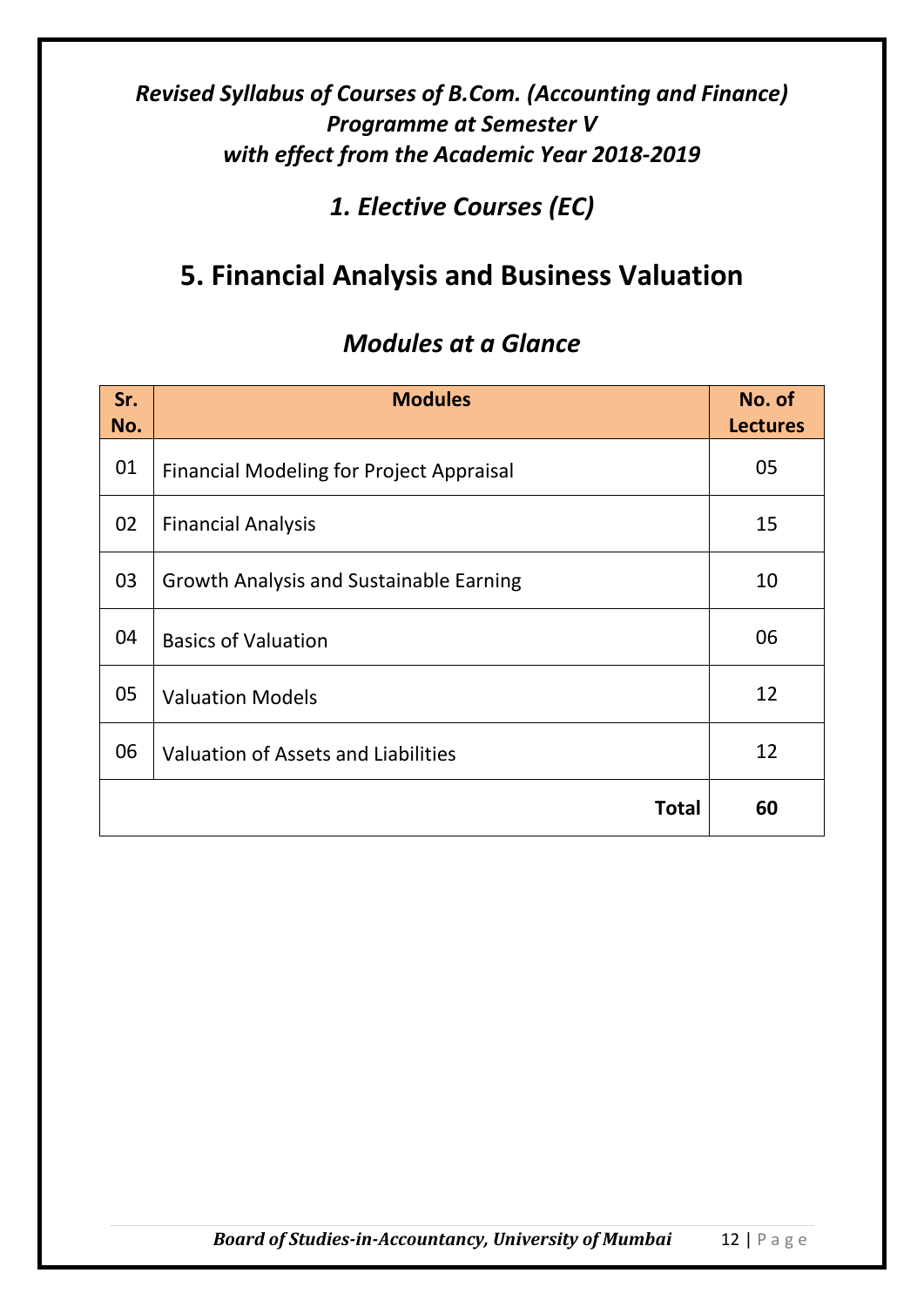*1. Elective Courses (EC)*

# **5. Financial Analysis and Business Valuation**

| Sr.<br>No. | <b>Modules</b>                                  | No. of<br><b>Lectures</b> |
|------------|-------------------------------------------------|---------------------------|
| 01         | <b>Financial Modeling for Project Appraisal</b> | 05                        |
| 02         | <b>Financial Analysis</b>                       | 15                        |
| 03         | <b>Growth Analysis and Sustainable Earning</b>  | 10                        |
| 04         | <b>Basics of Valuation</b>                      | 06                        |
| 05         | <b>Valuation Models</b>                         | 12                        |
| 06         | Valuation of Assets and Liabilities             | 12                        |
|            | <b>Total</b>                                    | 60                        |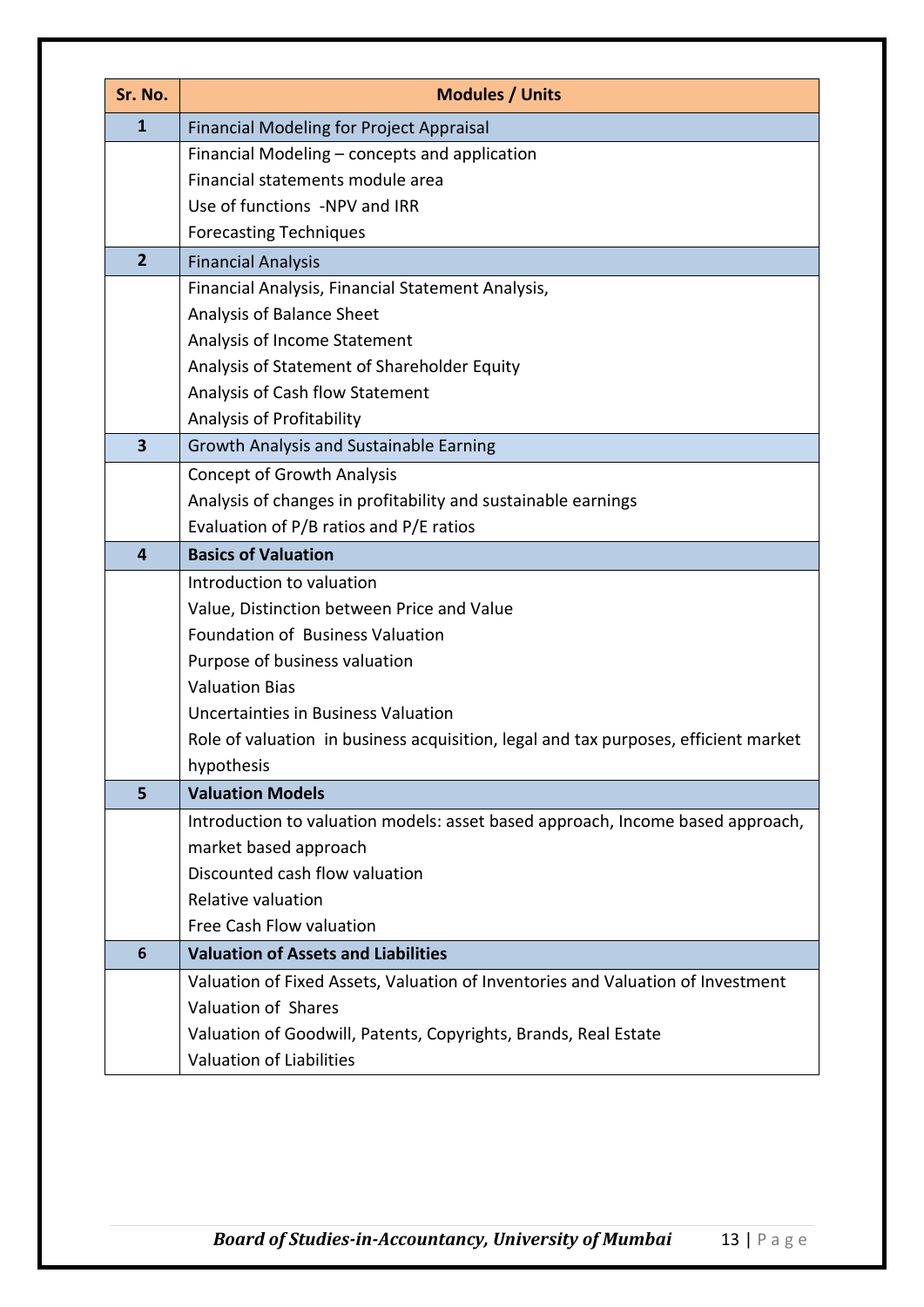| Sr. No.                 | <b>Modules / Units</b>                                                              |
|-------------------------|-------------------------------------------------------------------------------------|
| $\mathbf{1}$            | <b>Financial Modeling for Project Appraisal</b>                                     |
|                         | Financial Modeling - concepts and application                                       |
|                         | Financial statements module area                                                    |
|                         | Use of functions -NPV and IRR                                                       |
|                         | <b>Forecasting Techniques</b>                                                       |
| $\overline{2}$          | <b>Financial Analysis</b>                                                           |
|                         | Financial Analysis, Financial Statement Analysis,                                   |
|                         | Analysis of Balance Sheet                                                           |
|                         | Analysis of Income Statement                                                        |
|                         | Analysis of Statement of Shareholder Equity                                         |
|                         | Analysis of Cash flow Statement                                                     |
|                         | Analysis of Profitability                                                           |
| $\overline{\mathbf{3}}$ | Growth Analysis and Sustainable Earning                                             |
|                         | <b>Concept of Growth Analysis</b>                                                   |
|                         | Analysis of changes in profitability and sustainable earnings                       |
|                         | Evaluation of P/B ratios and P/E ratios                                             |
| $\overline{4}$          | <b>Basics of Valuation</b>                                                          |
|                         | Introduction to valuation                                                           |
|                         | Value, Distinction between Price and Value                                          |
|                         | Foundation of Business Valuation                                                    |
|                         | Purpose of business valuation                                                       |
|                         | <b>Valuation Bias</b>                                                               |
|                         | Uncertainties in Business Valuation                                                 |
|                         | Role of valuation in business acquisition, legal and tax purposes, efficient market |
|                         | hypothesis                                                                          |
| 5                       | <b>Valuation Models</b>                                                             |
|                         | Introduction to valuation models: asset based approach, Income based approach,      |
|                         | market based approach                                                               |
|                         | Discounted cash flow valuation                                                      |
|                         | Relative valuation                                                                  |
|                         | Free Cash Flow valuation                                                            |
| 6                       | <b>Valuation of Assets and Liabilities</b>                                          |
|                         | Valuation of Fixed Assets, Valuation of Inventories and Valuation of Investment     |
|                         | Valuation of Shares                                                                 |
|                         | Valuation of Goodwill, Patents, Copyrights, Brands, Real Estate                     |
|                         | Valuation of Liabilities                                                            |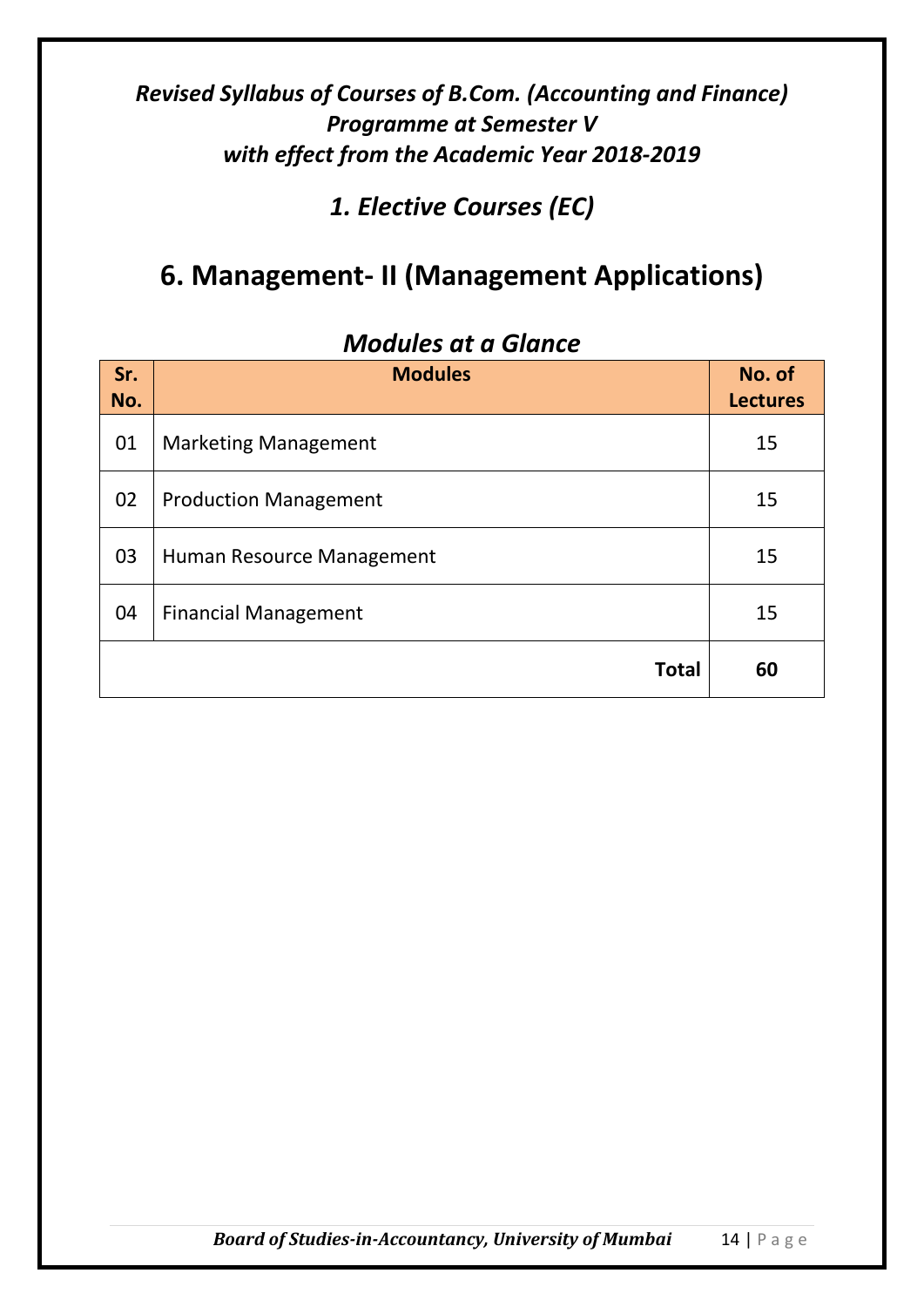*1. Elective Courses (EC)*

# **6. Management- II (Management Applications)**

| Sr.<br>No. | <b>Modules</b>               | No. of<br><b>Lectures</b> |
|------------|------------------------------|---------------------------|
| 01         | <b>Marketing Management</b>  | 15                        |
| 02         | <b>Production Management</b> | 15                        |
| 03         | Human Resource Management    | 15                        |
| 04         | <b>Financial Management</b>  | 15                        |
|            | <b>Total</b>                 | 60                        |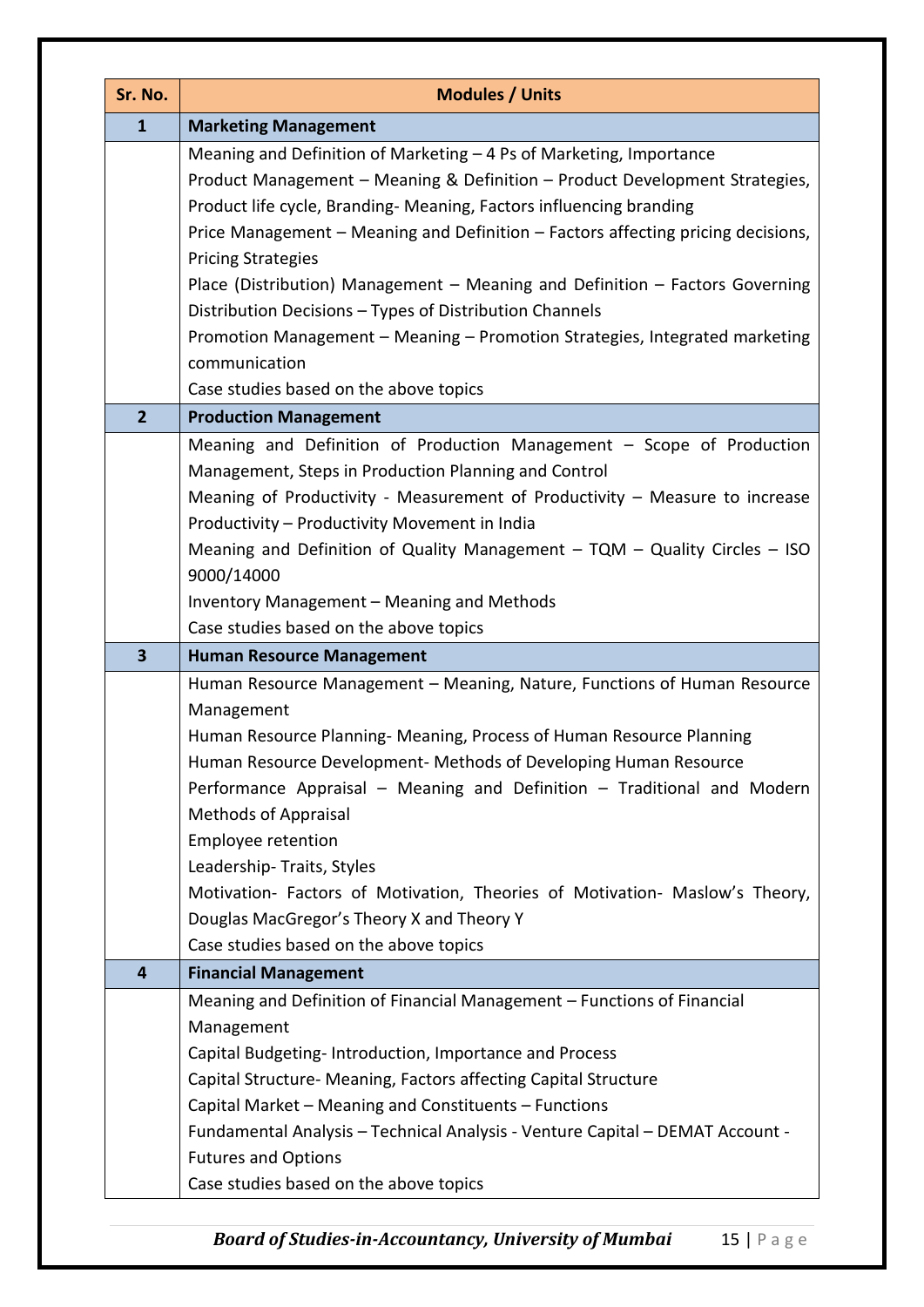| Sr. No.                 | <b>Modules / Units</b>                                                                                      |  |
|-------------------------|-------------------------------------------------------------------------------------------------------------|--|
| $\mathbf{1}$            | <b>Marketing Management</b>                                                                                 |  |
|                         | Meaning and Definition of Marketing - 4 Ps of Marketing, Importance                                         |  |
|                         | Product Management - Meaning & Definition - Product Development Strategies,                                 |  |
|                         | Product life cycle, Branding-Meaning, Factors influencing branding                                          |  |
|                         | Price Management - Meaning and Definition - Factors affecting pricing decisions,                            |  |
|                         | <b>Pricing Strategies</b>                                                                                   |  |
|                         | Place (Distribution) Management - Meaning and Definition - Factors Governing                                |  |
|                         | Distribution Decisions - Types of Distribution Channels                                                     |  |
|                         | Promotion Management - Meaning - Promotion Strategies, Integrated marketing                                 |  |
|                         | communication                                                                                               |  |
|                         | Case studies based on the above topics                                                                      |  |
| $\overline{2}$          | <b>Production Management</b>                                                                                |  |
|                         | Meaning and Definition of Production Management - Scope of Production                                       |  |
|                         | Management, Steps in Production Planning and Control                                                        |  |
|                         | Meaning of Productivity - Measurement of Productivity - Measure to increase                                 |  |
|                         | Productivity - Productivity Movement in India                                                               |  |
|                         | Meaning and Definition of Quality Management - TQM - Quality Circles - ISO                                  |  |
|                         | 9000/14000                                                                                                  |  |
|                         | Inventory Management - Meaning and Methods                                                                  |  |
|                         | Case studies based on the above topics                                                                      |  |
| $\overline{\mathbf{3}}$ | <b>Human Resource Management</b>                                                                            |  |
|                         | Human Resource Management - Meaning, Nature, Functions of Human Resource                                    |  |
|                         | Management                                                                                                  |  |
|                         | Human Resource Planning- Meaning, Process of Human Resource Planning                                        |  |
|                         | Human Resource Development- Methods of Developing Human Resource                                            |  |
|                         | Performance Appraisal - Meaning and Definition - Traditional and Modern                                     |  |
|                         | <b>Methods of Appraisal</b><br>Employee retention                                                           |  |
|                         | Leadership-Traits, Styles                                                                                   |  |
|                         | Motivation- Factors of Motivation, Theories of Motivation- Maslow's Theory,                                 |  |
|                         | Douglas MacGregor's Theory X and Theory Y                                                                   |  |
|                         | Case studies based on the above topics                                                                      |  |
| 4                       | <b>Financial Management</b>                                                                                 |  |
|                         | Meaning and Definition of Financial Management - Functions of Financial                                     |  |
|                         | Management                                                                                                  |  |
|                         | Capital Budgeting-Introduction, Importance and Process                                                      |  |
|                         | Capital Structure- Meaning, Factors affecting Capital Structure                                             |  |
|                         |                                                                                                             |  |
|                         |                                                                                                             |  |
|                         | Capital Market - Meaning and Constituents - Functions                                                       |  |
|                         | Fundamental Analysis - Technical Analysis - Venture Capital - DEMAT Account -<br><b>Futures and Options</b> |  |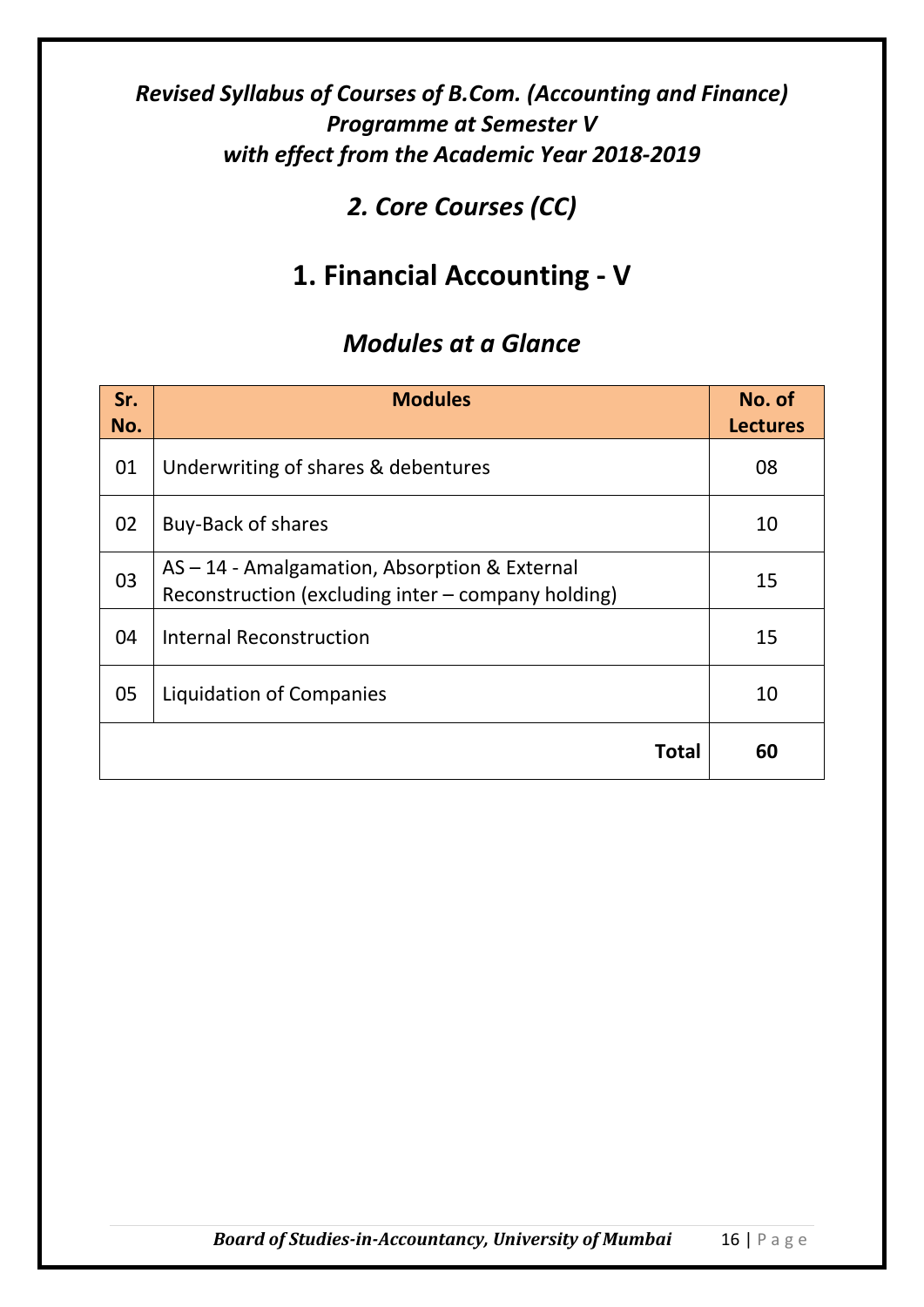## *2. Core Courses (CC)*

# **1. Financial Accounting - V**

| Sr.<br>No. | <b>Modules</b>                                                                                    | No. of<br><b>Lectures</b> |
|------------|---------------------------------------------------------------------------------------------------|---------------------------|
| 01         | Underwriting of shares & debentures                                                               | 08                        |
| 02         | <b>Buy-Back of shares</b>                                                                         | 10                        |
| 03         | AS-14 - Amalgamation, Absorption & External<br>Reconstruction (excluding inter - company holding) | 15                        |
| 04         | <b>Internal Reconstruction</b>                                                                    | 15                        |
| 05         | Liquidation of Companies                                                                          | 10                        |
|            | Total                                                                                             | 60                        |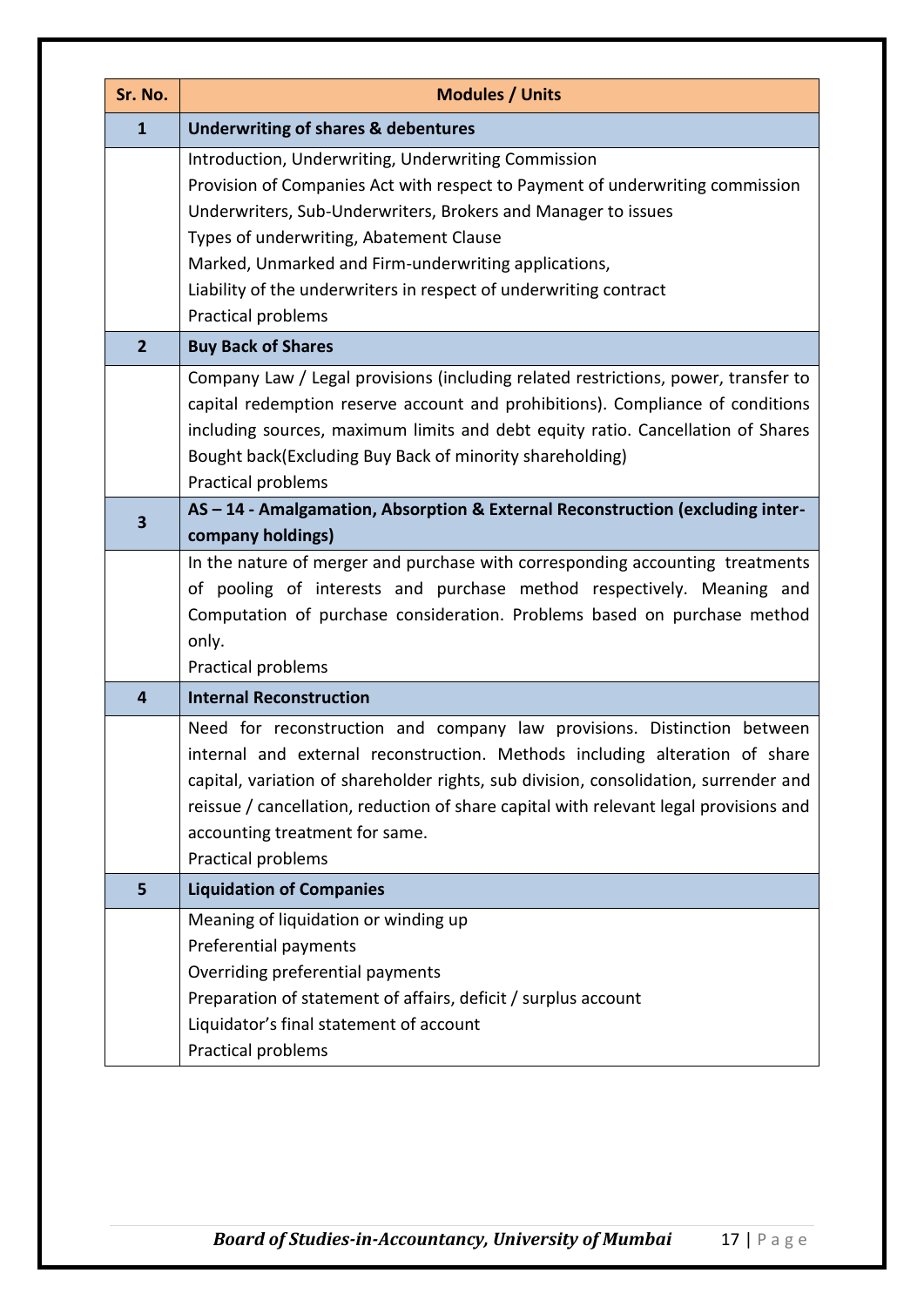| Sr. No.        | <b>Modules / Units</b>                                                                                                                                                                                                                                                                                                                                                                              |
|----------------|-----------------------------------------------------------------------------------------------------------------------------------------------------------------------------------------------------------------------------------------------------------------------------------------------------------------------------------------------------------------------------------------------------|
| $\mathbf{1}$   | <b>Underwriting of shares &amp; debentures</b>                                                                                                                                                                                                                                                                                                                                                      |
|                | Introduction, Underwriting, Underwriting Commission<br>Provision of Companies Act with respect to Payment of underwriting commission<br>Underwriters, Sub-Underwriters, Brokers and Manager to issues<br>Types of underwriting, Abatement Clause<br>Marked, Unmarked and Firm-underwriting applications,<br>Liability of the underwriters in respect of underwriting contract<br>Practical problems |
| $\overline{2}$ | <b>Buy Back of Shares</b>                                                                                                                                                                                                                                                                                                                                                                           |
|                | Company Law / Legal provisions (including related restrictions, power, transfer to<br>capital redemption reserve account and prohibitions). Compliance of conditions<br>including sources, maximum limits and debt equity ratio. Cancellation of Shares<br>Bought back(Excluding Buy Back of minority shareholding)<br>Practical problems                                                           |
| 3              | AS-14 - Amalgamation, Absorption & External Reconstruction (excluding inter-                                                                                                                                                                                                                                                                                                                        |
|                | company holdings)                                                                                                                                                                                                                                                                                                                                                                                   |
|                | In the nature of merger and purchase with corresponding accounting treatments<br>of pooling of interests and purchase method respectively. Meaning and<br>Computation of purchase consideration. Problems based on purchase method<br>only.<br>Practical problems                                                                                                                                   |
| 4              | <b>Internal Reconstruction</b>                                                                                                                                                                                                                                                                                                                                                                      |
|                | Need for reconstruction and company law provisions. Distinction between<br>internal and external reconstruction. Methods including alteration of share<br>capital, variation of shareholder rights, sub division, consolidation, surrender and<br>reissue / cancellation, reduction of share capital with relevant legal provisions and<br>accounting treatment for same.<br>Practical problems     |
| 5              | <b>Liquidation of Companies</b>                                                                                                                                                                                                                                                                                                                                                                     |
|                | Meaning of liquidation or winding up<br>Preferential payments<br>Overriding preferential payments<br>Preparation of statement of affairs, deficit / surplus account<br>Liquidator's final statement of account<br>Practical problems                                                                                                                                                                |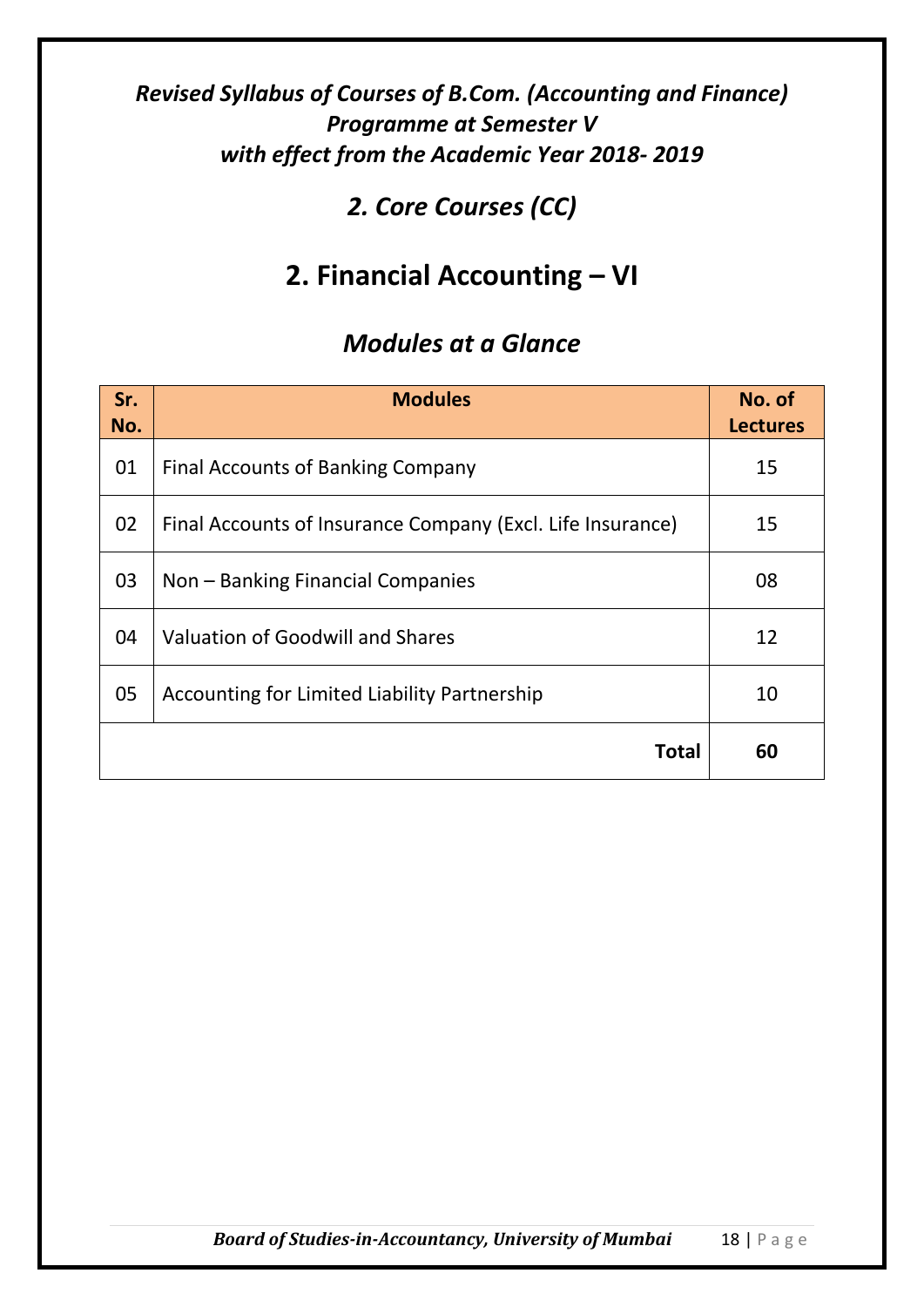## *2. Core Courses (CC)*

# **2. Financial Accounting – VI**

| Sr.<br>No. | <b>Modules</b>                                             | No. of<br><b>Lectures</b> |
|------------|------------------------------------------------------------|---------------------------|
| 01         | <b>Final Accounts of Banking Company</b>                   | 15                        |
| 02         | Final Accounts of Insurance Company (Excl. Life Insurance) | 15                        |
| 03         | Non – Banking Financial Companies                          | 08                        |
| 04         | Valuation of Goodwill and Shares                           | 12                        |
| 05         | Accounting for Limited Liability Partnership               | 10                        |
|            | Total                                                      | 60                        |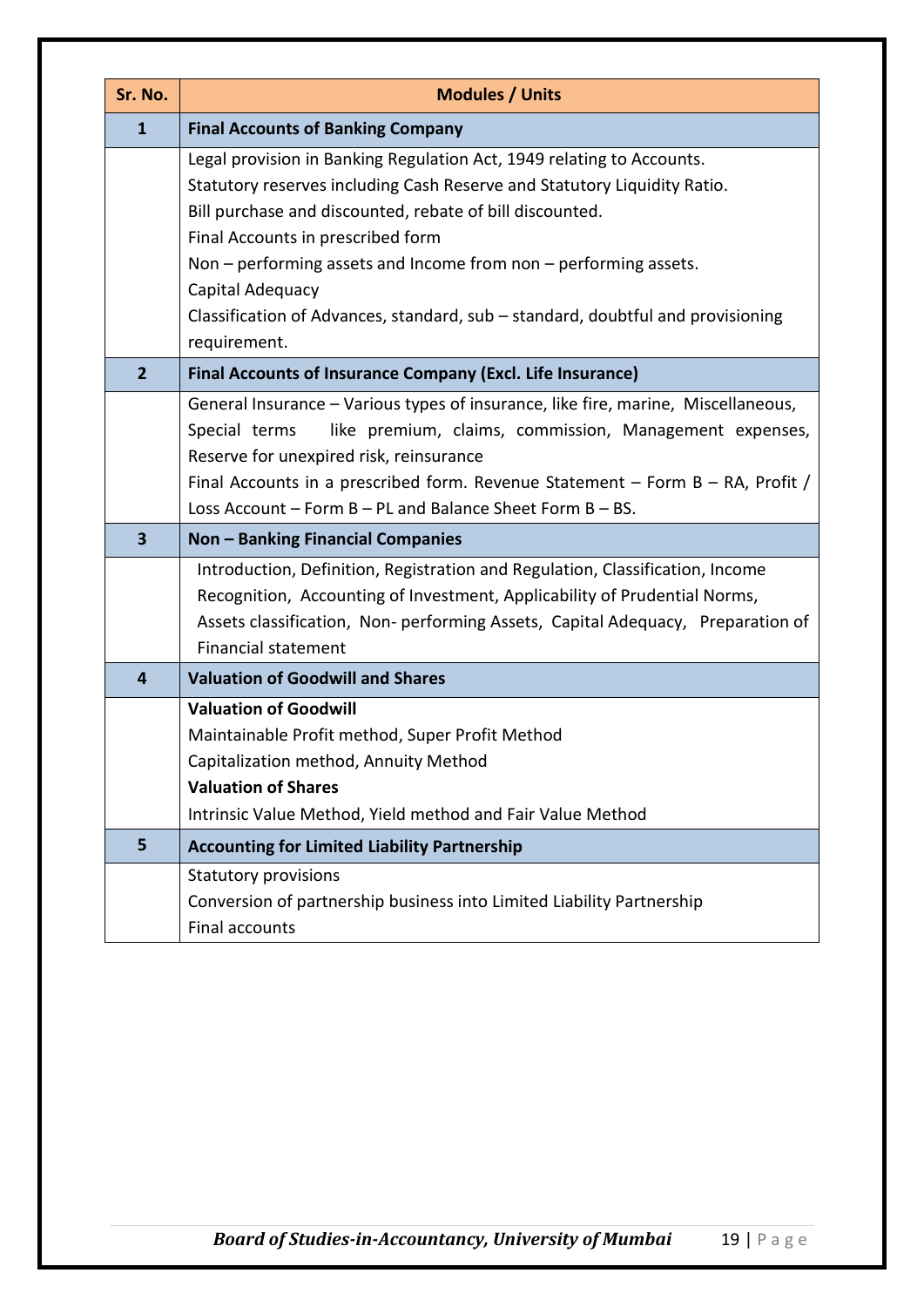| Sr. No.                 | <b>Modules / Units</b>                                                                                                                                                                                                                                                      |  |
|-------------------------|-----------------------------------------------------------------------------------------------------------------------------------------------------------------------------------------------------------------------------------------------------------------------------|--|
| $\mathbf{1}$            | <b>Final Accounts of Banking Company</b>                                                                                                                                                                                                                                    |  |
|                         | Legal provision in Banking Regulation Act, 1949 relating to Accounts.<br>Statutory reserves including Cash Reserve and Statutory Liquidity Ratio.                                                                                                                           |  |
|                         | Bill purchase and discounted, rebate of bill discounted.                                                                                                                                                                                                                    |  |
|                         | Final Accounts in prescribed form                                                                                                                                                                                                                                           |  |
|                         | Non - performing assets and Income from non - performing assets.                                                                                                                                                                                                            |  |
|                         | Capital Adequacy                                                                                                                                                                                                                                                            |  |
|                         | Classification of Advances, standard, sub - standard, doubtful and provisioning                                                                                                                                                                                             |  |
|                         | requirement.                                                                                                                                                                                                                                                                |  |
| $\overline{2}$          | <b>Final Accounts of Insurance Company (Excl. Life Insurance)</b>                                                                                                                                                                                                           |  |
|                         | General Insurance - Various types of insurance, like fire, marine, Miscellaneous,<br>like premium, claims, commission, Management expenses,<br>Special terms<br>Reserve for unexpired risk, reinsurance                                                                     |  |
|                         | Final Accounts in a prescribed form. Revenue Statement - Form B - RA, Profit /                                                                                                                                                                                              |  |
|                         | Loss Account - Form B - PL and Balance Sheet Form B - BS.                                                                                                                                                                                                                   |  |
| $\overline{\mathbf{3}}$ | <b>Non - Banking Financial Companies</b>                                                                                                                                                                                                                                    |  |
|                         | Introduction, Definition, Registration and Regulation, Classification, Income<br>Recognition, Accounting of Investment, Applicability of Prudential Norms,<br>Assets classification, Non- performing Assets, Capital Adequacy, Preparation of<br><b>Financial statement</b> |  |
| 4                       | <b>Valuation of Goodwill and Shares</b>                                                                                                                                                                                                                                     |  |
|                         | <b>Valuation of Goodwill</b><br>Maintainable Profit method, Super Profit Method<br>Capitalization method, Annuity Method<br><b>Valuation of Shares</b><br>Intrinsic Value Method, Yield method and Fair Value Method                                                        |  |
| 5                       | <b>Accounting for Limited Liability Partnership</b>                                                                                                                                                                                                                         |  |
|                         | <b>Statutory provisions</b><br>Conversion of partnership business into Limited Liability Partnership<br>Final accounts                                                                                                                                                      |  |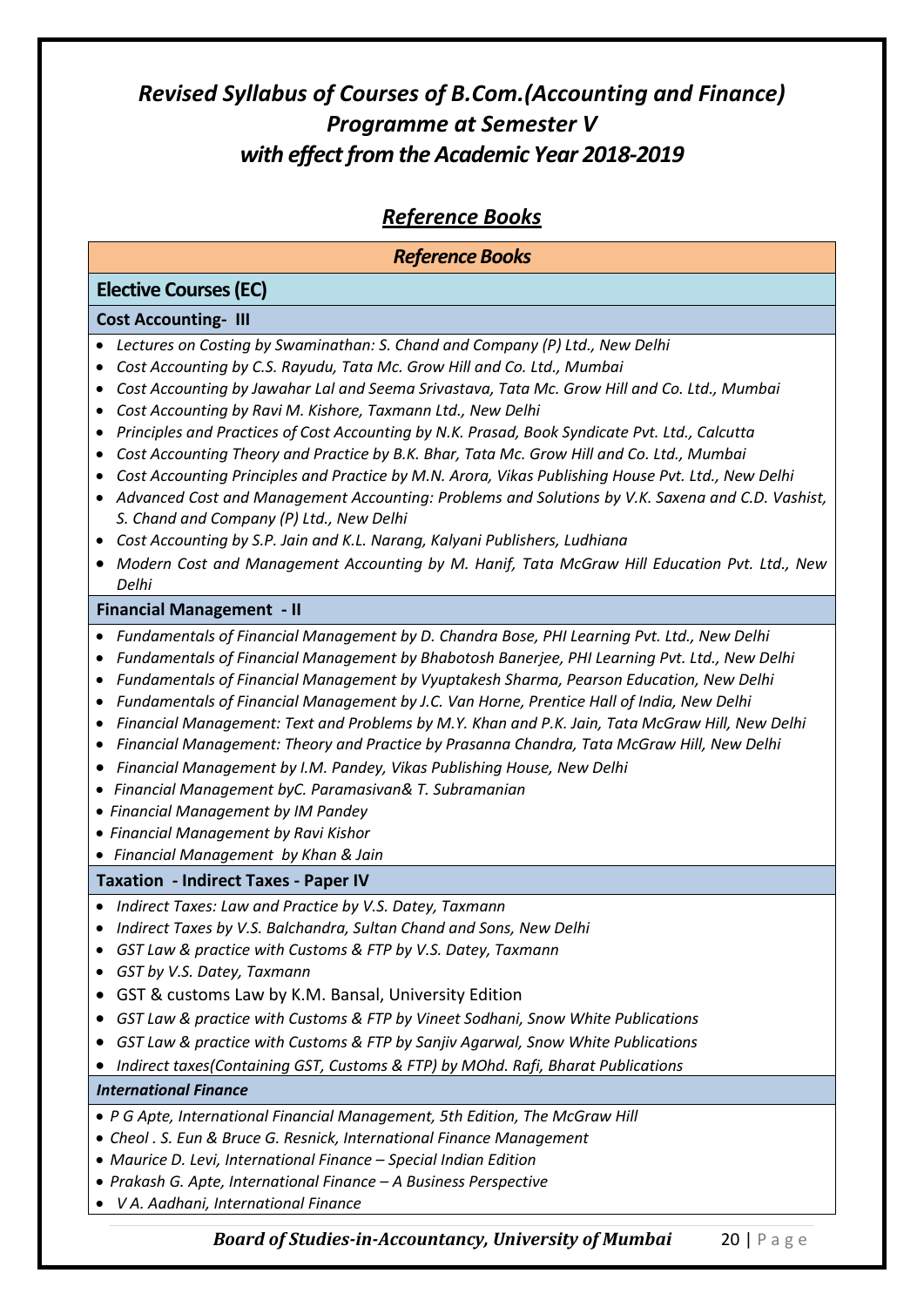#### *Reference Books*

#### *Reference Books*

#### **Elective Courses (EC) Cost Accounting- III**  *Lectures on Costing by Swaminathan: S. Chand and Company (P) Ltd., New Delhi Cost Accounting by C.S. Rayudu, Tata Mc. Grow Hill and Co. Ltd., Mumbai Cost Accounting b[y Jawahar Lal](http://www.tatamcgrawhill.com/cgi-bin/same_author.pl?author=Jawahar+Lal) an[d Seema Srivastava,](http://www.tatamcgrawhill.com/cgi-bin/same_author.pl?author=Seema+Srivastava) Tata Mc. Grow Hill and Co. Ltd., Mumbai Cost Accounting by Ravi M. Kishore, Taxmann Ltd., New Delhi Principles and Practices of Cost Accounting by N.K. Prasad, Book Syndicate Pvt. Ltd., Calcutta Cost Accounting Theory and Practice by B.K. Bhar, Tata Mc. Grow Hill and Co. Ltd., Mumbai Cost Accounting Principles and Practice by M.N. Arora, Vikas Publishing House Pvt. Ltd., New Delhi Advanced Cost and Management Accounting: Problems and Solutions by V.K. Saxena and C.D. Vashist, S. Chand and Company (P) Ltd., New Delhi Cost Accounting by S.P. Jain and K.L. Narang, Kalyani Publishers, Ludhiana Modern Cost and Management Accounting by M. Hanif, Tata McGraw Hill Education Pvt. Ltd., New Delhi* **Financial Management - II**  *Fundamentals of Financial Management by D. Chandra Bose, PHI Learning Pvt. Ltd., New Delhi Fundamentals of Financial Management by Bhabotosh Banerjee, PHI Learning Pvt. Ltd., New Delhi Fundamentals of Financial Management by Vyuptakesh Sharma, Pearson Education, New Delhi Fundamentals of Financial Management by J.C. Van Horne, Prentice Hall of India, New Delhi Financial Management: Text and Problems by M.Y. Khan and P.K. Jain, Tata McGraw Hill, New Delhi Financial Management: Theory and Practice by Prasanna Chandra, Tata McGraw Hill, New Delhi Financial Management by I.M. Pandey, Vikas Publishing House, New Delhi Financial Management byC. Paramasivan& T. Subramanian Financial Management by IM Pandey Financial Management by Ravi Kishor Financial Management by Khan & Jain* **Taxation - Indirect Taxes - Paper IV** *Indirect Taxes: Law and Practice by V.S. Datey, Taxmann Indirect Taxes by V.S. Balchandra, Sultan Chand and Sons, New Delhi GST Law & practice with Customs & FTP by V.S. Datey, Taxmann GST by V.S. Datey, Taxmann* GST & customs Law by K.M. Bansal, University Edition *GST Law & practice with Customs & FTP by Vineet Sodhani, Snow White Publications GST Law & practice with Customs & FTP by Sanjiv Agarwal, Snow White Publications Indirect taxes(Containing GST, Customs & FTP) by MOhd. Rafi, Bharat Publications International Finance P G Apte, International Financial Management, 5th Edition, The McGraw Hill Cheol . S. Eun & Bruce G. Resnick, International Finance Management Maurice D. Levi, International Finance – Special Indian Edition Prakash G. Apte, International Finance – A Business Perspective V A. Aadhani, International Finance*

*Board of Studies-in-Accountancy, University of Mumbai* 20 | P a g e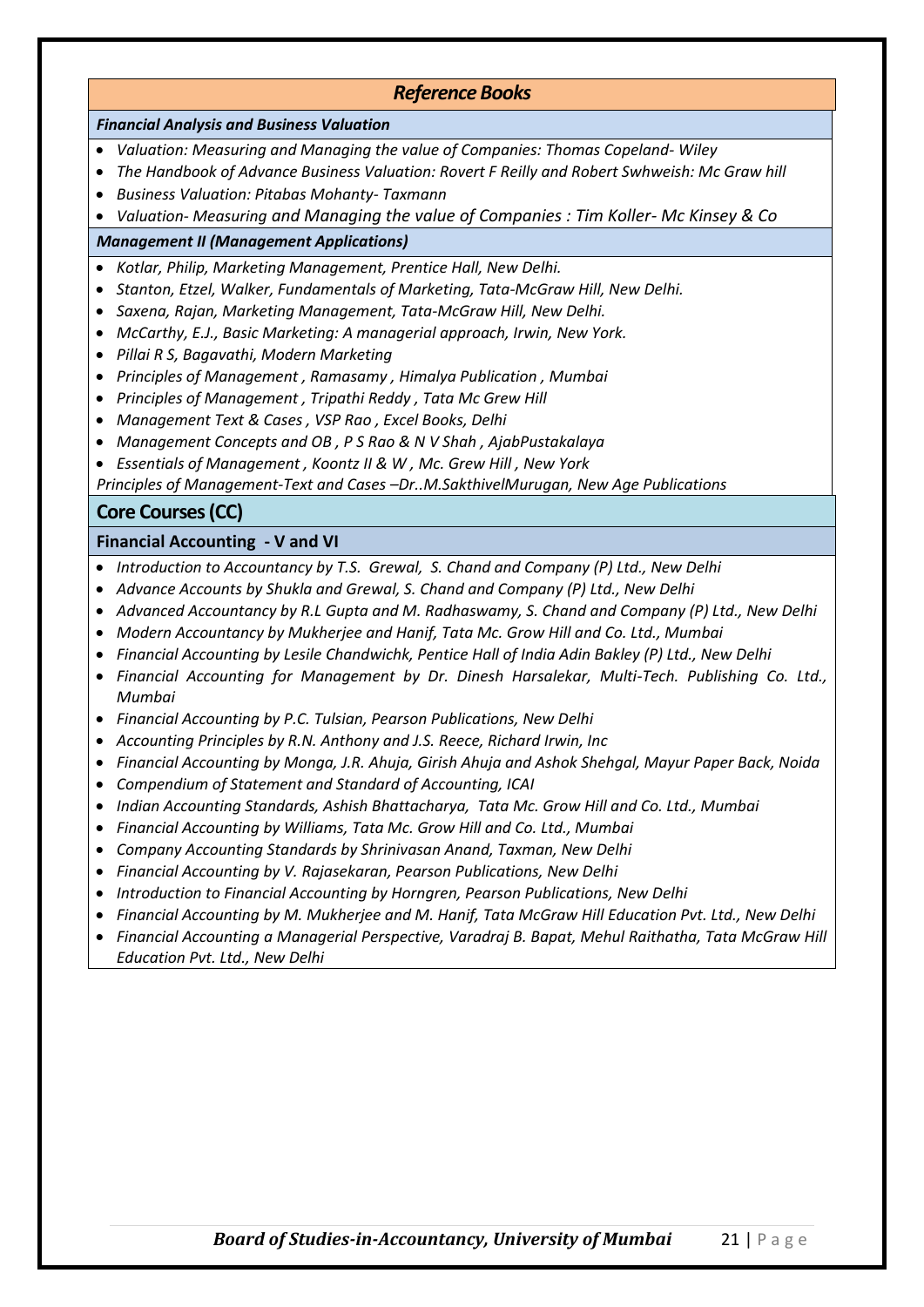#### *Reference Books*

#### *Financial Analysis and Business Valuation*

- *Valuation: Measuring and Managing the value of Companies: Thomas Copeland- Wiley*
- *The Handbook of Advance Business Valuation: Rovert F Reilly and Robert Swhweish: Mc Graw hill*
- *Business Valuation: Pitabas Mohanty- Taxmann*
- *Valuation- Measuring and Managing the value of Companies : Tim Koller- Mc Kinsey & Co*

#### *Management II (Management Applications)*

- *Kotlar, Philip, Marketing Management, Prentice Hall, New Delhi.*
- *Stanton, Etzel, Walker, Fundamentals of Marketing, Tata-McGraw Hill, New Delhi.*
- *Saxena, Rajan, Marketing Management, Tata-McGraw Hill, New Delhi.*
- *McCarthy, E.J., Basic Marketing: A managerial approach, Irwin, New York.*
- *Pillai R S, Bagavathi, Modern Marketing*
- *Principles of Management , Ramasamy , Himalya Publication , Mumbai*
- *Principles of Management , Tripathi Reddy , Tata Mc Grew Hill*
- *Management Text & Cases , VSP Rao , Excel Books, Delhi*
- *Management Concepts and OB , P S Rao & N V Shah , AjabPustakalaya*
- *Essentials of Management , Koontz II & W , Mc. Grew Hill , New York*

*Principles of Management-Text and Cases –Dr..M.SakthivelMurugan, New Age Publications*

#### **Core Courses (CC)**

#### **Financial Accounting - V and VI**

- *Introduction to Accountancy by T.S. Grewal, S. Chand and Company (P) Ltd., New Delhi*
- *Advance Accounts by Shukla and Grewal, S. Chand and Company (P) Ltd., New Delhi*
- *Advanced Accountancy by R.L Gupta and M. Radhaswamy, S. Chand and Company (P) Ltd., New Delhi*
- *Modern Accountancy by Mukherjee and Hanif, Tata Mc. Grow Hill and Co. Ltd., Mumbai*
- *Financial Accounting by Lesile Chandwichk, Pentice Hall of India Adin Bakley (P) Ltd., New Delhi*
- *Financial Accounting for Management by Dr. Dinesh Harsalekar, Multi-Tech. Publishing Co. Ltd., Mumbai*
- *Financial Accounting by P.C. Tulsian, Pearson Publications, New Delhi*
- *Accounting Principles by R.N. Anthony and J.S. Reece, Richard Irwin, Inc*
- *Financial Accounting by Monga, J.R. Ahuja, Girish Ahuja and Ashok Shehgal, Mayur Paper Back, Noida*
- *Compendium of Statement and Standard of Accounting, ICAI*
- *Indian Accounting Standards, Ashish Bhattacharya, Tata Mc. Grow Hill and Co. Ltd., Mumbai*
- *Financial Accounting by Williams, Tata Mc. Grow Hill and Co. Ltd., Mumbai*
- *Company Accounting Standards by Shrinivasan Anand, Taxman, New Delhi*
- *Financial Accounting by V. Rajasekaran, Pearson Publications, New Delhi*
- *Introduction to Financial Accounting by Horngren, Pearson Publications, New Delhi*
- *Financial Accounting by M. Mukherjee and M. Hanif, Tata McGraw Hill Education Pvt. Ltd., New Delhi*
- *Financial Accounting a Managerial Perspective, Varadraj B. Bapat, Mehul Raithatha, Tata McGraw Hill Education Pvt. Ltd., New Delhi*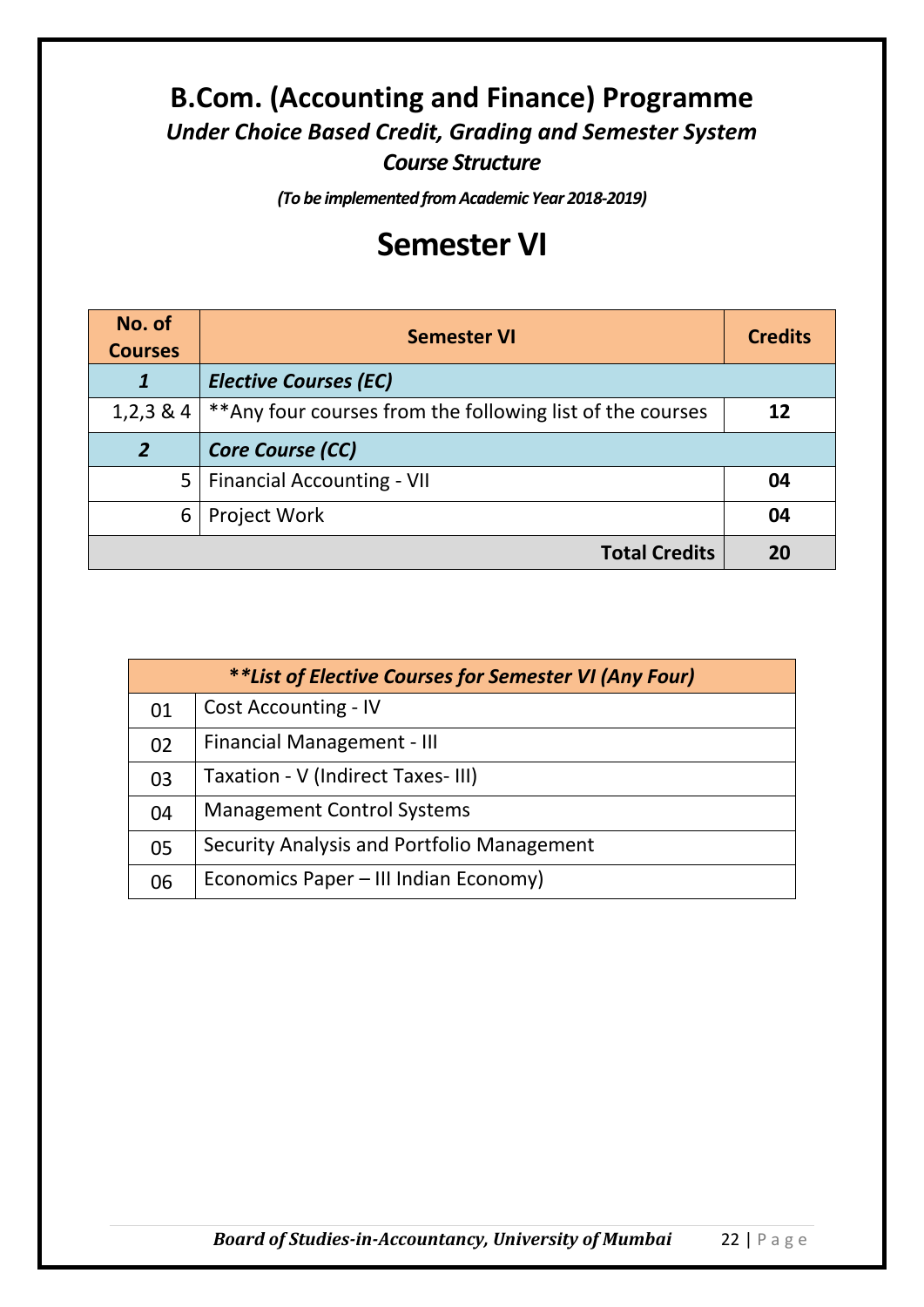## **B.Com. (Accounting and Finance) Programme** *Under Choice Based Credit, Grading and Semester System Course Structure*

*(To be implemented from Academic Year 2018-2019)*

# **Semester VI**

| No. of<br><b>Courses</b> | <b>Semester VI</b>                                         | <b>Credits</b> |
|--------------------------|------------------------------------------------------------|----------------|
|                          | <b>Elective Courses (EC)</b>                               |                |
| $1,2,3 \& 4$             | ** Any four courses from the following list of the courses | 12             |
| $\overline{2}$           | <b>Core Course (CC)</b>                                    |                |
| 5 <sup>1</sup>           | <b>Financial Accounting - VII</b>                          | 04             |
| 6                        | <b>Project Work</b>                                        | 04             |
|                          | <b>Total Credits</b>                                       | 20             |

| **List of Elective Courses for Semester VI (Any Four) |                                            |
|-------------------------------------------------------|--------------------------------------------|
| 01                                                    | <b>Cost Accounting - IV</b>                |
| 02                                                    | <b>Financial Management - III</b>          |
| 03                                                    | Taxation - V (Indirect Taxes-III)          |
| 04                                                    | <b>Management Control Systems</b>          |
| 05                                                    | Security Analysis and Portfolio Management |
| 06                                                    | Economics Paper - III Indian Economy)      |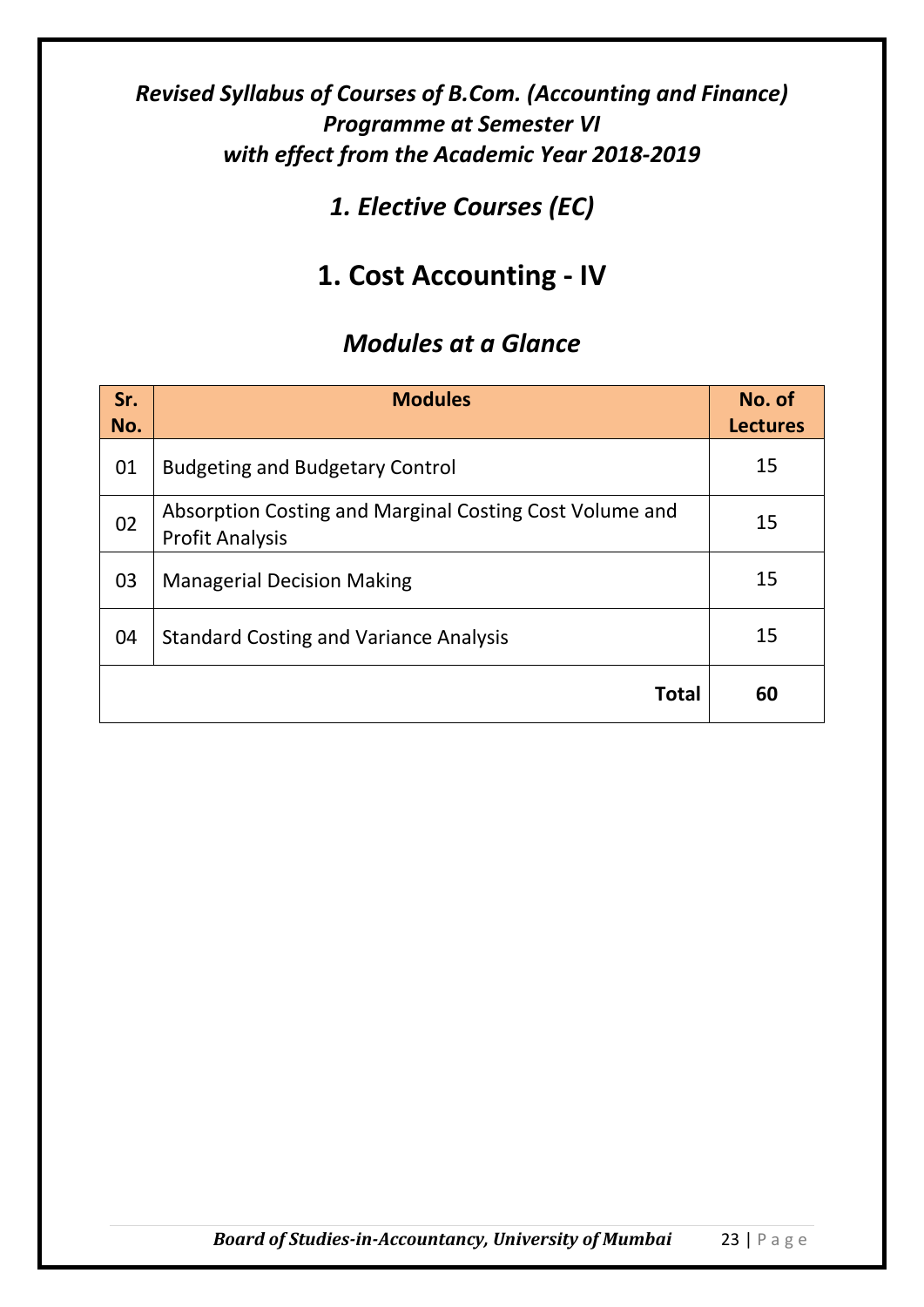## *1. Elective Courses (EC)*

# **1. Cost Accounting - IV**

| Sr.<br>No. | <b>Modules</b>                                                                    | No. of<br><b>Lectures</b> |
|------------|-----------------------------------------------------------------------------------|---------------------------|
| 01         | <b>Budgeting and Budgetary Control</b>                                            | 15                        |
| 02         | Absorption Costing and Marginal Costing Cost Volume and<br><b>Profit Analysis</b> | 15                        |
| 03         | <b>Managerial Decision Making</b>                                                 | 15                        |
| 04         | <b>Standard Costing and Variance Analysis</b>                                     | 15                        |
|            | <b>Total</b>                                                                      | 60                        |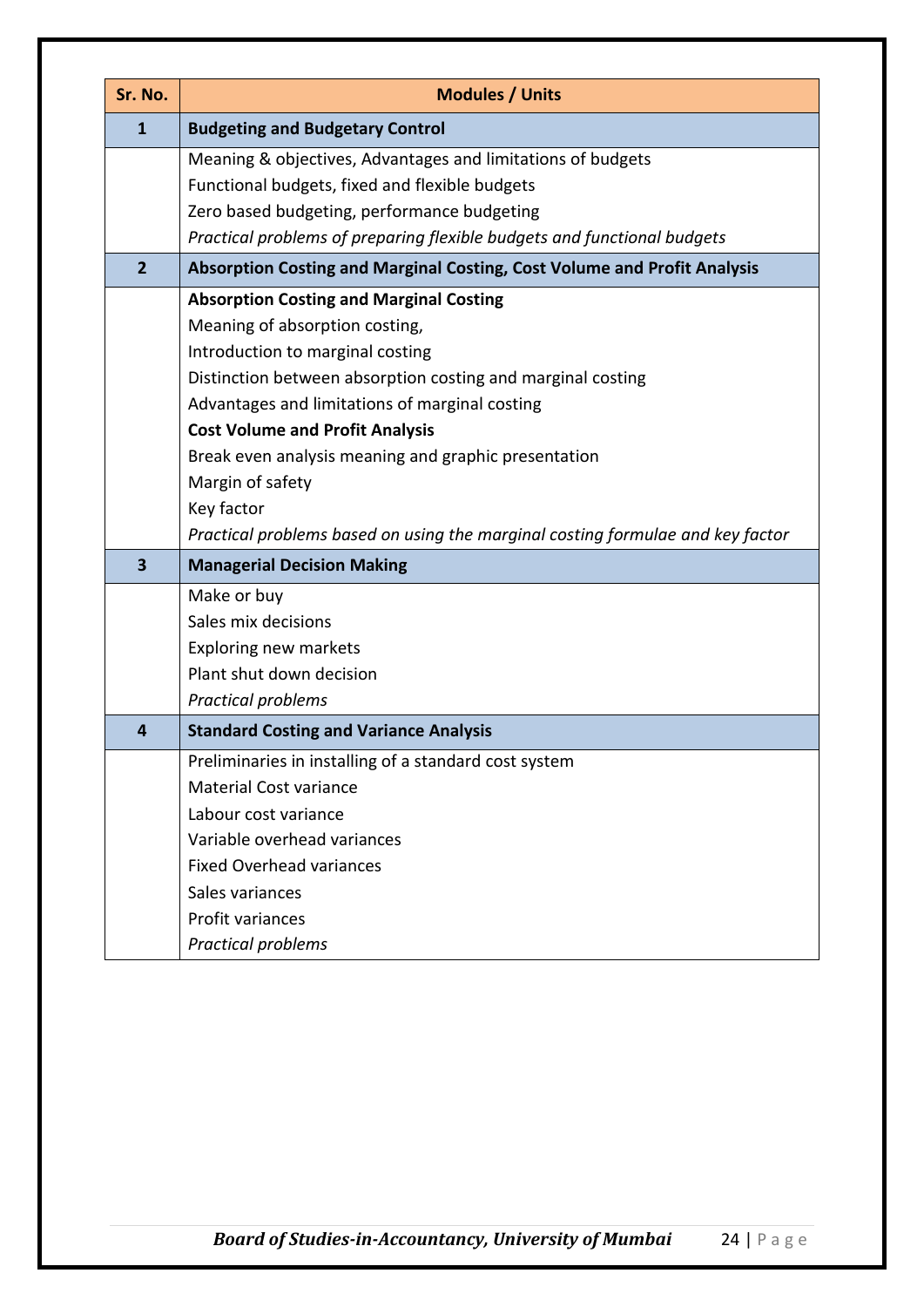| Sr. No.        | <b>Modules / Units</b>                                                         |
|----------------|--------------------------------------------------------------------------------|
| $\mathbf{1}$   | <b>Budgeting and Budgetary Control</b>                                         |
|                | Meaning & objectives, Advantages and limitations of budgets                    |
|                | Functional budgets, fixed and flexible budgets                                 |
|                | Zero based budgeting, performance budgeting                                    |
|                | Practical problems of preparing flexible budgets and functional budgets        |
| $\overline{2}$ | Absorption Costing and Marginal Costing, Cost Volume and Profit Analysis       |
|                | <b>Absorption Costing and Marginal Costing</b>                                 |
|                | Meaning of absorption costing,                                                 |
|                | Introduction to marginal costing                                               |
|                | Distinction between absorption costing and marginal costing                    |
|                | Advantages and limitations of marginal costing                                 |
|                | <b>Cost Volume and Profit Analysis</b>                                         |
|                | Break even analysis meaning and graphic presentation                           |
|                | Margin of safety                                                               |
|                | Key factor                                                                     |
|                | Practical problems based on using the marginal costing formulae and key factor |
| 3              | <b>Managerial Decision Making</b>                                              |
|                | Make or buy                                                                    |
|                | Sales mix decisions                                                            |
|                | <b>Exploring new markets</b>                                                   |
|                | Plant shut down decision                                                       |
|                | Practical problems                                                             |
| 4              | <b>Standard Costing and Variance Analysis</b>                                  |
|                | Preliminaries in installing of a standard cost system                          |
|                | <b>Material Cost variance</b>                                                  |
|                | Labour cost variance                                                           |
|                | Variable overhead variances                                                    |
|                | <b>Fixed Overhead variances</b>                                                |
|                | Sales variances                                                                |
|                | Profit variances                                                               |
|                | Practical problems                                                             |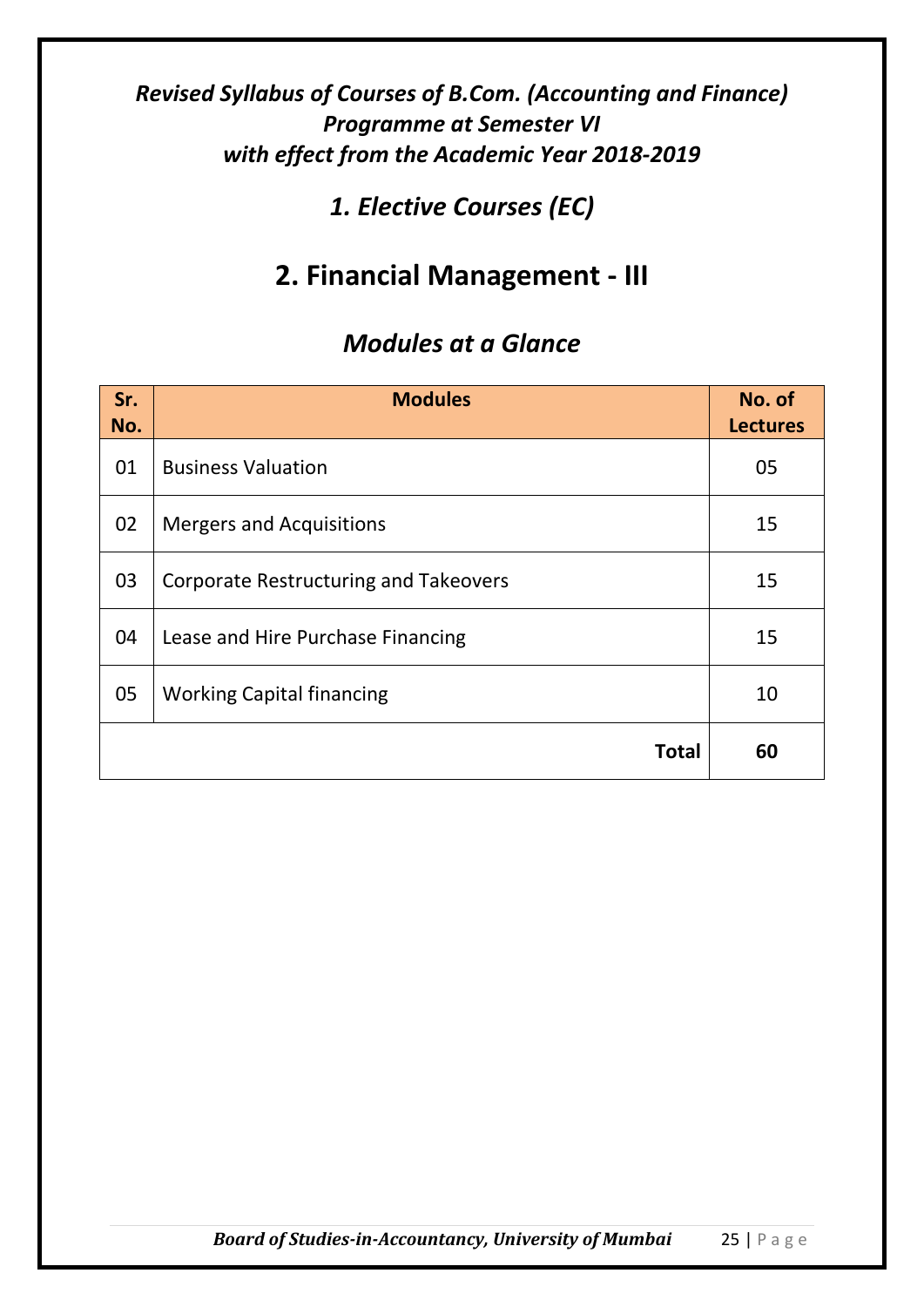## *1. Elective Courses (EC)*

# **2. Financial Management - III**

| Sr.<br>No. | <b>Modules</b>                               | No. of<br><b>Lectures</b> |
|------------|----------------------------------------------|---------------------------|
| 01         | <b>Business Valuation</b>                    | 05                        |
| 02         | <b>Mergers and Acquisitions</b>              | 15                        |
| 03         | <b>Corporate Restructuring and Takeovers</b> | 15                        |
| 04         | Lease and Hire Purchase Financing            | 15                        |
| 05         | <b>Working Capital financing</b>             | 10                        |
|            | <b>Total</b>                                 | 60                        |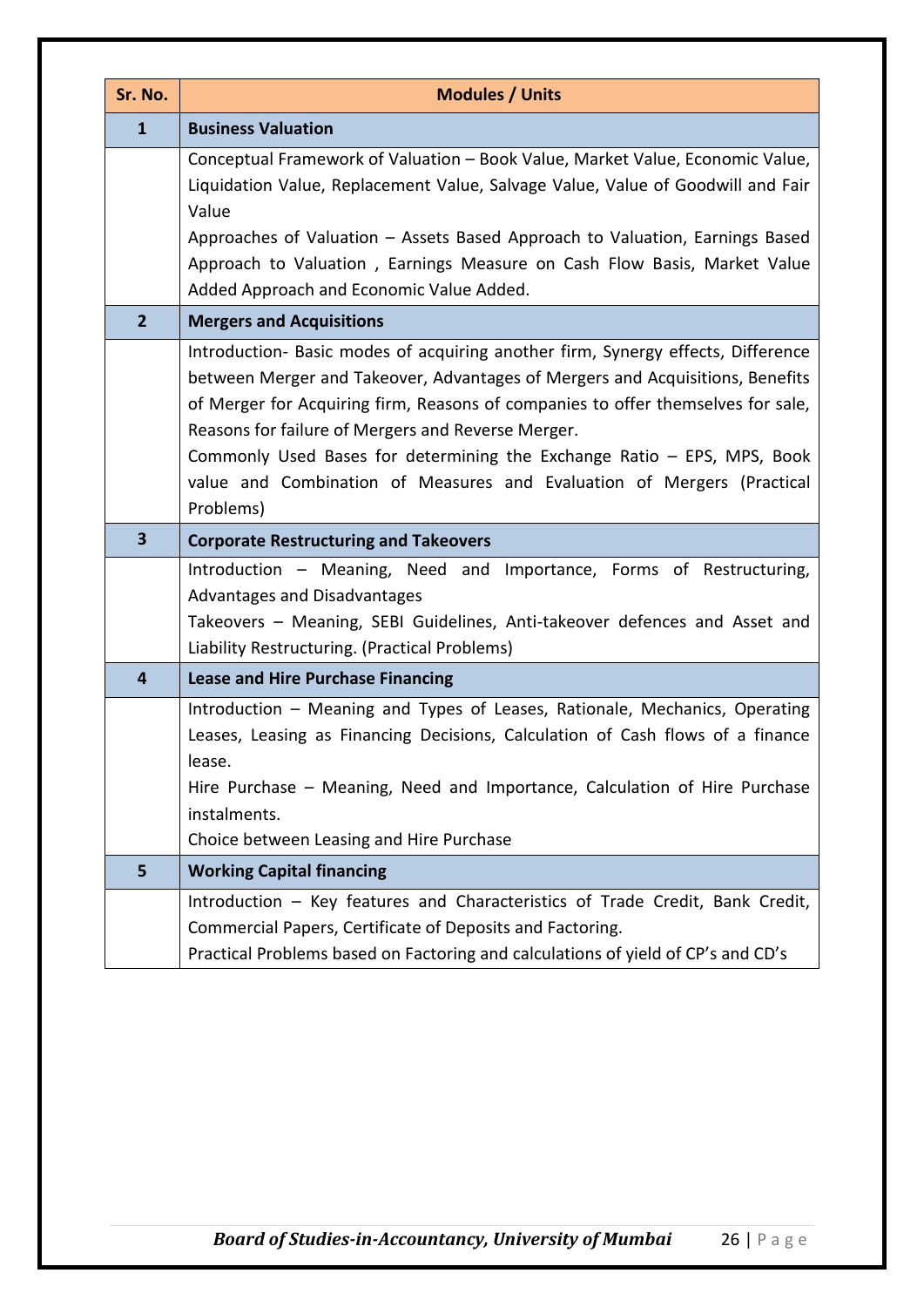| Sr. No.                 | <b>Modules / Units</b>                                                                                                                                                                                                                                                                                                                                                                                                                                                        |  |
|-------------------------|-------------------------------------------------------------------------------------------------------------------------------------------------------------------------------------------------------------------------------------------------------------------------------------------------------------------------------------------------------------------------------------------------------------------------------------------------------------------------------|--|
| $\mathbf{1}$            | <b>Business Valuation</b>                                                                                                                                                                                                                                                                                                                                                                                                                                                     |  |
|                         | Conceptual Framework of Valuation - Book Value, Market Value, Economic Value,<br>Liquidation Value, Replacement Value, Salvage Value, Value of Goodwill and Fair<br>Value<br>Approaches of Valuation – Assets Based Approach to Valuation, Earnings Based<br>Approach to Valuation, Earnings Measure on Cash Flow Basis, Market Value<br>Added Approach and Economic Value Added.                                                                                             |  |
| $\overline{2}$          | <b>Mergers and Acquisitions</b>                                                                                                                                                                                                                                                                                                                                                                                                                                               |  |
|                         | Introduction- Basic modes of acquiring another firm, Synergy effects, Difference<br>between Merger and Takeover, Advantages of Mergers and Acquisitions, Benefits<br>of Merger for Acquiring firm, Reasons of companies to offer themselves for sale,<br>Reasons for failure of Mergers and Reverse Merger.<br>Commonly Used Bases for determining the Exchange Ratio - EPS, MPS, Book<br>value and Combination of Measures and Evaluation of Mergers (Practical<br>Problems) |  |
| $\overline{\mathbf{3}}$ | <b>Corporate Restructuring and Takeovers</b>                                                                                                                                                                                                                                                                                                                                                                                                                                  |  |
|                         | Introduction – Meaning, Need and Importance, Forms of Restructuring,<br>Advantages and Disadvantages<br>Takeovers - Meaning, SEBI Guidelines, Anti-takeover defences and Asset and<br>Liability Restructuring. (Practical Problems)                                                                                                                                                                                                                                           |  |
| 4                       | <b>Lease and Hire Purchase Financing</b>                                                                                                                                                                                                                                                                                                                                                                                                                                      |  |
|                         | Introduction - Meaning and Types of Leases, Rationale, Mechanics, Operating<br>Leases, Leasing as Financing Decisions, Calculation of Cash flows of a finance<br>lease.<br>Hire Purchase – Meaning, Need and Importance, Calculation of Hire Purchase<br>instalments.<br>Choice between Leasing and Hire Purchase                                                                                                                                                             |  |
| 5                       | <b>Working Capital financing</b>                                                                                                                                                                                                                                                                                                                                                                                                                                              |  |
|                         | Introduction - Key features and Characteristics of Trade Credit, Bank Credit,<br>Commercial Papers, Certificate of Deposits and Factoring.<br>Practical Problems based on Factoring and calculations of yield of CP's and CD's                                                                                                                                                                                                                                                |  |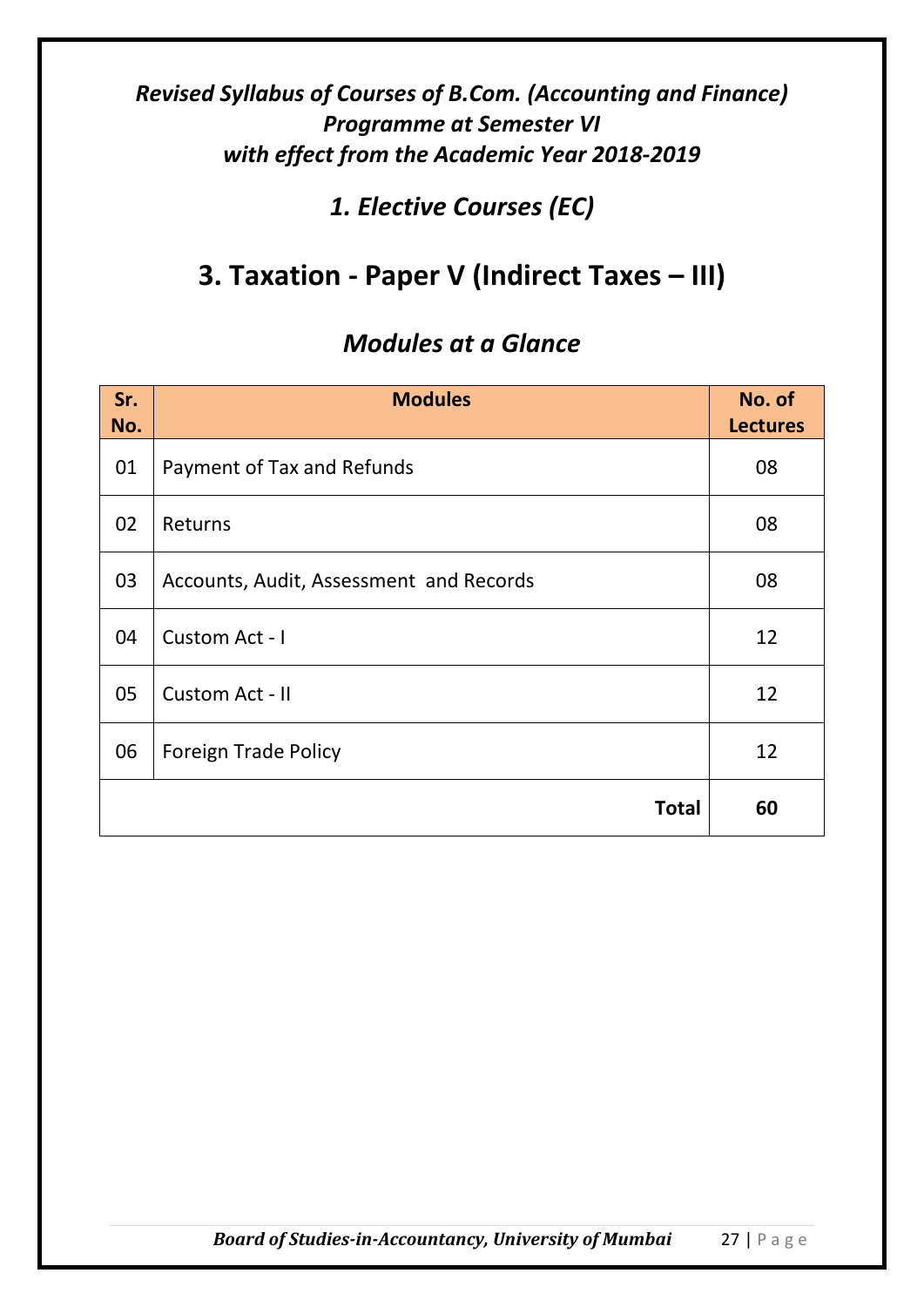*1. Elective Courses (EC)*

# **3. Taxation - Paper V (Indirect Taxes – III)**

| Sr.<br>No. | <b>Modules</b>                          | No. of<br><b>Lectures</b> |
|------------|-----------------------------------------|---------------------------|
| 01         | Payment of Tax and Refunds              | 08                        |
| 02         | Returns                                 | 08                        |
| 03         | Accounts, Audit, Assessment and Records | 08                        |
| 04         | Custom Act - I                          | 12                        |
| 05         | Custom Act - II                         | 12                        |
| 06         | <b>Foreign Trade Policy</b>             | 12                        |
|            | <b>Total</b>                            | 60                        |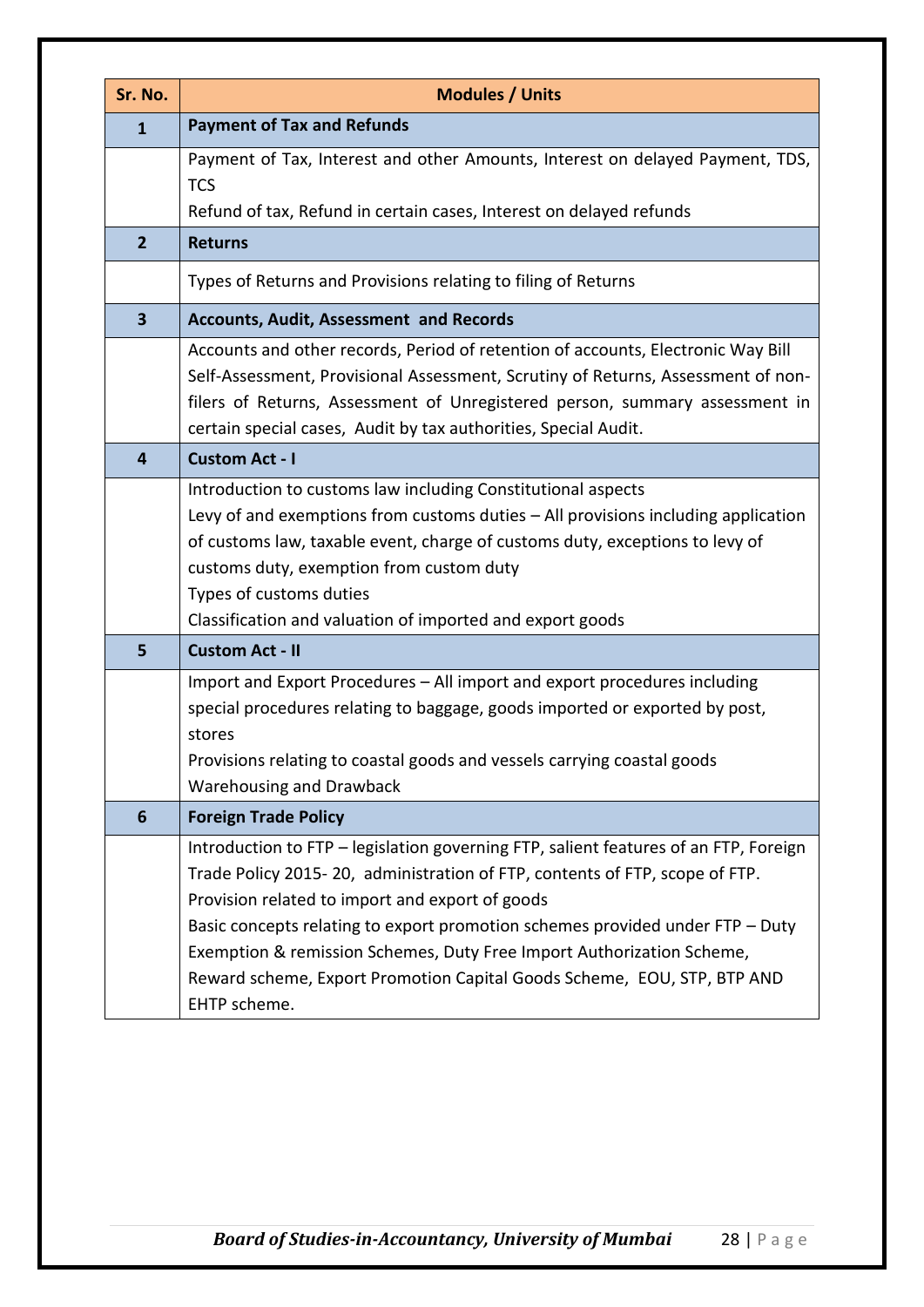| Sr. No.                 | <b>Modules / Units</b>                                                                                                                                                                                                                                                                                                                                                                                                                                                      |
|-------------------------|-----------------------------------------------------------------------------------------------------------------------------------------------------------------------------------------------------------------------------------------------------------------------------------------------------------------------------------------------------------------------------------------------------------------------------------------------------------------------------|
| $\overline{1}$          | <b>Payment of Tax and Refunds</b>                                                                                                                                                                                                                                                                                                                                                                                                                                           |
|                         | Payment of Tax, Interest and other Amounts, Interest on delayed Payment, TDS,<br><b>TCS</b><br>Refund of tax, Refund in certain cases, Interest on delayed refunds                                                                                                                                                                                                                                                                                                          |
| $\overline{2}$          | <b>Returns</b>                                                                                                                                                                                                                                                                                                                                                                                                                                                              |
|                         | Types of Returns and Provisions relating to filing of Returns                                                                                                                                                                                                                                                                                                                                                                                                               |
| $\overline{\mathbf{3}}$ | <b>Accounts, Audit, Assessment and Records</b>                                                                                                                                                                                                                                                                                                                                                                                                                              |
|                         | Accounts and other records, Period of retention of accounts, Electronic Way Bill<br>Self-Assessment, Provisional Assessment, Scrutiny of Returns, Assessment of non-<br>filers of Returns, Assessment of Unregistered person, summary assessment in<br>certain special cases, Audit by tax authorities, Special Audit.                                                                                                                                                      |
| 4                       | <b>Custom Act - I</b>                                                                                                                                                                                                                                                                                                                                                                                                                                                       |
|                         | Introduction to customs law including Constitutional aspects<br>Levy of and exemptions from customs duties - All provisions including application<br>of customs law, taxable event, charge of customs duty, exceptions to levy of<br>customs duty, exemption from custom duty<br>Types of customs duties<br>Classification and valuation of imported and export goods                                                                                                       |
| 5                       | <b>Custom Act - II</b>                                                                                                                                                                                                                                                                                                                                                                                                                                                      |
|                         | Import and Export Procedures - All import and export procedures including<br>special procedures relating to baggage, goods imported or exported by post,<br>stores<br>Provisions relating to coastal goods and vessels carrying coastal goods<br>Warehousing and Drawback                                                                                                                                                                                                   |
| 6                       | <b>Foreign Trade Policy</b>                                                                                                                                                                                                                                                                                                                                                                                                                                                 |
|                         | Introduction to FTP - legislation governing FTP, salient features of an FTP, Foreign<br>Trade Policy 2015-20, administration of FTP, contents of FTP, scope of FTP.<br>Provision related to import and export of goods<br>Basic concepts relating to export promotion schemes provided under FTP - Duty<br>Exemption & remission Schemes, Duty Free Import Authorization Scheme,<br>Reward scheme, Export Promotion Capital Goods Scheme, EOU, STP, BTP AND<br>EHTP scheme. |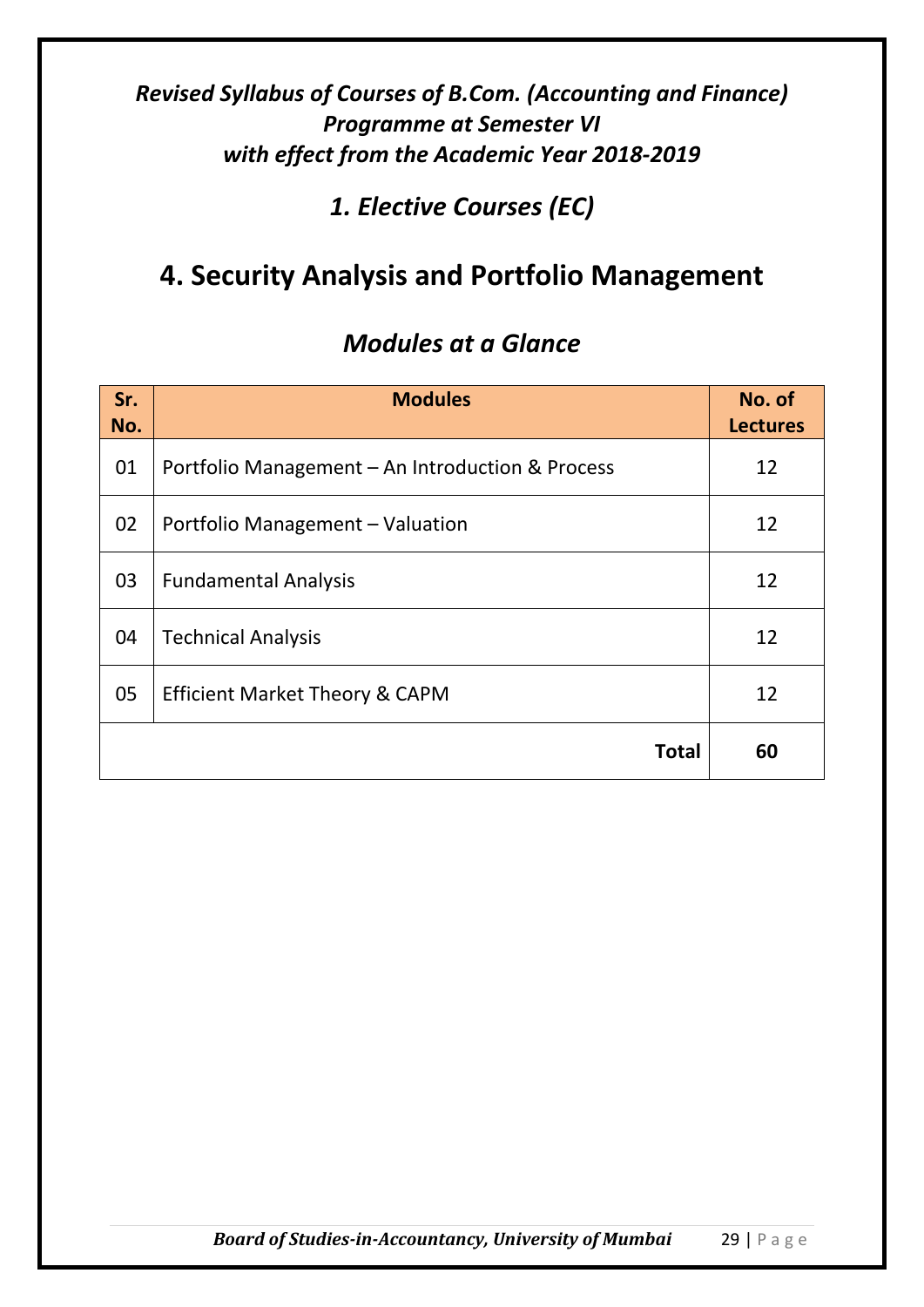*1. Elective Courses (EC)*

# **4. Security Analysis and Portfolio Management**

| Sr.<br>No. | <b>Modules</b>                                   | No. of<br><b>Lectures</b> |
|------------|--------------------------------------------------|---------------------------|
| 01         | Portfolio Management - An Introduction & Process | 12                        |
| 02         | Portfolio Management - Valuation                 | 12                        |
| 03         | <b>Fundamental Analysis</b>                      | 12                        |
| 04         | <b>Technical Analysis</b>                        | 12                        |
| 05         | <b>Efficient Market Theory &amp; CAPM</b>        | 12                        |
|            | <b>Total</b>                                     | 60                        |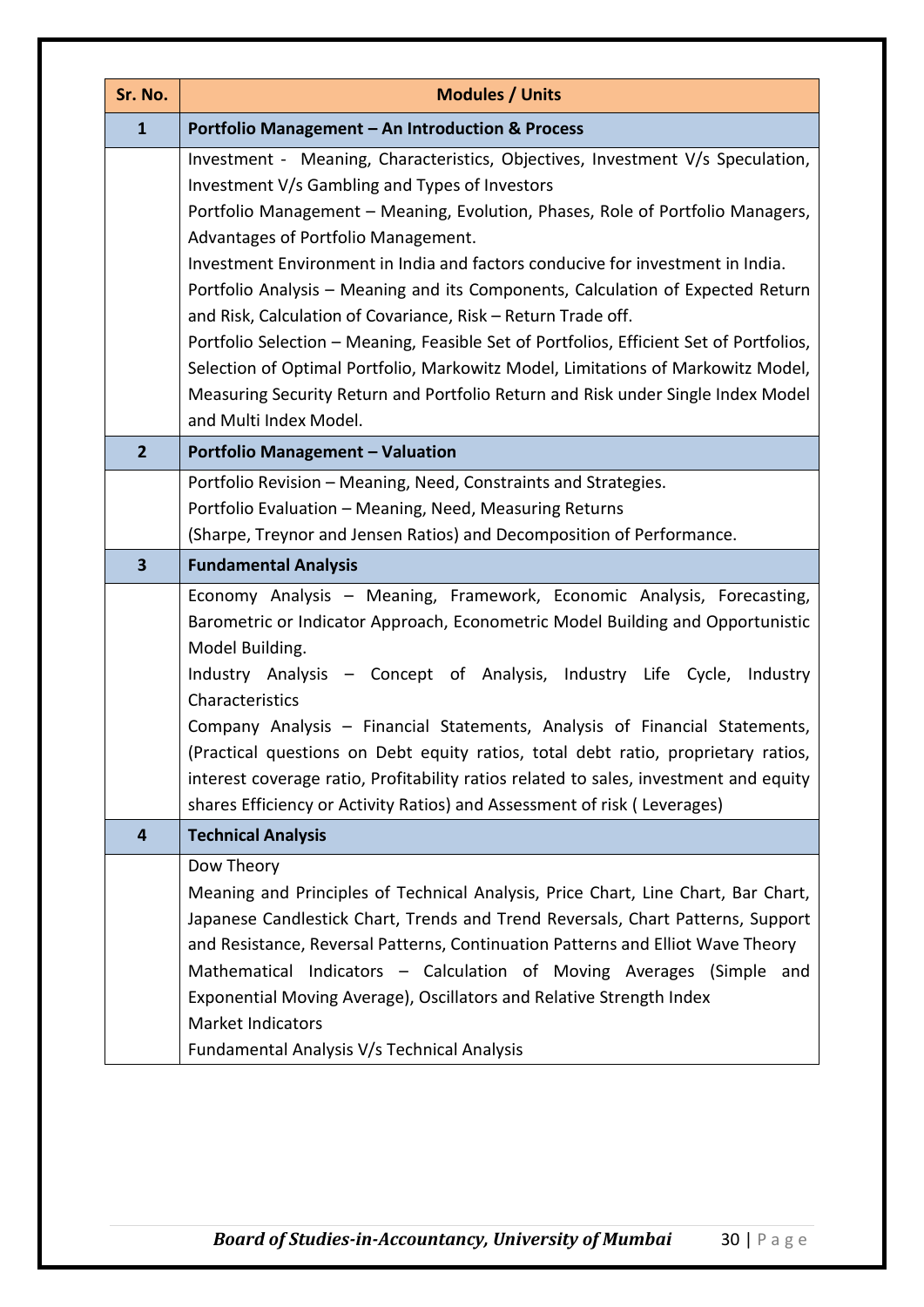| Sr. No.                 | <b>Modules / Units</b>                                                                                                                                                                                                                                                                                                                                                                                                                                                                                                                                                                                           |  |
|-------------------------|------------------------------------------------------------------------------------------------------------------------------------------------------------------------------------------------------------------------------------------------------------------------------------------------------------------------------------------------------------------------------------------------------------------------------------------------------------------------------------------------------------------------------------------------------------------------------------------------------------------|--|
| $\mathbf{1}$            | Portfolio Management - An Introduction & Process                                                                                                                                                                                                                                                                                                                                                                                                                                                                                                                                                                 |  |
|                         | Investment - Meaning, Characteristics, Objectives, Investment V/s Speculation,<br>Investment V/s Gambling and Types of Investors<br>Portfolio Management - Meaning, Evolution, Phases, Role of Portfolio Managers,<br>Advantages of Portfolio Management.                                                                                                                                                                                                                                                                                                                                                        |  |
|                         | Investment Environment in India and factors conducive for investment in India.<br>Portfolio Analysis - Meaning and its Components, Calculation of Expected Return<br>and Risk, Calculation of Covariance, Risk - Return Trade off.<br>Portfolio Selection - Meaning, Feasible Set of Portfolios, Efficient Set of Portfolios,<br>Selection of Optimal Portfolio, Markowitz Model, Limitations of Markowitz Model,<br>Measuring Security Return and Portfolio Return and Risk under Single Index Model<br>and Multi Index Model.                                                                                  |  |
| $\overline{2}$          | <b>Portfolio Management - Valuation</b>                                                                                                                                                                                                                                                                                                                                                                                                                                                                                                                                                                          |  |
|                         | Portfolio Revision - Meaning, Need, Constraints and Strategies.<br>Portfolio Evaluation - Meaning, Need, Measuring Returns<br>(Sharpe, Treynor and Jensen Ratios) and Decomposition of Performance.                                                                                                                                                                                                                                                                                                                                                                                                              |  |
| $\overline{\mathbf{3}}$ | <b>Fundamental Analysis</b>                                                                                                                                                                                                                                                                                                                                                                                                                                                                                                                                                                                      |  |
|                         | Economy Analysis - Meaning, Framework, Economic Analysis, Forecasting,<br>Barometric or Indicator Approach, Econometric Model Building and Opportunistic<br>Model Building.<br>Industry Analysis - Concept of Analysis, Industry Life Cycle, Industry<br>Characteristics<br>Company Analysis - Financial Statements, Analysis of Financial Statements,<br>(Practical questions on Debt equity ratios, total debt ratio, proprietary ratios,<br>interest coverage ratio, Profitability ratios related to sales, investment and equity<br>shares Efficiency or Activity Ratios) and Assessment of risk (Leverages) |  |
| 4                       | <b>Technical Analysis</b>                                                                                                                                                                                                                                                                                                                                                                                                                                                                                                                                                                                        |  |
|                         | Dow Theory<br>Meaning and Principles of Technical Analysis, Price Chart, Line Chart, Bar Chart,<br>Japanese Candlestick Chart, Trends and Trend Reversals, Chart Patterns, Support<br>and Resistance, Reversal Patterns, Continuation Patterns and Elliot Wave Theory<br>Mathematical Indicators - Calculation of Moving Averages (Simple and<br>Exponential Moving Average), Oscillators and Relative Strength Index<br>Market Indicators<br>Fundamental Analysis V/s Technical Analysis                                                                                                                        |  |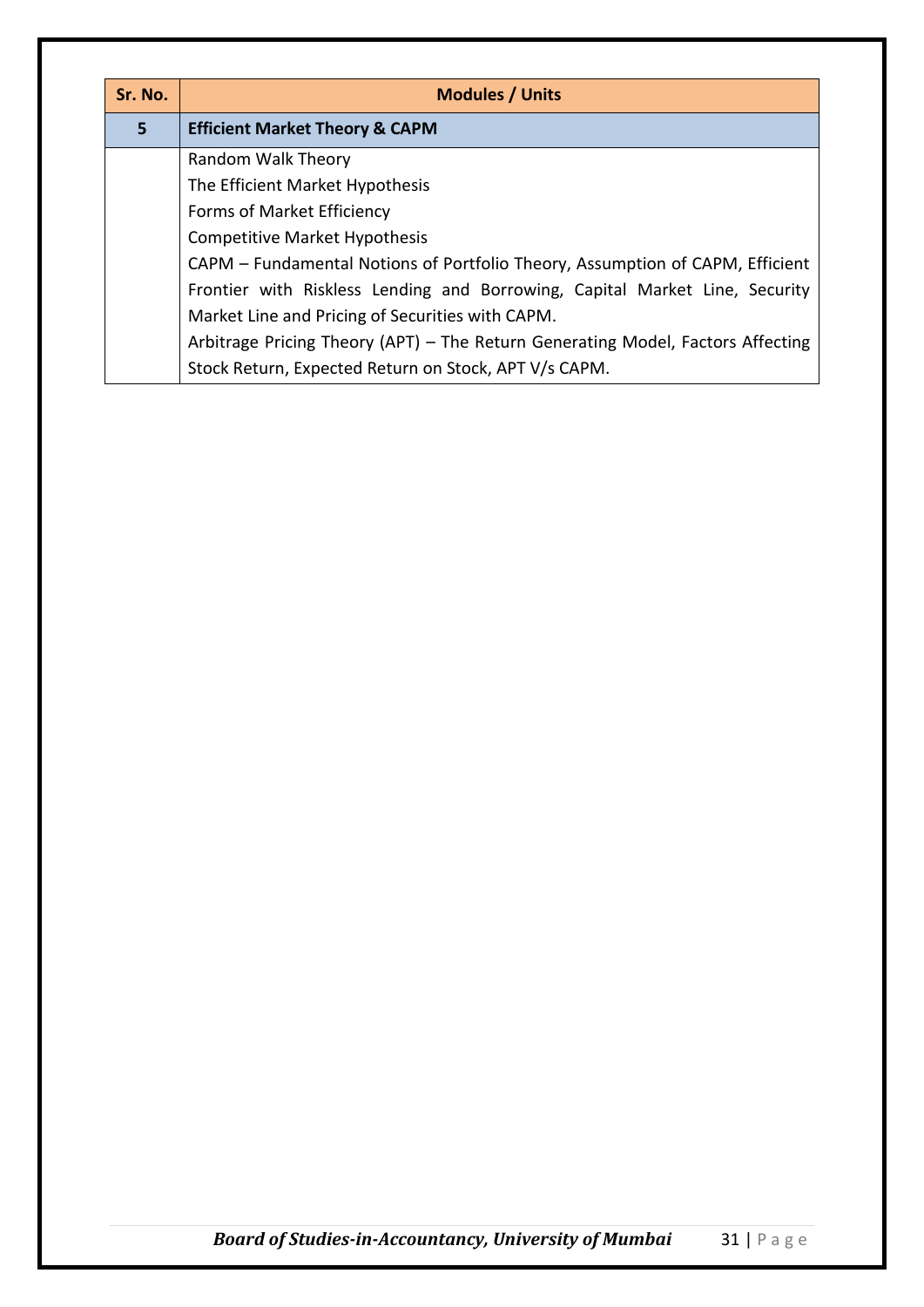| Sr. No.        | <b>Modules / Units</b>                                                          |  |
|----------------|---------------------------------------------------------------------------------|--|
| 5 <sup>1</sup> | <b>Efficient Market Theory &amp; CAPM</b>                                       |  |
|                | Random Walk Theory                                                              |  |
|                | The Efficient Market Hypothesis                                                 |  |
|                | Forms of Market Efficiency                                                      |  |
|                | <b>Competitive Market Hypothesis</b>                                            |  |
|                | CAPM – Fundamental Notions of Portfolio Theory, Assumption of CAPM, Efficient   |  |
|                | Frontier with Riskless Lending and Borrowing, Capital Market Line, Security     |  |
|                | Market Line and Pricing of Securities with CAPM.                                |  |
|                | Arbitrage Pricing Theory (APT) – The Return Generating Model, Factors Affecting |  |
|                | Stock Return, Expected Return on Stock, APT V/s CAPM.                           |  |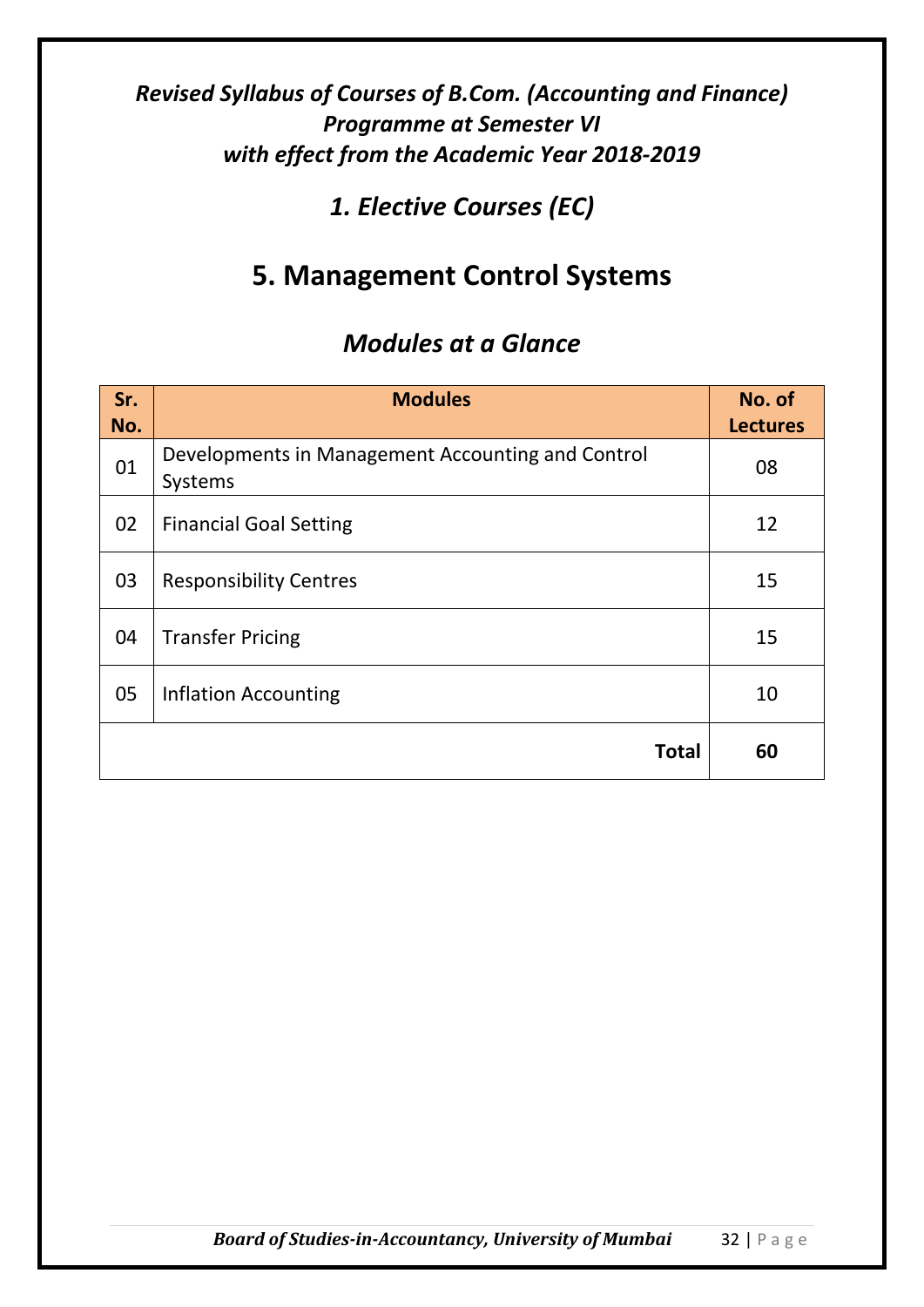## *1. Elective Courses (EC)*

# **5. Management Control Systems**

| Sr.<br>No. | <b>Modules</b>                                               | No. of<br><b>Lectures</b> |
|------------|--------------------------------------------------------------|---------------------------|
| 01         | Developments in Management Accounting and Control<br>Systems | 08                        |
| 02         | <b>Financial Goal Setting</b>                                | 12                        |
| 03         | <b>Responsibility Centres</b>                                | 15                        |
| 04         | <b>Transfer Pricing</b>                                      | 15                        |
| 05         | <b>Inflation Accounting</b>                                  | 10                        |
|            | <b>Total</b>                                                 | 60                        |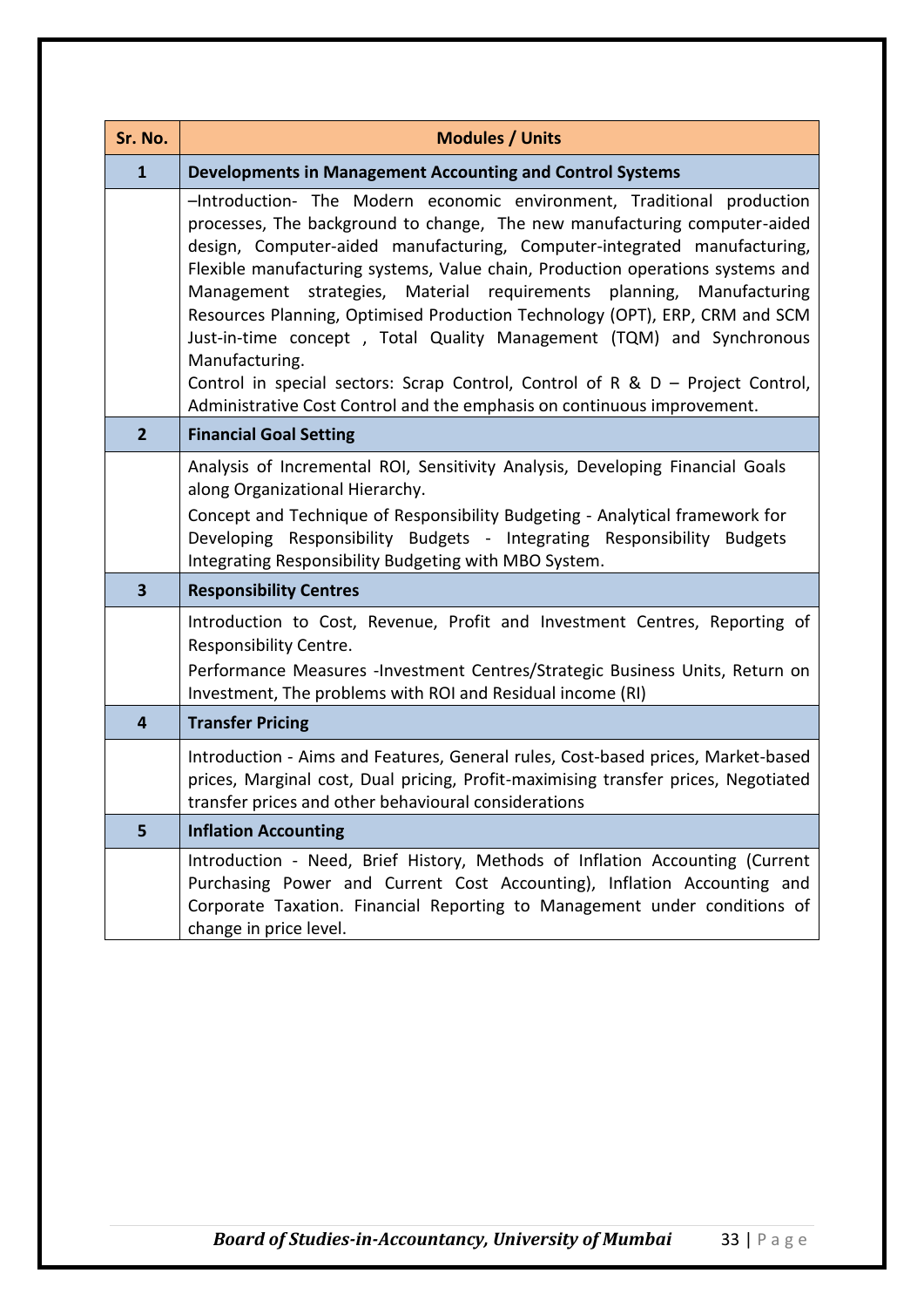| Sr. No.                 | <b>Modules / Units</b>                                                                                                                                                                                                                                                                                                                                                                                                                                                                                                                                                                                                                                                                                                               |  |
|-------------------------|--------------------------------------------------------------------------------------------------------------------------------------------------------------------------------------------------------------------------------------------------------------------------------------------------------------------------------------------------------------------------------------------------------------------------------------------------------------------------------------------------------------------------------------------------------------------------------------------------------------------------------------------------------------------------------------------------------------------------------------|--|
| $\mathbf{1}$            | <b>Developments in Management Accounting and Control Systems</b>                                                                                                                                                                                                                                                                                                                                                                                                                                                                                                                                                                                                                                                                     |  |
|                         | -Introduction- The Modern economic environment, Traditional production<br>processes, The background to change, The new manufacturing computer-aided<br>design, Computer-aided manufacturing, Computer-integrated manufacturing,<br>Flexible manufacturing systems, Value chain, Production operations systems and<br>Management strategies, Material requirements planning,<br>Manufacturing<br>Resources Planning, Optimised Production Technology (OPT), ERP, CRM and SCM<br>Just-in-time concept, Total Quality Management (TQM) and Synchronous<br>Manufacturing.<br>Control in special sectors: Scrap Control, Control of R & $D -$ Project Control,<br>Administrative Cost Control and the emphasis on continuous improvement. |  |
| $\overline{2}$          | <b>Financial Goal Setting</b>                                                                                                                                                                                                                                                                                                                                                                                                                                                                                                                                                                                                                                                                                                        |  |
|                         | Analysis of Incremental ROI, Sensitivity Analysis, Developing Financial Goals<br>along Organizational Hierarchy.<br>Concept and Technique of Responsibility Budgeting - Analytical framework for<br>Developing Responsibility Budgets - Integrating Responsibility Budgets<br>Integrating Responsibility Budgeting with MBO System.                                                                                                                                                                                                                                                                                                                                                                                                  |  |
| $\overline{\mathbf{3}}$ | <b>Responsibility Centres</b>                                                                                                                                                                                                                                                                                                                                                                                                                                                                                                                                                                                                                                                                                                        |  |
|                         | Introduction to Cost, Revenue, Profit and Investment Centres, Reporting of<br>Responsibility Centre.<br>Performance Measures -Investment Centres/Strategic Business Units, Return on<br>Investment, The problems with ROI and Residual income (RI)                                                                                                                                                                                                                                                                                                                                                                                                                                                                                   |  |
| $\overline{\mathbf{r}}$ | <b>Transfer Pricing</b>                                                                                                                                                                                                                                                                                                                                                                                                                                                                                                                                                                                                                                                                                                              |  |
|                         | Introduction - Aims and Features, General rules, Cost-based prices, Market-based<br>prices, Marginal cost, Dual pricing, Profit-maximising transfer prices, Negotiated<br>transfer prices and other behavioural considerations                                                                                                                                                                                                                                                                                                                                                                                                                                                                                                       |  |
| 5                       | <b>Inflation Accounting</b>                                                                                                                                                                                                                                                                                                                                                                                                                                                                                                                                                                                                                                                                                                          |  |
|                         | Introduction - Need, Brief History, Methods of Inflation Accounting (Current<br>Purchasing Power and Current Cost Accounting), Inflation Accounting and<br>Corporate Taxation. Financial Reporting to Management under conditions of<br>change in price level.                                                                                                                                                                                                                                                                                                                                                                                                                                                                       |  |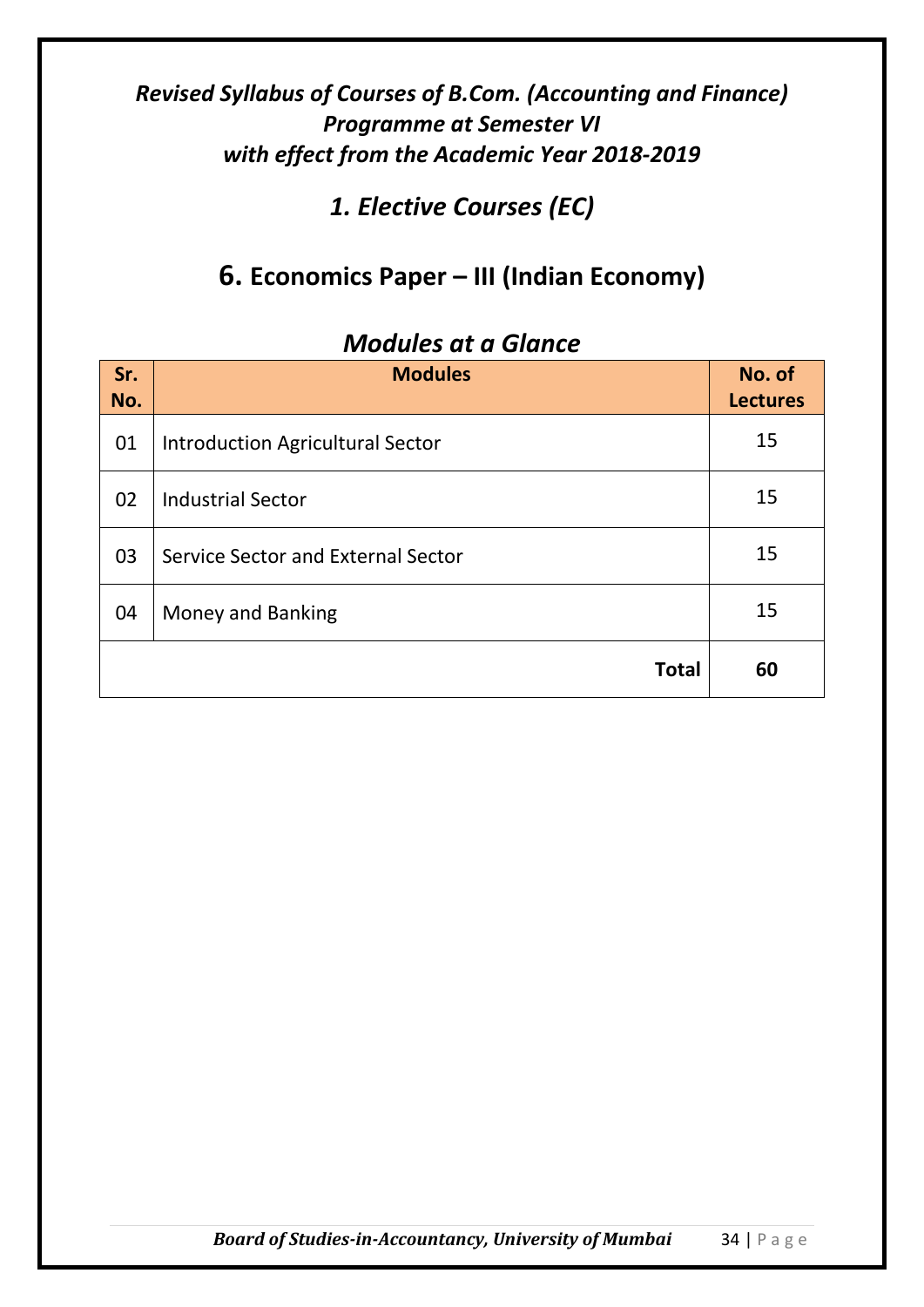*1. Elective Courses (EC)*

## **6. Economics Paper – III (Indian Economy)**

| Sr.<br>No. | <b>Modules</b>                          | No. of<br><b>Lectures</b> |
|------------|-----------------------------------------|---------------------------|
| 01         | <b>Introduction Agricultural Sector</b> | 15                        |
| 02         | <b>Industrial Sector</b>                | 15                        |
| 03         | Service Sector and External Sector      | 15                        |
| 04         | Money and Banking                       | 15                        |
|            | <b>Total</b>                            | 60                        |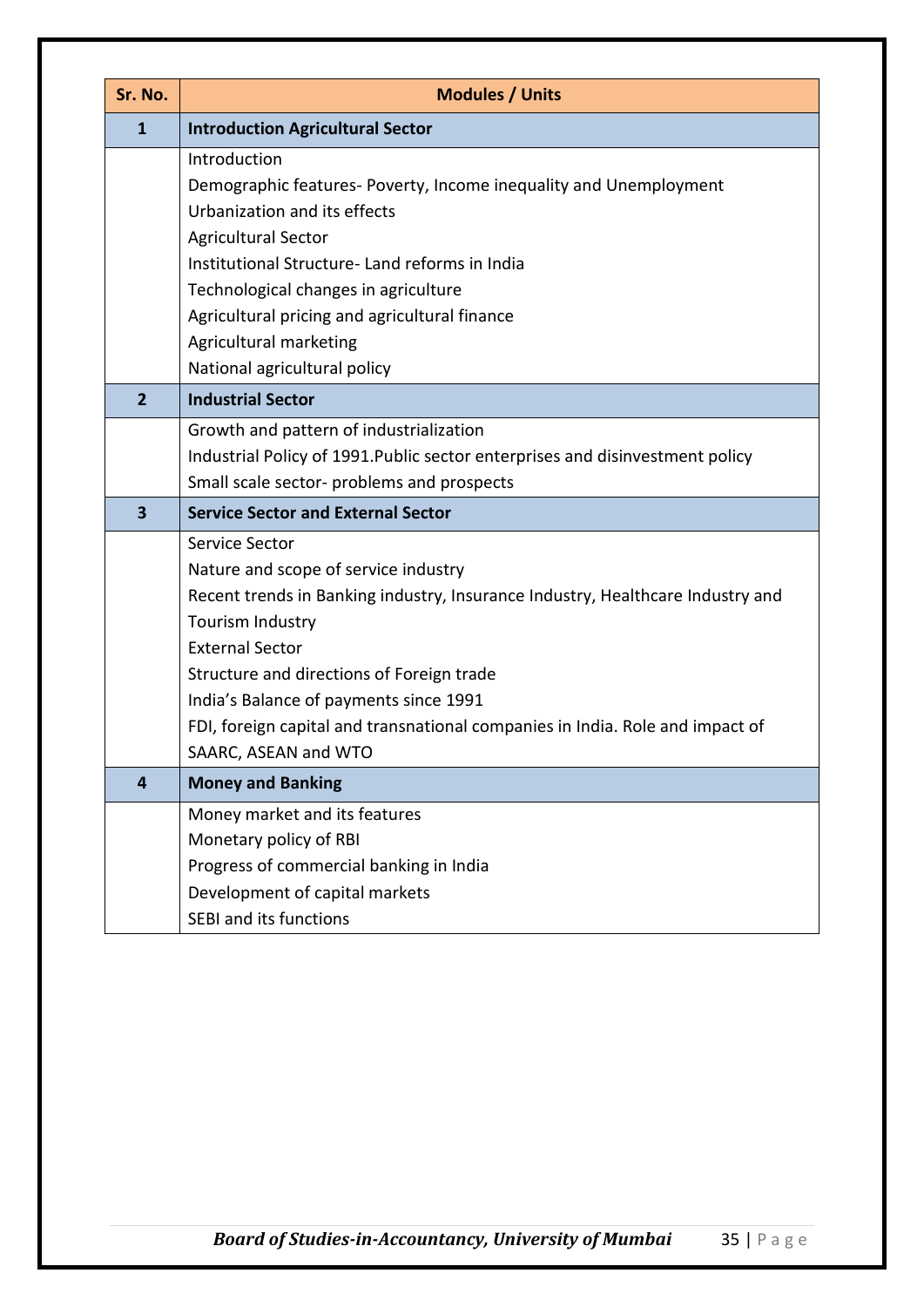| Sr. No.                 | <b>Modules / Units</b>                                                         |
|-------------------------|--------------------------------------------------------------------------------|
| $\mathbf{1}$            | <b>Introduction Agricultural Sector</b>                                        |
|                         | Introduction                                                                   |
|                         | Demographic features- Poverty, Income inequality and Unemployment              |
|                         | Urbanization and its effects                                                   |
|                         | <b>Agricultural Sector</b>                                                     |
|                         | Institutional Structure-Land reforms in India                                  |
|                         | Technological changes in agriculture                                           |
|                         | Agricultural pricing and agricultural finance                                  |
|                         | Agricultural marketing<br>National agricultural policy                         |
| $\overline{2}$          | <b>Industrial Sector</b>                                                       |
|                         |                                                                                |
|                         | Growth and pattern of industrialization                                        |
|                         | Industrial Policy of 1991. Public sector enterprises and disinvestment policy  |
|                         | Small scale sector- problems and prospects                                     |
| $\overline{\mathbf{3}}$ | <b>Service Sector and External Sector</b>                                      |
|                         | Service Sector                                                                 |
|                         | Nature and scope of service industry                                           |
|                         | Recent trends in Banking industry, Insurance Industry, Healthcare Industry and |
|                         | Tourism Industry<br><b>External Sector</b>                                     |
|                         | Structure and directions of Foreign trade                                      |
|                         | India's Balance of payments since 1991                                         |
|                         | FDI, foreign capital and transnational companies in India. Role and impact of  |
|                         | SAARC, ASEAN and WTO                                                           |
| $\overline{\mathbf{4}}$ | <b>Money and Banking</b>                                                       |
|                         | Money market and its features                                                  |
|                         | Monetary policy of RBI                                                         |
|                         | Progress of commercial banking in India                                        |
|                         | Development of capital markets                                                 |
|                         | <b>SEBI and its functions</b>                                                  |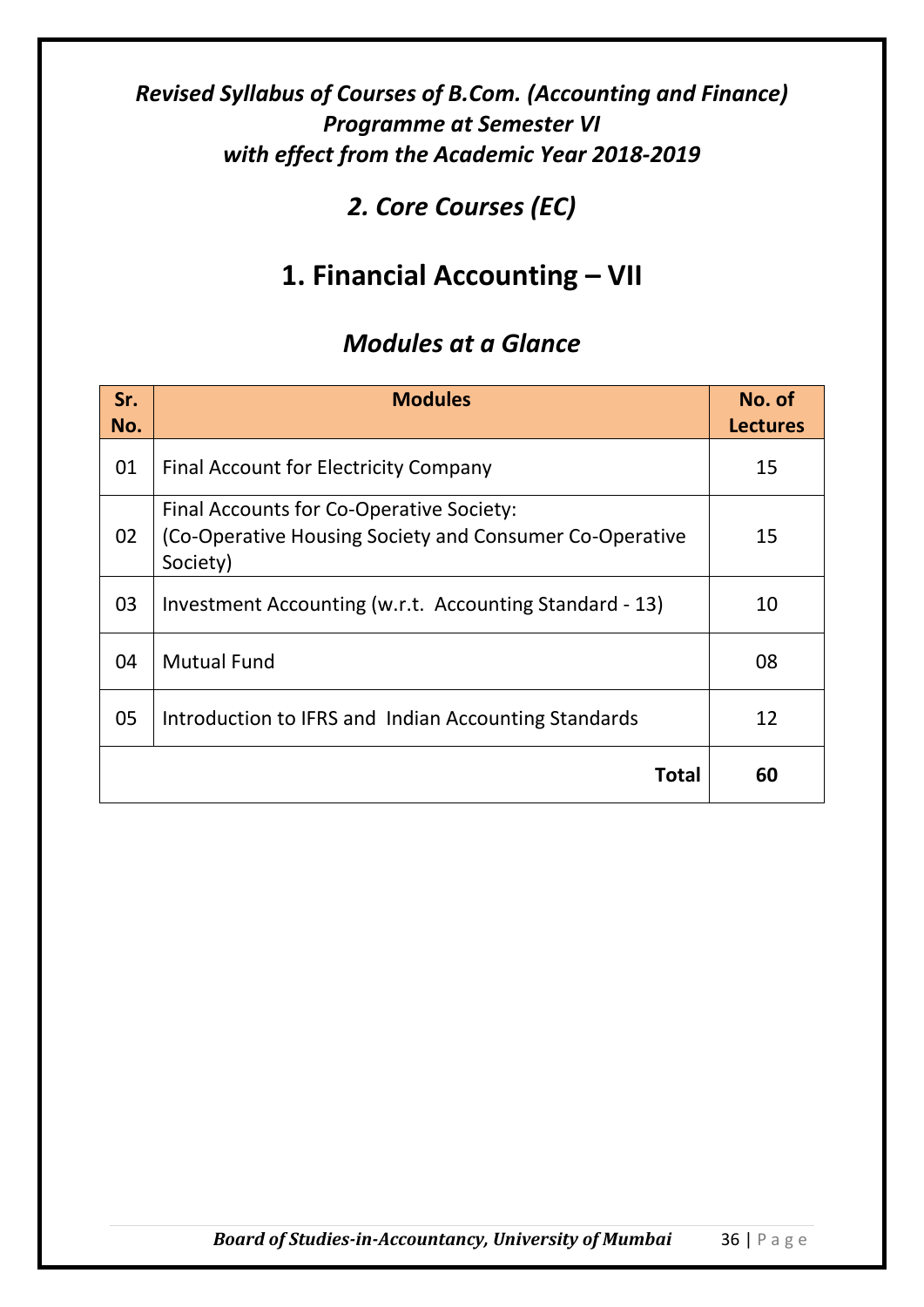## *2. Core Courses (EC)*

# **1. Financial Accounting – VII**

| Sr.<br>No. | <b>Modules</b>                                                                                                  | No. of<br><b>Lectures</b> |
|------------|-----------------------------------------------------------------------------------------------------------------|---------------------------|
| 01         | Final Account for Electricity Company                                                                           | 15                        |
| 02         | Final Accounts for Co-Operative Society:<br>(Co-Operative Housing Society and Consumer Co-Operative<br>Society) | 15                        |
| 03         | Investment Accounting (w.r.t. Accounting Standard - 13)                                                         | 10                        |
| 04         | <b>Mutual Fund</b>                                                                                              | 08                        |
| 05         | Introduction to IFRS and Indian Accounting Standards                                                            | 12                        |
|            | Total                                                                                                           | 60                        |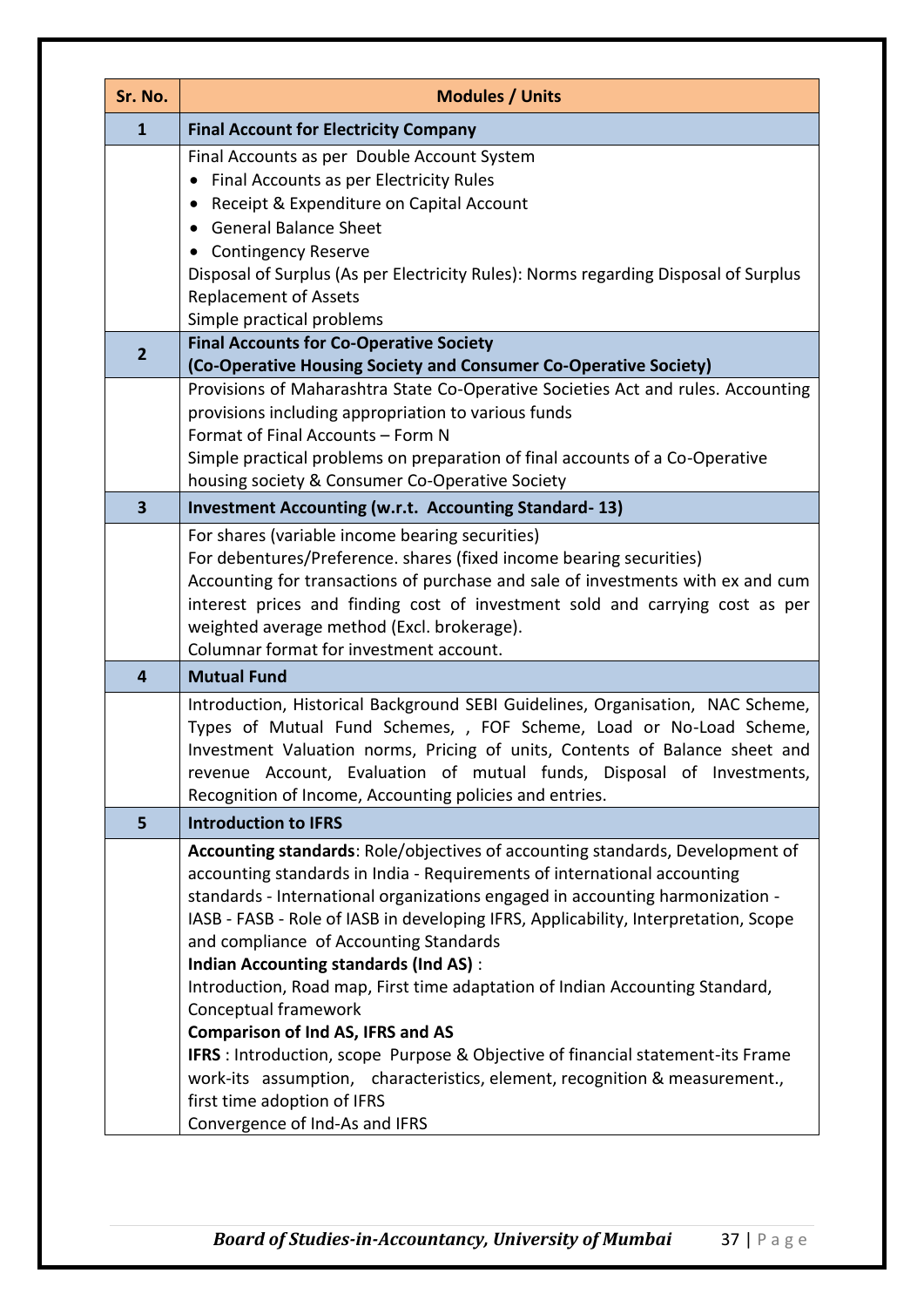| Sr. No.        | <b>Modules / Units</b>                                                                                                                                                                                                                                                                                                                                                                                                                                                                  |
|----------------|-----------------------------------------------------------------------------------------------------------------------------------------------------------------------------------------------------------------------------------------------------------------------------------------------------------------------------------------------------------------------------------------------------------------------------------------------------------------------------------------|
| $\mathbf{1}$   | <b>Final Account for Electricity Company</b>                                                                                                                                                                                                                                                                                                                                                                                                                                            |
| $\overline{2}$ | Final Accounts as per Double Account System<br>Final Accounts as per Electricity Rules<br>Receipt & Expenditure on Capital Account<br>$\bullet$<br><b>General Balance Sheet</b><br><b>Contingency Reserve</b><br>Disposal of Surplus (As per Electricity Rules): Norms regarding Disposal of Surplus<br><b>Replacement of Assets</b><br>Simple practical problems<br><b>Final Accounts for Co-Operative Society</b><br>(Co-Operative Housing Society and Consumer Co-Operative Society) |
|                | Provisions of Maharashtra State Co-Operative Societies Act and rules. Accounting<br>provisions including appropriation to various funds<br>Format of Final Accounts - Form N<br>Simple practical problems on preparation of final accounts of a Co-Operative<br>housing society & Consumer Co-Operative Society                                                                                                                                                                         |
| 3              | <b>Investment Accounting (w.r.t. Accounting Standard-13)</b>                                                                                                                                                                                                                                                                                                                                                                                                                            |
|                | For shares (variable income bearing securities)<br>For debentures/Preference. shares (fixed income bearing securities)<br>Accounting for transactions of purchase and sale of investments with ex and cum<br>interest prices and finding cost of investment sold and carrying cost as per<br>weighted average method (Excl. brokerage).<br>Columnar format for investment account.                                                                                                      |
| 4              | <b>Mutual Fund</b>                                                                                                                                                                                                                                                                                                                                                                                                                                                                      |
|                | Introduction, Historical Background SEBI Guidelines, Organisation, NAC Scheme,<br>Types of Mutual Fund Schemes, , FOF Scheme, Load or No-Load Scheme,<br>Investment Valuation norms, Pricing of units, Contents of Balance sheet and<br>revenue Account, Evaluation of mutual funds, Disposal of Investments,<br>Recognition of Income, Accounting policies and entries.                                                                                                                |
| 5              | <b>Introduction to IFRS</b>                                                                                                                                                                                                                                                                                                                                                                                                                                                             |
|                | Accounting standards: Role/objectives of accounting standards, Development of<br>accounting standards in India - Requirements of international accounting<br>standards - International organizations engaged in accounting harmonization -<br>IASB - FASB - Role of IASB in developing IFRS, Applicability, Interpretation, Scope<br>and compliance of Accounting Standards<br><b>Indian Accounting standards (Ind AS):</b>                                                             |
|                | Introduction, Road map, First time adaptation of Indian Accounting Standard,<br>Conceptual framework<br><b>Comparison of Ind AS, IFRS and AS</b><br><b>IFRS</b> : Introduction, scope Purpose & Objective of financial statement-its Frame<br>work-its assumption, characteristics, element, recognition & measurement.,<br>first time adoption of IFRS<br>Convergence of Ind-As and IFRS                                                                                               |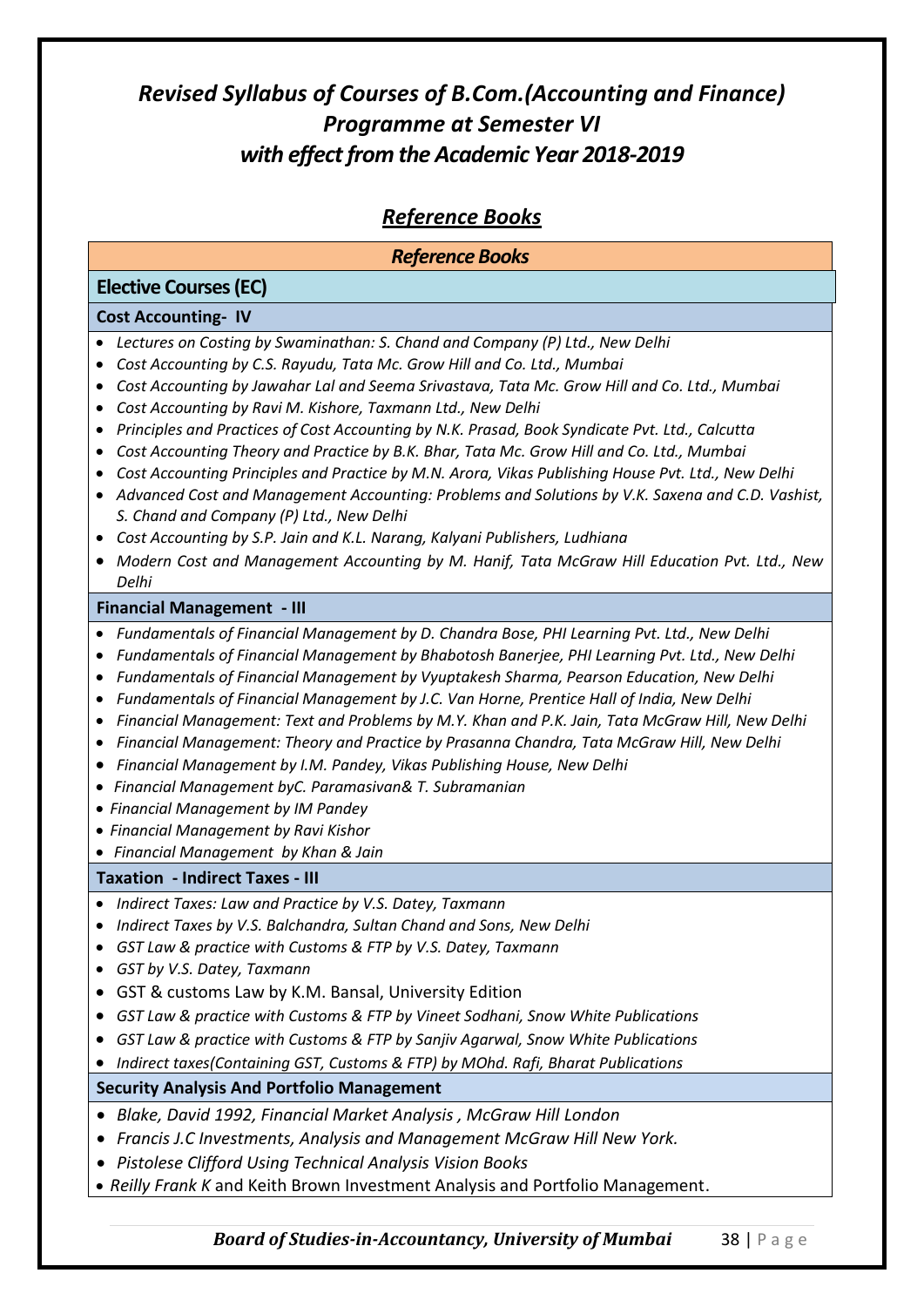#### *Reference Books*

| <b>Reference Books</b>                                                                                                                                                                                                                                                                                                                                                                                                                                                                                                                                                                                                                                                                                                                                                                                                                                                                                                                                    |  |  |  |  |
|-----------------------------------------------------------------------------------------------------------------------------------------------------------------------------------------------------------------------------------------------------------------------------------------------------------------------------------------------------------------------------------------------------------------------------------------------------------------------------------------------------------------------------------------------------------------------------------------------------------------------------------------------------------------------------------------------------------------------------------------------------------------------------------------------------------------------------------------------------------------------------------------------------------------------------------------------------------|--|--|--|--|
| <b>Elective Courses (EC)</b>                                                                                                                                                                                                                                                                                                                                                                                                                                                                                                                                                                                                                                                                                                                                                                                                                                                                                                                              |  |  |  |  |
| <b>Cost Accounting- IV</b>                                                                                                                                                                                                                                                                                                                                                                                                                                                                                                                                                                                                                                                                                                                                                                                                                                                                                                                                |  |  |  |  |
| Lectures on Costing by Swaminathan: S. Chand and Company (P) Ltd., New Delhi<br>Cost Accounting by C.S. Rayudu, Tata Mc. Grow Hill and Co. Ltd., Mumbai<br>Cost Accounting by Jawahar Lal and Seema Srivastava, Tata Mc. Grow Hill and Co. Ltd., Mumbai<br>Cost Accounting by Ravi M. Kishore, Taxmann Ltd., New Delhi<br>Principles and Practices of Cost Accounting by N.K. Prasad, Book Syndicate Pvt. Ltd., Calcutta<br>Cost Accounting Theory and Practice by B.K. Bhar, Tata Mc. Grow Hill and Co. Ltd., Mumbai<br>Cost Accounting Principles and Practice by M.N. Arora, Vikas Publishing House Pvt. Ltd., New Delhi<br>Advanced Cost and Management Accounting: Problems and Solutions by V.K. Saxena and C.D. Vashist,<br>S. Chand and Company (P) Ltd., New Delhi<br>Cost Accounting by S.P. Jain and K.L. Narang, Kalyani Publishers, Ludhiana<br>Modern Cost and Management Accounting by M. Hanif, Tata McGraw Hill Education Pvt. Ltd., New |  |  |  |  |
| Delhi<br><b>Financial Management - III</b>                                                                                                                                                                                                                                                                                                                                                                                                                                                                                                                                                                                                                                                                                                                                                                                                                                                                                                                |  |  |  |  |
| Fundamentals of Financial Management by D. Chandra Bose, PHI Learning Pvt. Ltd., New Delhi<br>Fundamentals of Financial Management by Bhabotosh Banerjee, PHI Learning Pvt. Ltd., New Delhi<br>Fundamentals of Financial Management by Vyuptakesh Sharma, Pearson Education, New Delhi<br>Fundamentals of Financial Management by J.C. Van Horne, Prentice Hall of India, New Delhi<br>Financial Management: Text and Problems by M.Y. Khan and P.K. Jain, Tata McGraw Hill, New Delhi<br>Financial Management: Theory and Practice by Prasanna Chandra, Tata McGraw Hill, New Delhi<br>Financial Management by I.M. Pandey, Vikas Publishing House, New Delhi<br>• Financial Management byC. Paramasivan& T. Subramanian<br>• Financial Management by IM Pandey<br>• Financial Management by Ravi Kishor<br>• Financial Management by Khan & Jain                                                                                                        |  |  |  |  |
| <b>Taxation - Indirect Taxes - III</b>                                                                                                                                                                                                                                                                                                                                                                                                                                                                                                                                                                                                                                                                                                                                                                                                                                                                                                                    |  |  |  |  |
| Indirect Taxes: Law and Practice by V.S. Datey, Taxmann<br>$\bullet$<br>Indirect Taxes by V.S. Balchandra, Sultan Chand and Sons, New Delhi<br>GST Law & practice with Customs & FTP by V.S. Datey, Taxmann<br>GST by V.S. Datey, Taxmann<br>GST & customs Law by K.M. Bansal, University Edition<br>GST Law & practice with Customs & FTP by Vineet Sodhani, Snow White Publications<br>GST Law & practice with Customs & FTP by Sanjiv Agarwal, Snow White Publications<br>Indirect taxes(Containing GST, Customs & FTP) by MOhd. Rafi, Bharat Publications                                                                                                                                                                                                                                                                                                                                                                                             |  |  |  |  |
| <b>Security Analysis And Portfolio Management</b>                                                                                                                                                                                                                                                                                                                                                                                                                                                                                                                                                                                                                                                                                                                                                                                                                                                                                                         |  |  |  |  |
| Blake, David 1992, Financial Market Analysis, McGraw Hill London<br>Francis J.C Investments, Analysis and Management McGraw Hill New York.<br>Pistolese Clifford Using Technical Analysis Vision Books<br>• Reilly Frank K and Keith Brown Investment Analysis and Portfolio Management.                                                                                                                                                                                                                                                                                                                                                                                                                                                                                                                                                                                                                                                                  |  |  |  |  |

*Board of Studies-in-Accountancy, University of Mumbai* 38 | P a g e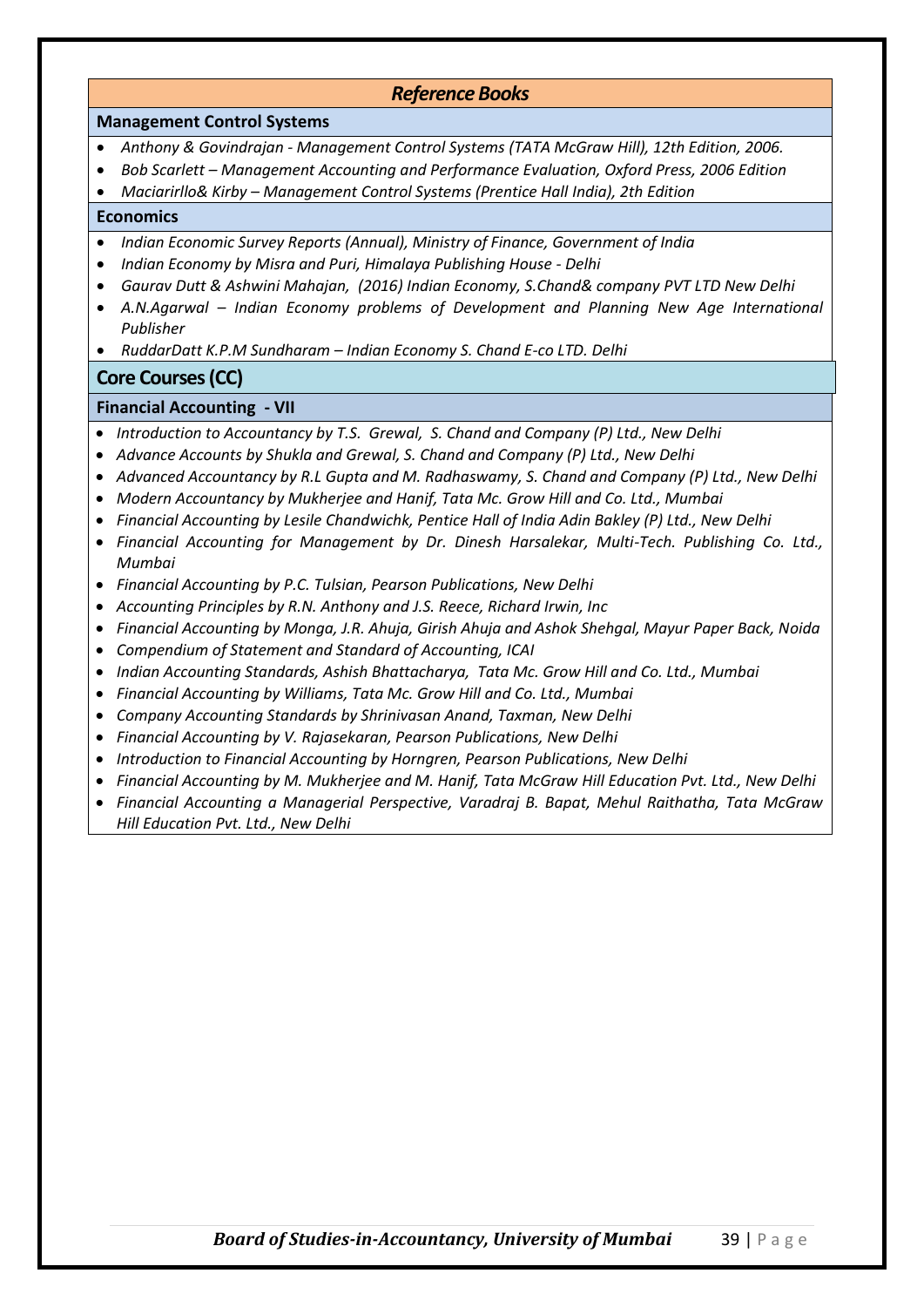| <b>Reference Books</b>                                                                                                                                                                                                                                                                                                                                                                                                                                                                                                                                                                                                                                                                                                                                                                                                                                                                                                                                                                                                                                                                                                                                                                                                                                                                                                                                                                                                                                                                                                                                                                                                                               |
|------------------------------------------------------------------------------------------------------------------------------------------------------------------------------------------------------------------------------------------------------------------------------------------------------------------------------------------------------------------------------------------------------------------------------------------------------------------------------------------------------------------------------------------------------------------------------------------------------------------------------------------------------------------------------------------------------------------------------------------------------------------------------------------------------------------------------------------------------------------------------------------------------------------------------------------------------------------------------------------------------------------------------------------------------------------------------------------------------------------------------------------------------------------------------------------------------------------------------------------------------------------------------------------------------------------------------------------------------------------------------------------------------------------------------------------------------------------------------------------------------------------------------------------------------------------------------------------------------------------------------------------------------|
| <b>Management Control Systems</b>                                                                                                                                                                                                                                                                                                                                                                                                                                                                                                                                                                                                                                                                                                                                                                                                                                                                                                                                                                                                                                                                                                                                                                                                                                                                                                                                                                                                                                                                                                                                                                                                                    |
| Anthony & Govindrajan - Management Control Systems (TATA McGraw Hill), 12th Edition, 2006.<br>Bob Scarlett - Management Accounting and Performance Evaluation, Oxford Press, 2006 Edition<br>$\bullet$<br>Maciarirllo& Kirby - Management Control Systems (Prentice Hall India), 2th Edition                                                                                                                                                                                                                                                                                                                                                                                                                                                                                                                                                                                                                                                                                                                                                                                                                                                                                                                                                                                                                                                                                                                                                                                                                                                                                                                                                         |
| <b>Economics</b>                                                                                                                                                                                                                                                                                                                                                                                                                                                                                                                                                                                                                                                                                                                                                                                                                                                                                                                                                                                                                                                                                                                                                                                                                                                                                                                                                                                                                                                                                                                                                                                                                                     |
| Indian Economic Survey Reports (Annual), Ministry of Finance, Government of India<br>$\bullet$<br>Indian Economy by Misra and Puri, Himalaya Publishing House - Delhi<br>$\bullet$<br>Gaurav Dutt & Ashwini Mahajan, (2016) Indian Economy, S.Chand& company PVT LTD New Delhi<br>$\bullet$<br>A.N.Agarwal - Indian Economy problems of Development and Planning New Age International<br>$\bullet$<br>Publisher<br>RuddarDatt K.P.M Sundharam - Indian Economy S. Chand E-co LTD. Delhi                                                                                                                                                                                                                                                                                                                                                                                                                                                                                                                                                                                                                                                                                                                                                                                                                                                                                                                                                                                                                                                                                                                                                             |
|                                                                                                                                                                                                                                                                                                                                                                                                                                                                                                                                                                                                                                                                                                                                                                                                                                                                                                                                                                                                                                                                                                                                                                                                                                                                                                                                                                                                                                                                                                                                                                                                                                                      |
| <b>Core Courses (CC)</b>                                                                                                                                                                                                                                                                                                                                                                                                                                                                                                                                                                                                                                                                                                                                                                                                                                                                                                                                                                                                                                                                                                                                                                                                                                                                                                                                                                                                                                                                                                                                                                                                                             |
| <b>Financial Accounting - VII</b>                                                                                                                                                                                                                                                                                                                                                                                                                                                                                                                                                                                                                                                                                                                                                                                                                                                                                                                                                                                                                                                                                                                                                                                                                                                                                                                                                                                                                                                                                                                                                                                                                    |
| Introduction to Accountancy by T.S. Grewal, S. Chand and Company (P) Ltd., New Delhi<br>Advance Accounts by Shukla and Grewal, S. Chand and Company (P) Ltd., New Delhi<br>Advanced Accountancy by R.L Gupta and M. Radhaswamy, S. Chand and Company (P) Ltd., New Delhi<br>Modern Accountancy by Mukherjee and Hanif, Tata Mc. Grow Hill and Co. Ltd., Mumbai<br>Financial Accounting by Lesile Chandwichk, Pentice Hall of India Adin Bakley (P) Ltd., New Delhi<br>Financial Accounting for Management by Dr. Dinesh Harsalekar, Multi-Tech. Publishing Co. Ltd.,<br>Mumbai<br>Financial Accounting by P.C. Tulsian, Pearson Publications, New Delhi<br>Accounting Principles by R.N. Anthony and J.S. Reece, Richard Irwin, Inc<br>Financial Accounting by Monga, J.R. Ahuja, Girish Ahuja and Ashok Shehgal, Mayur Paper Back, Noida<br>$\bullet$<br>Compendium of Statement and Standard of Accounting, ICAI<br>$\bullet$<br>Indian Accounting Standards, Ashish Bhattacharya, Tata Mc. Grow Hill and Co. Ltd., Mumbai<br>$\bullet$<br>Financial Accounting by Williams, Tata Mc. Grow Hill and Co. Ltd., Mumbai<br>$\bullet$<br>Company Accounting Standards by Shrinivasan Anand, Taxman, New Delhi<br>$\bullet$<br>Financial Accounting by V. Rajasekaran, Pearson Publications, New Delhi<br>$\bullet$<br>Introduction to Financial Accounting by Horngren, Pearson Publications, New Delhi<br>Financial Accounting by M. Mukherjee and M. Hanif, Tata McGraw Hill Education Pvt. Ltd., New Delhi<br>Financial Accounting a Managerial Perspective, Varadraj B. Bapat, Mehul Raithatha, Tata McGraw<br>Hill Education Pvt. Ltd., New Delhi |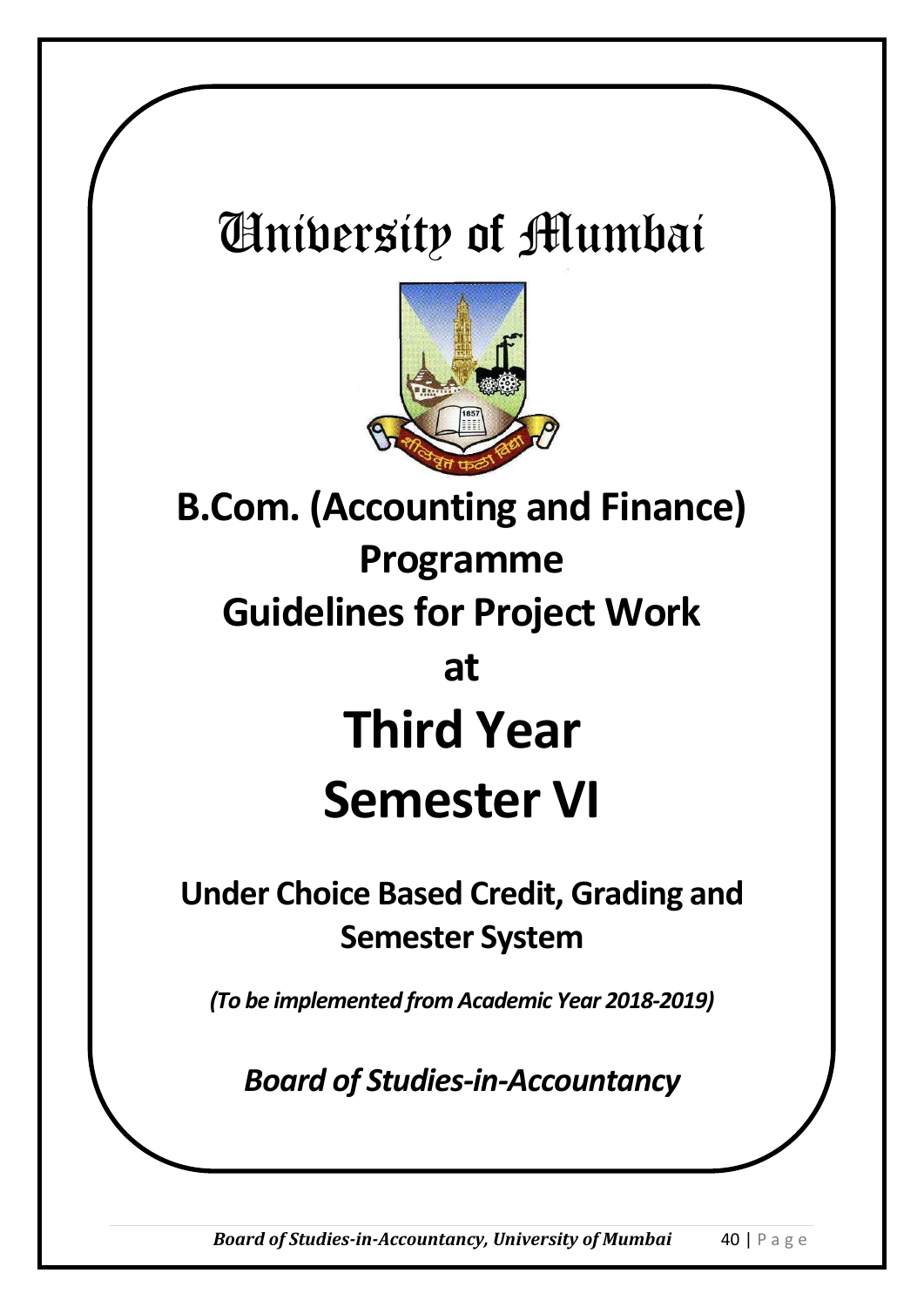# University of Mumbai



**B.Com. (Accounting and Finance) Programme Guidelines for Project Work at Third Year Semester VI**

# **Under Choice Based Credit, Grading and Semester System**

*(To be implemented from Academic Year 2018-2019)*

*Board of Studies-in-Accountancy*

*Board of Studies-in-Accountancy, University of Mumbai* 40 | P a g e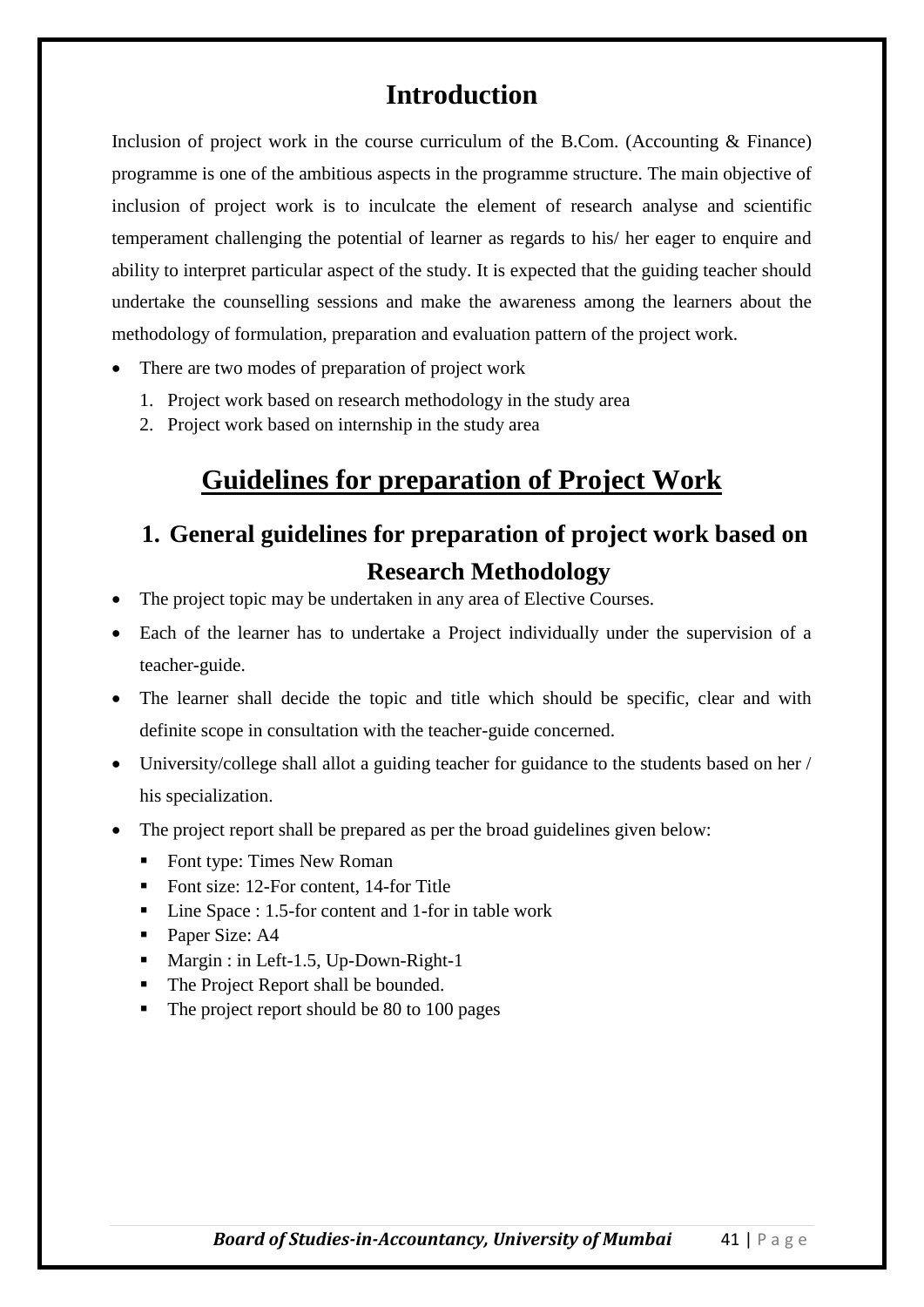## **Introduction**

Inclusion of project work in the course curriculum of the B.Com. (Accounting & Finance) programme is one of the ambitious aspects in the programme structure. The main objective of inclusion of project work is to inculcate the element of research analyse and scientific temperament challenging the potential of learner as regards to his/ her eager to enquire and ability to interpret particular aspect of the study. It is expected that the guiding teacher should undertake the counselling sessions and make the awareness among the learners about the methodology of formulation, preparation and evaluation pattern of the project work.

- There are two modes of preparation of project work
	- 1. Project work based on research methodology in the study area
	- 2. Project work based on internship in the study area

## **Guidelines for preparation of Project Work**

## **1. General guidelines for preparation of project work based on Research Methodology**

- The project topic may be undertaken in any area of Elective Courses.
- Each of the learner has to undertake a Project individually under the supervision of a teacher-guide.
- The learner shall decide the topic and title which should be specific, clear and with definite scope in consultation with the teacher-guide concerned.
- University/college shall allot a guiding teacher for guidance to the students based on her / his specialization.
- The project report shall be prepared as per the broad guidelines given below:
	- Font type: Times New Roman
	- Font size: 12-For content, 14-for Title
	- Line Space : 1.5-for content and 1-for in table work
	- Paper Size: A4
	- Margin : in Left-1.5, Up-Down-Right-1
	- The Project Report shall be bounded.
	- The project report should be 80 to 100 pages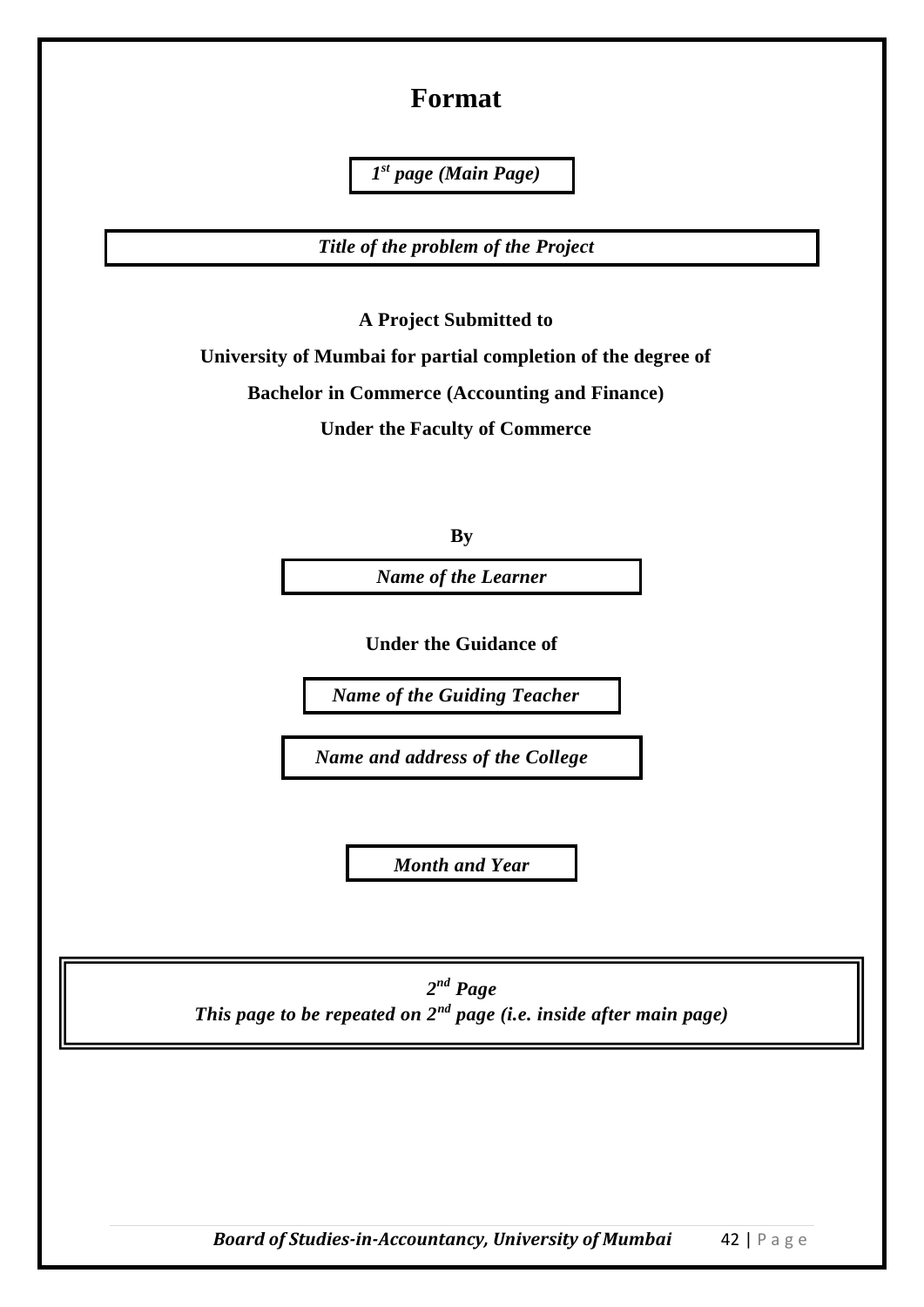#### **Format**

*1 st page (Main Page)*

*Title of the problem of the Project*

**A Project Submitted to**

**University of Mumbai for partial completion of the degree of**

**Bachelor in Commerce (Accounting and Finance)**

**Under the Faculty of Commerce** 

**By**

*Name of the Learner*

**Under the Guidance of**

*Name of the Guiding Teacher*

*Name and address of the College*

*Month and Year*

*2 nd Page This page to be repeated on 2nd page (i.e. inside after main page)*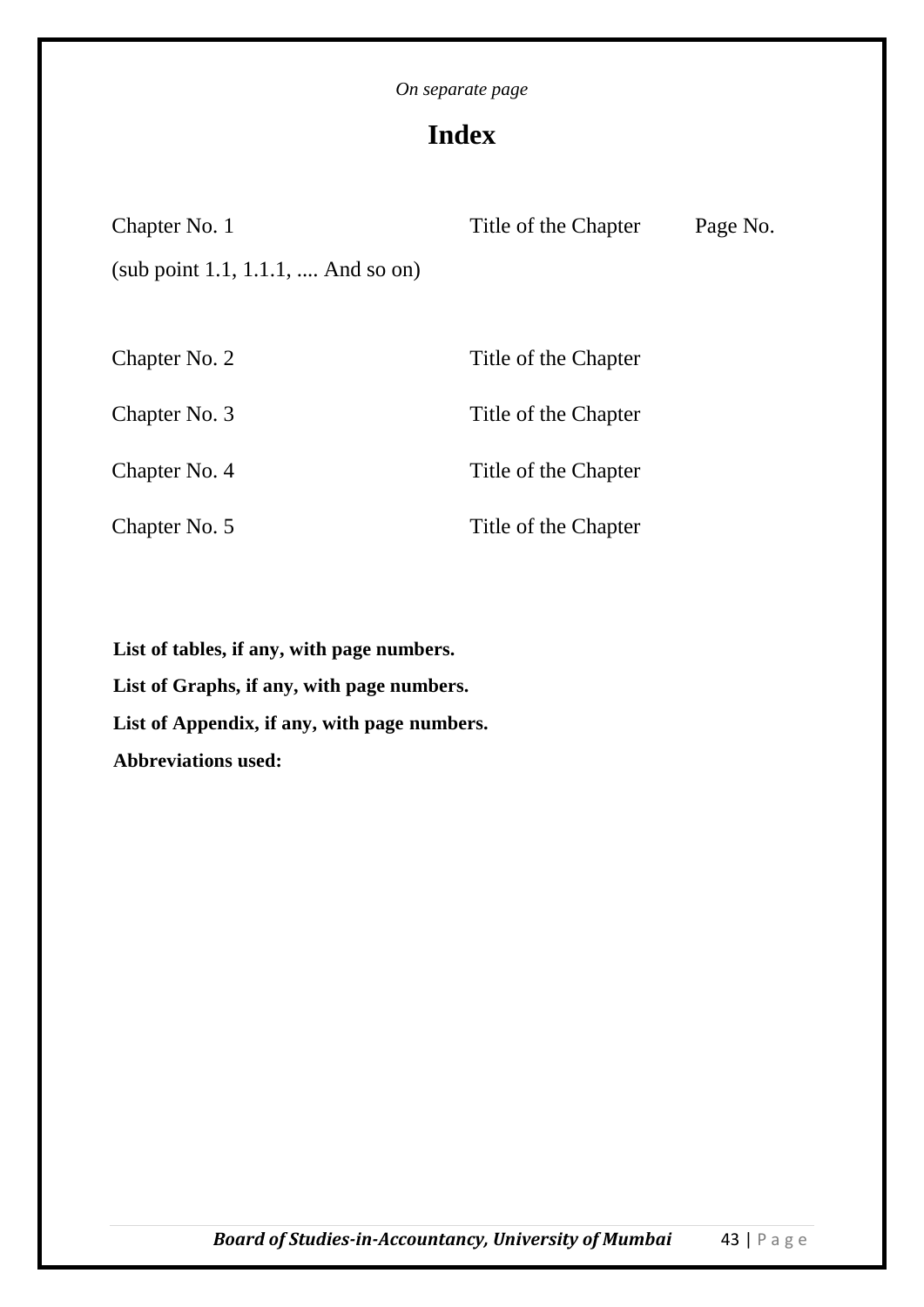## **Index**

| Chapter No. 1                      | Title of the Chapter | Page No. |
|------------------------------------|----------------------|----------|
| (sub point 1.1, 1.1.1,  And so on) |                      |          |
|                                    |                      |          |
| Chapter No. 2                      | Title of the Chapter |          |
| Chapter No. 3                      | Title of the Chapter |          |
| Chapter No. 4                      | Title of the Chapter |          |
| Chapter No. 5                      | Title of the Chapter |          |

**List of tables, if any, with page numbers. List of Graphs, if any, with page numbers. List of Appendix, if any, with page numbers. Abbreviations used:**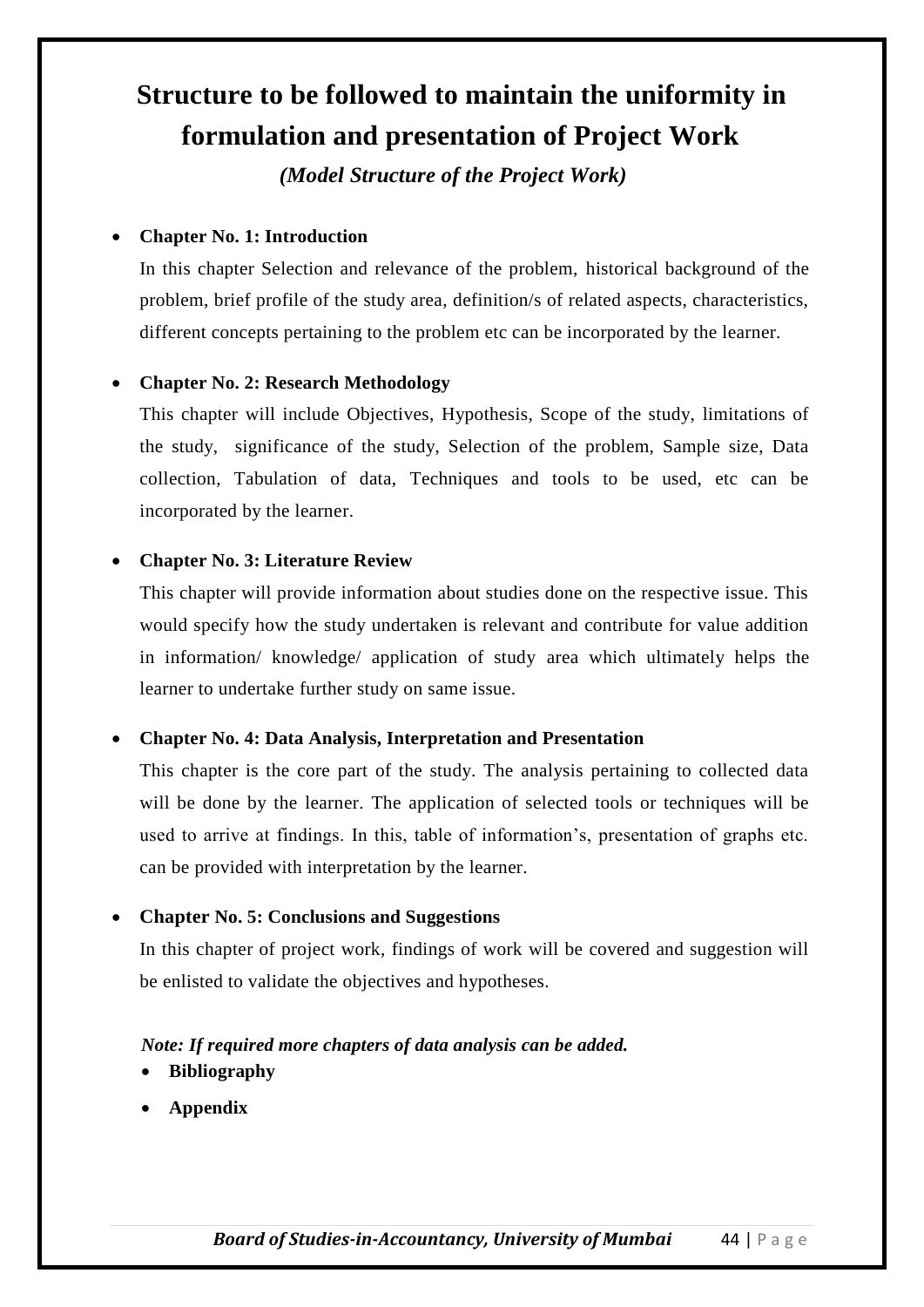# **Structure to be followed to maintain the uniformity in formulation and presentation of Project Work**

*(Model Structure of the Project Work)*

#### **Chapter No. 1: Introduction**

In this chapter Selection and relevance of the problem, historical background of the problem, brief profile of the study area, definition/s of related aspects, characteristics, different concepts pertaining to the problem etc can be incorporated by the learner.

#### **Chapter No. 2: Research Methodology**

This chapter will include Objectives, Hypothesis, Scope of the study, limitations of the study, significance of the study, Selection of the problem, Sample size, Data collection, Tabulation of data, Techniques and tools to be used, etc can be incorporated by the learner.

#### **Chapter No. 3: Literature Review**

This chapter will provide information about studies done on the respective issue. This would specify how the study undertaken is relevant and contribute for value addition in information/ knowledge/ application of study area which ultimately helps the learner to undertake further study on same issue.

#### **Chapter No. 4: Data Analysis, Interpretation and Presentation**

This chapter is the core part of the study. The analysis pertaining to collected data will be done by the learner. The application of selected tools or techniques will be used to arrive at findings. In this, table of information's, presentation of graphs etc. can be provided with interpretation by the learner.

#### **Chapter No. 5: Conclusions and Suggestions**

In this chapter of project work, findings of work will be covered and suggestion will be enlisted to validate the objectives and hypotheses.

#### *Note: If required more chapters of data analysis can be added.*

- **Bibliography**
- **Appendix**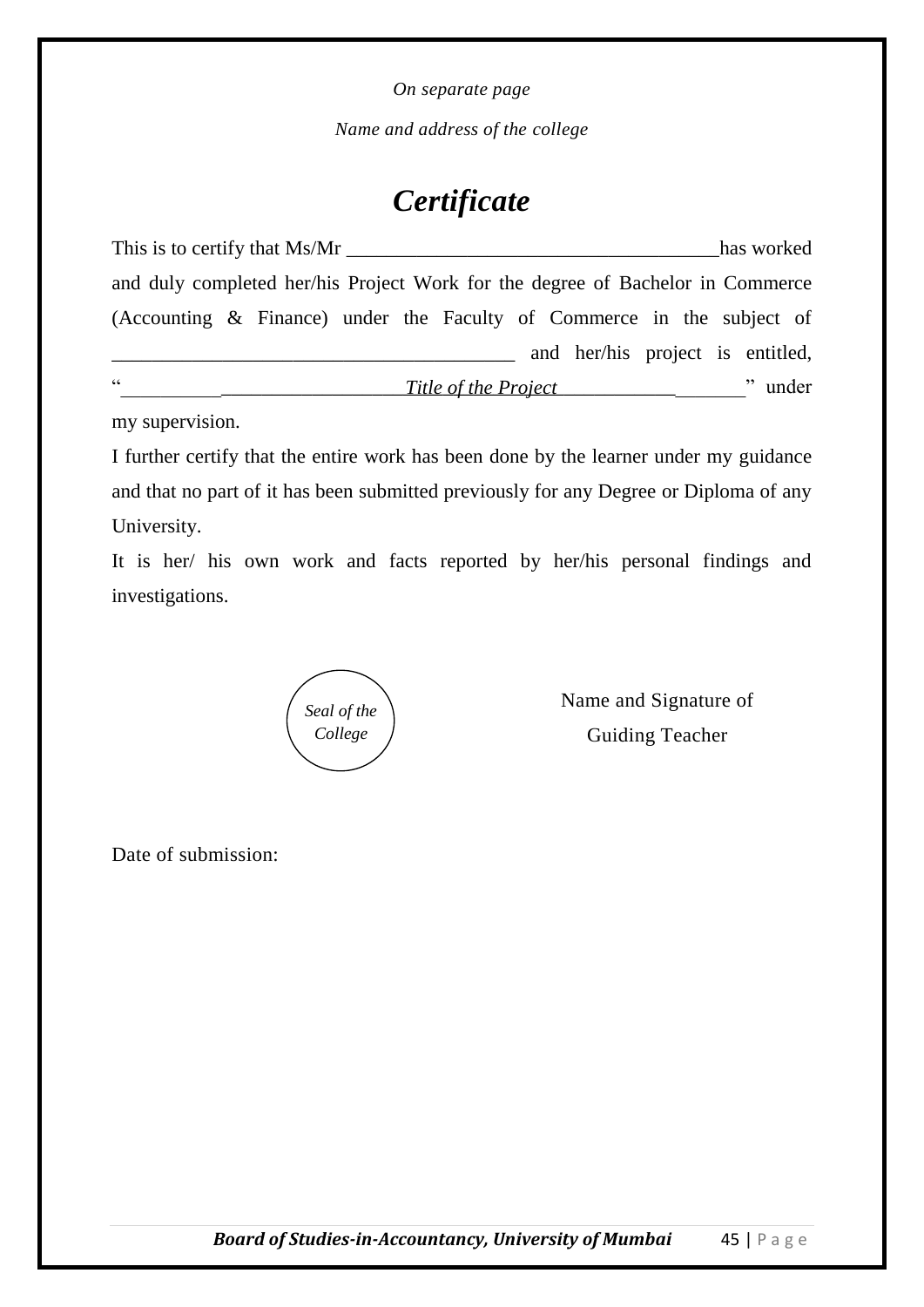*Name and address of the college*

# *Certificate*

| This is to certify that Ms/Mr                                                  |  |  |                      |  |                                  |  | has worked |  |
|--------------------------------------------------------------------------------|--|--|----------------------|--|----------------------------------|--|------------|--|
| and duly completed her/his Project Work for the degree of Bachelor in Commerce |  |  |                      |  |                                  |  |            |  |
| (Accounting & Finance) under the Faculty of Commerce in the subject of         |  |  |                      |  |                                  |  |            |  |
|                                                                                |  |  |                      |  | and her/his project is entitled, |  |            |  |
| cc                                                                             |  |  | Title of the Project |  |                                  |  | " under    |  |

my supervision.

I further certify that the entire work has been done by the learner under my guidance and that no part of it has been submitted previously for any Degree or Diploma of any University.

It is her/ his own work and facts reported by her/his personal findings and investigations.

*Seal of the College*

Name and Signature of Guiding Teacher

Date of submission: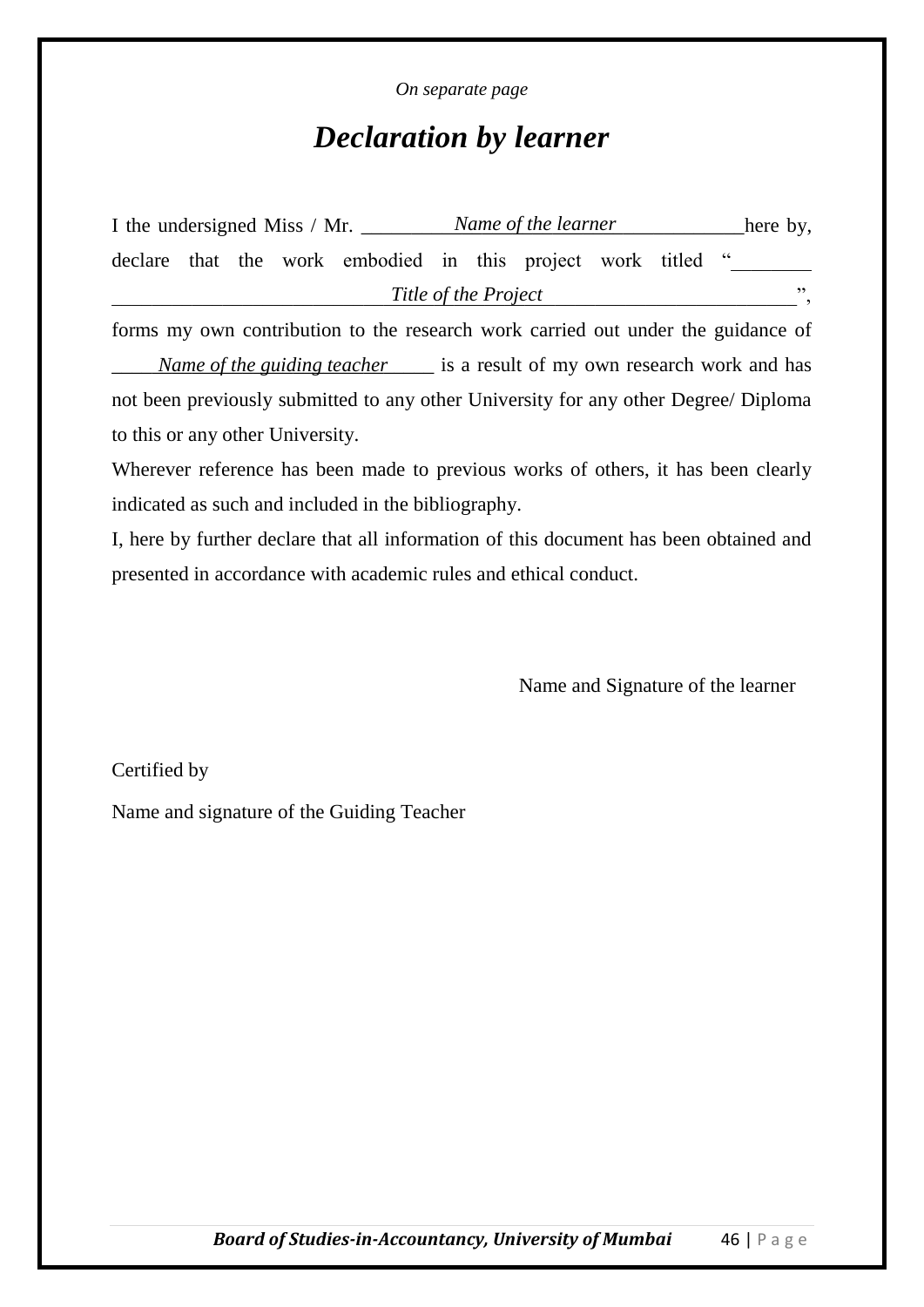## *Declaration by learner*

| I the undersigned Miss / Mr. |  |  |  |                                                            | Name of the learner |                      |  |  |  |  | here by, |
|------------------------------|--|--|--|------------------------------------------------------------|---------------------|----------------------|--|--|--|--|----------|
|                              |  |  |  | declare that the work embodied in this project work titled |                     |                      |  |  |  |  |          |
|                              |  |  |  |                                                            |                     | Title of the Project |  |  |  |  | , י      |

forms my own contribution to the research work carried out under the guidance of *Name of the guiding teacher* is a result of my own research work and has not been previously submitted to any other University for any other Degree/ Diploma to this or any other University.

Wherever reference has been made to previous works of others, it has been clearly indicated as such and included in the bibliography.

I, here by further declare that all information of this document has been obtained and presented in accordance with academic rules and ethical conduct.

Name and Signature of the learner

Certified by

Name and signature of the Guiding Teacher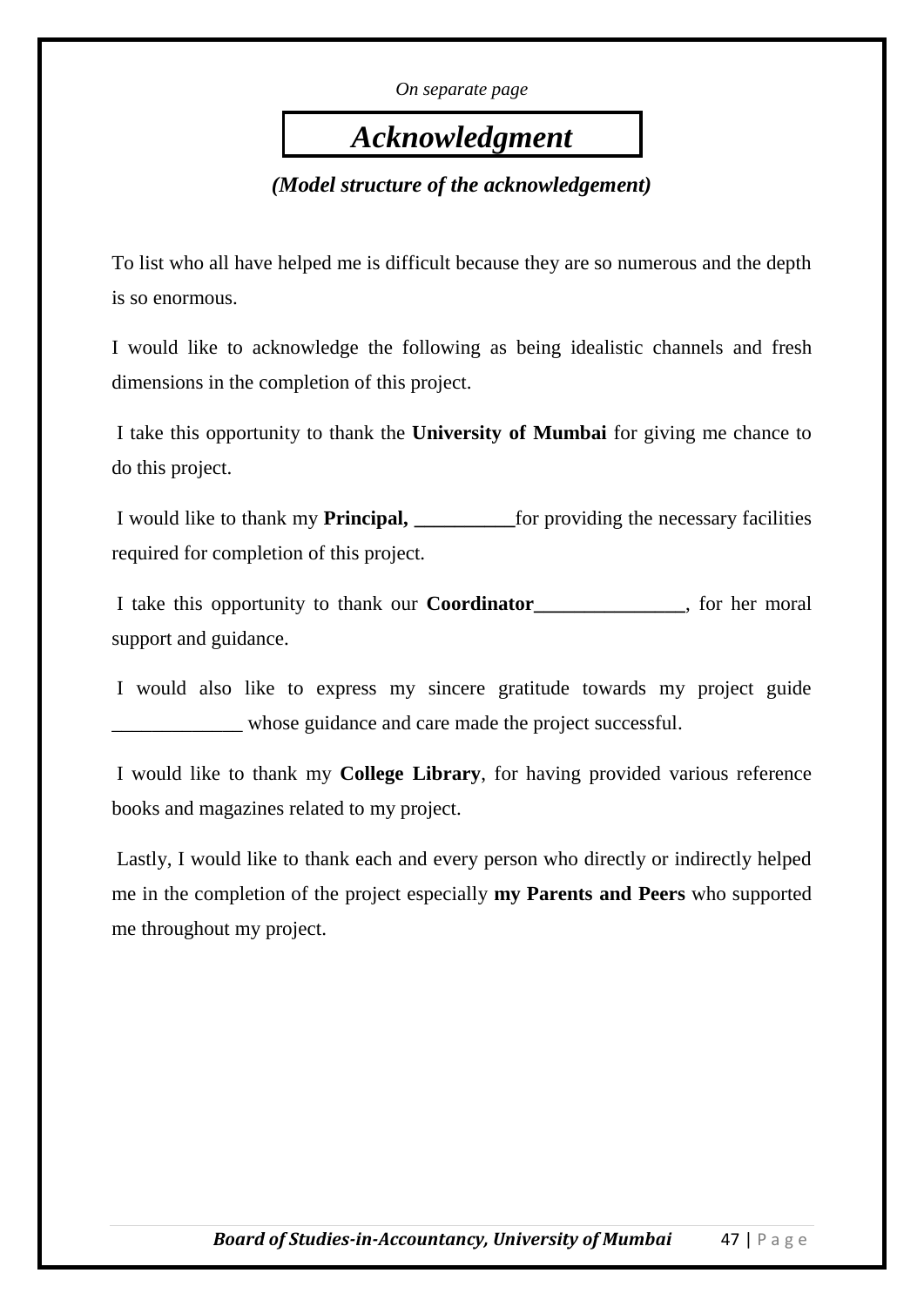# *Acknowledgment*

*(Model structure of the acknowledgement)*

To list who all have helped me is difficult because they are so numerous and the depth is so enormous.

I would like to acknowledge the following as being idealistic channels and fresh dimensions in the completion of this project.

I take this opportunity to thank the **University of Mumbai** for giving me chance to do this project.

I would like to thank my **Principal, \_\_\_\_\_\_\_\_\_\_**for providing the necessary facilities required for completion of this project.

I take this opportunity to thank our **Coordinator\_\_\_\_\_\_\_\_\_\_\_\_\_\_\_**, for her moral support and guidance.

I would also like to express my sincere gratitude towards my project guide whose guidance and care made the project successful.

I would like to thank my **College Library**, for having provided various reference books and magazines related to my project.

Lastly, I would like to thank each and every person who directly or indirectly helped me in the completion of the project especially **my Parents and Peers** who supported me throughout my project.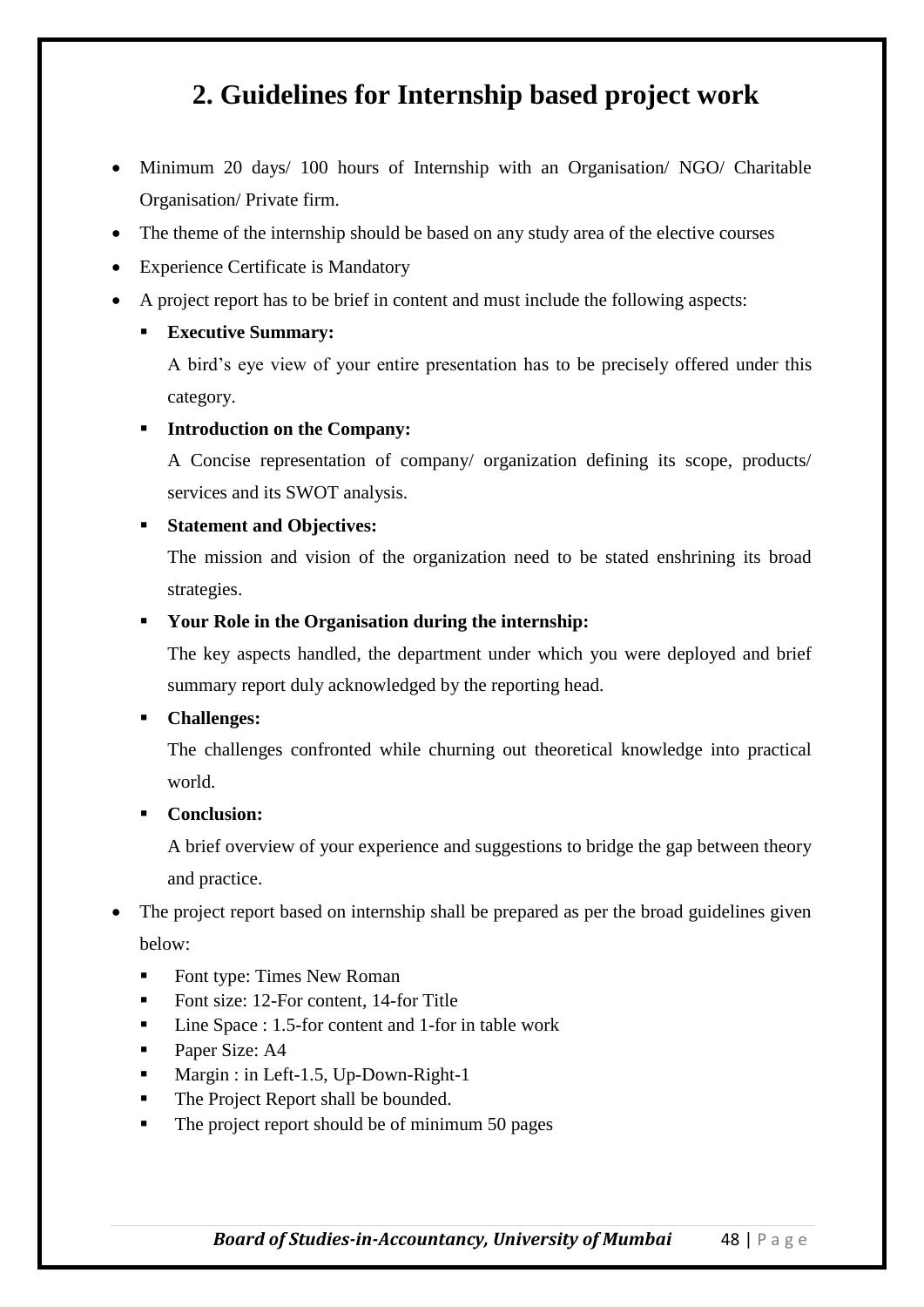## **2. Guidelines for Internship based project work**

- Minimum 20 days/ 100 hours of Internship with an Organisation/ NGO/ Charitable Organisation/ Private firm.
- The theme of the internship should be based on any study area of the elective courses
- Experience Certificate is Mandatory
- A project report has to be brief in content and must include the following aspects:

#### **Executive Summary:**

A bird's eye view of your entire presentation has to be precisely offered under this category.

#### **Introduction on the Company:**

A Concise representation of company/ organization defining its scope, products/ services and its SWOT analysis.

#### **Statement and Objectives:**

The mission and vision of the organization need to be stated enshrining its broad strategies.

#### **Your Role in the Organisation during the internship:**

The key aspects handled, the department under which you were deployed and brief summary report duly acknowledged by the reporting head.

#### **Challenges:**

The challenges confronted while churning out theoretical knowledge into practical world.

#### **Conclusion:**

A brief overview of your experience and suggestions to bridge the gap between theory and practice.

- The project report based on internship shall be prepared as per the broad guidelines given below:
	- Font type: Times New Roman
	- Font size: 12-For content, 14-for Title
	- Line Space : 1.5-for content and 1-for in table work
	- Paper Size: A4
	- Margin : in Left-1.5, Up-Down-Right-1
	- The Project Report shall be bounded.
	- The project report should be of minimum 50 pages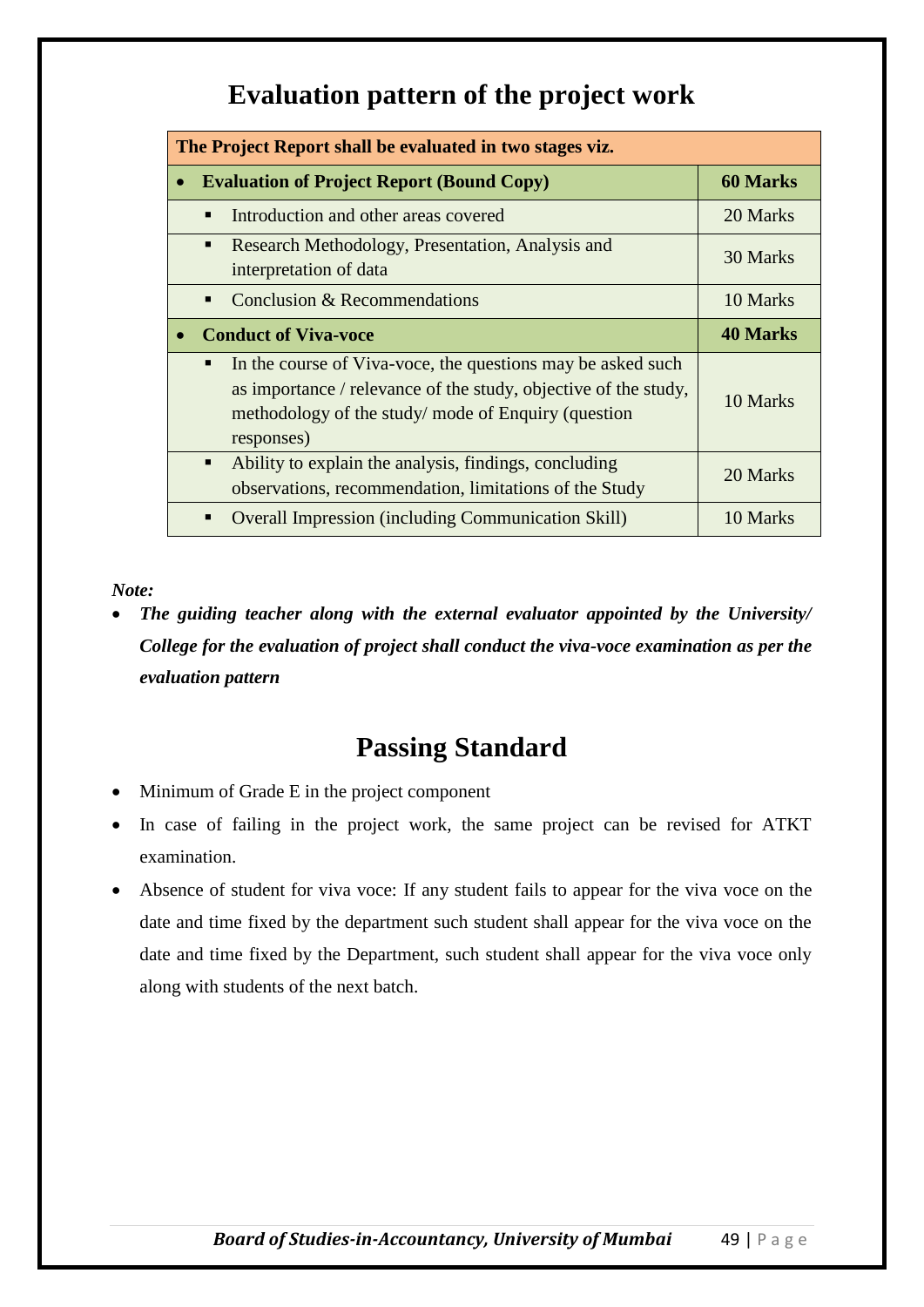## **Evaluation pattern of the project work**

| The Project Report shall be evaluated in two stages viz.                                                                                                                                                |                 |  |  |  |  |
|---------------------------------------------------------------------------------------------------------------------------------------------------------------------------------------------------------|-----------------|--|--|--|--|
| <b>Evaluation of Project Report (Bound Copy)</b>                                                                                                                                                        | <b>60 Marks</b> |  |  |  |  |
| Introduction and other areas covered                                                                                                                                                                    | 20 Marks        |  |  |  |  |
| Research Methodology, Presentation, Analysis and<br>$\blacksquare$<br>interpretation of data                                                                                                            | 30 Marks        |  |  |  |  |
| Conclusion & Recommendations<br>$\blacksquare$                                                                                                                                                          | 10 Marks        |  |  |  |  |
| <b>Conduct of Viva-voce</b>                                                                                                                                                                             | <b>40 Marks</b> |  |  |  |  |
| In the course of Viva-voce, the questions may be asked such<br>п<br>as importance / relevance of the study, objective of the study,<br>methodology of the study/mode of Enquiry (question<br>responses) | 10 Marks        |  |  |  |  |
| Ability to explain the analysis, findings, concluding<br>$\blacksquare$<br>observations, recommendation, limitations of the Study                                                                       | 20 Marks        |  |  |  |  |
| <b>Overall Impression (including Communication Skill)</b>                                                                                                                                               | 10 Marks        |  |  |  |  |

#### *Note:*

 *The guiding teacher along with the external evaluator appointed by the University/ College for the evaluation of project shall conduct the viva-voce examination as per the evaluation pattern*

#### **Passing Standard**

- Minimum of Grade E in the project component
- In case of failing in the project work, the same project can be revised for ATKT examination.
- Absence of student for viva voce: If any student fails to appear for the viva voce on the date and time fixed by the department such student shall appear for the viva voce on the date and time fixed by the Department, such student shall appear for the viva voce only along with students of the next batch.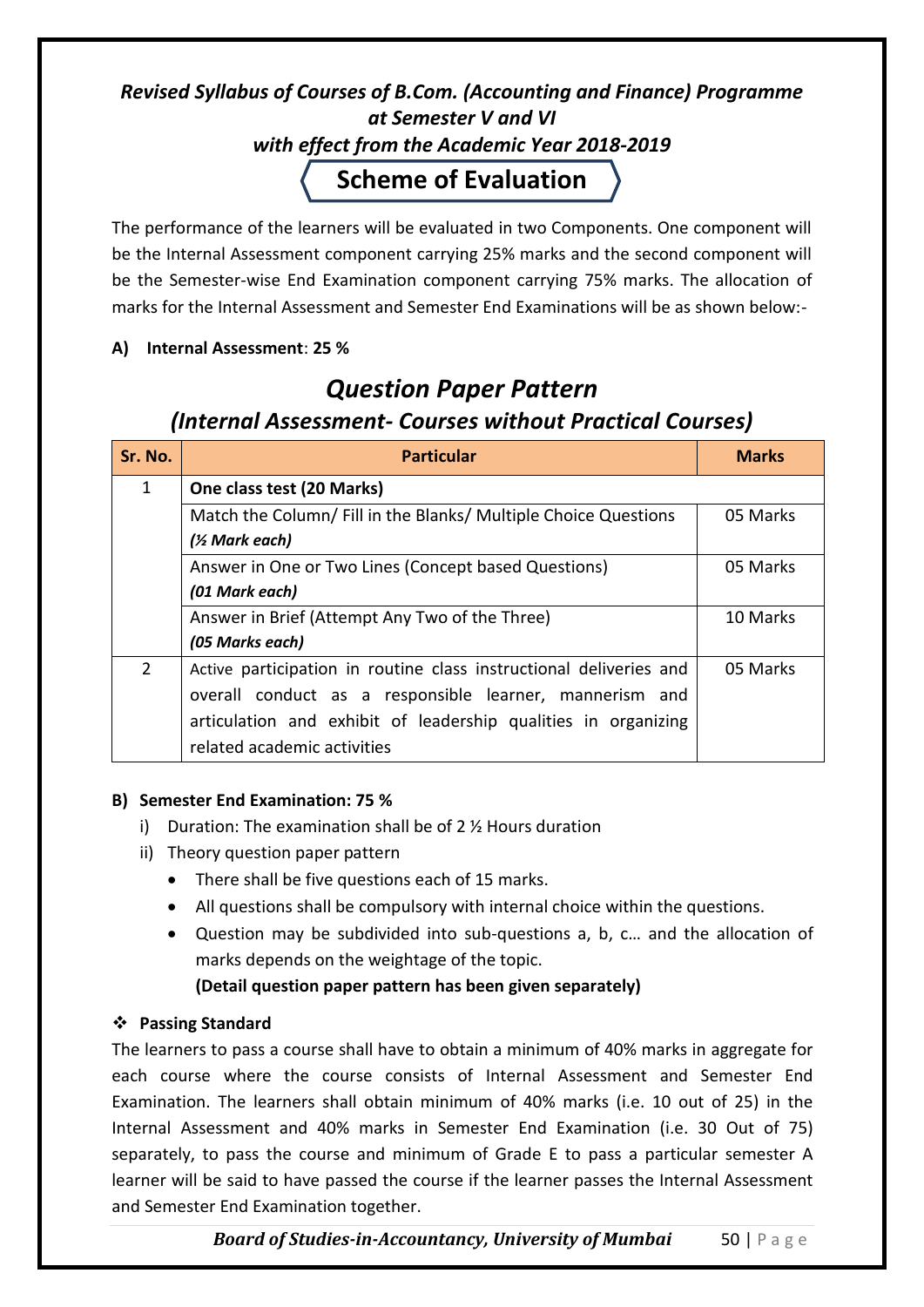#### *Revised Syllabus of Courses of B.Com. (Accounting and Finance) Programme at Semester V and VI with effect from the Academic Year 2018-2019* **Scheme of Evaluation**

The performance of the learners will be evaluated in two Components. One component will be the Internal Assessment component carrying 25% marks and the second component will be the Semester-wise End Examination component carrying 75% marks. The allocation of marks for the Internal Assessment and Semester End Examinations will be as shown below:-

#### **A) Internal Assessment**: **25 %**

## *Question Paper Pattern (Internal Assessment- Courses without Practical Courses)*

| Sr. No.        | <b>Particular</b>                                                  | <b>Marks</b> |
|----------------|--------------------------------------------------------------------|--------------|
| 1              | One class test (20 Marks)                                          |              |
|                | Match the Column/ Fill in the Blanks/ Multiple Choice Questions    | 05 Marks     |
|                | (1/ <sub>2</sub> Mark each)                                        |              |
|                | Answer in One or Two Lines (Concept based Questions)               | 05 Marks     |
|                | (01 Mark each)                                                     |              |
|                | Answer in Brief (Attempt Any Two of the Three)                     | 10 Marks     |
|                | (05 Marks each)                                                    |              |
| $\overline{2}$ | Active participation in routine class instructional deliveries and | 05 Marks     |
|                | overall conduct as a responsible learner, mannerism and            |              |
|                | articulation and exhibit of leadership qualities in organizing     |              |
|                | related academic activities                                        |              |

#### **B) Semester End Examination: 75 %**

- i) Duration: The examination shall be of 2 ½ Hours duration
- ii) Theory question paper pattern
	- There shall be five questions each of 15 marks.
	- All questions shall be compulsory with internal choice within the questions.
	- Question may be subdivided into sub-questions a, b, c… and the allocation of marks depends on the weightage of the topic.

#### **(Detail question paper pattern has been given separately)**

#### **Passing Standard**

The learners to pass a course shall have to obtain a minimum of 40% marks in aggregate for each course where the course consists of Internal Assessment and Semester End Examination. The learners shall obtain minimum of 40% marks (i.e. 10 out of 25) in the Internal Assessment and 40% marks in Semester End Examination (i.e. 30 Out of 75) separately, to pass the course and minimum of Grade E to pass a particular semester A learner will be said to have passed the course if the learner passes the Internal Assessment and Semester End Examination together.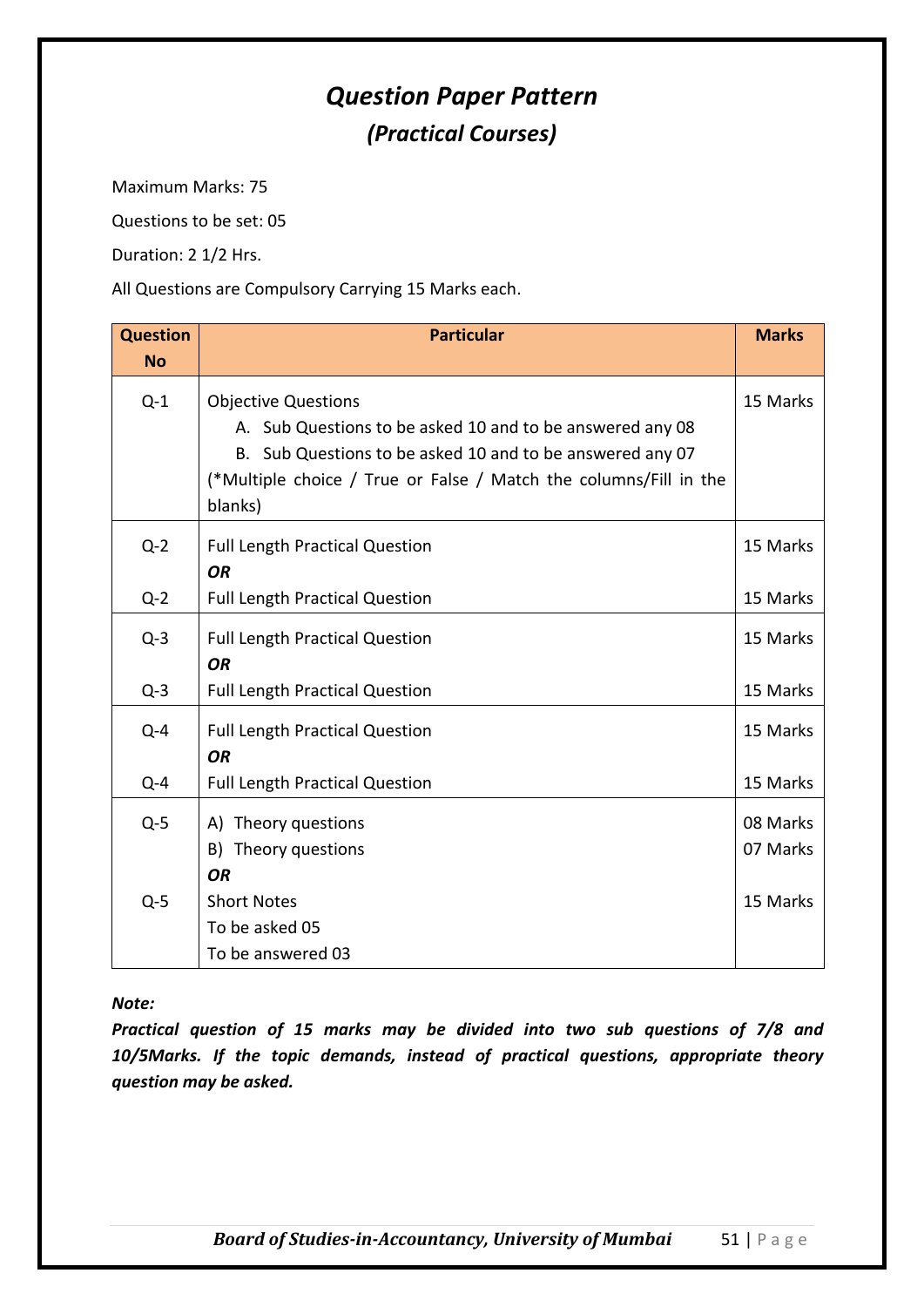## *Question Paper Pattern (Practical Courses)*

Maximum Marks: 75

Questions to be set: 05

Duration: 2 1/2 Hrs.

All Questions are Compulsory Carrying 15 Marks each.

| <b>Question</b><br><b>No</b> | <b>Particular</b>                                                                                                                                                                                                                    | <b>Marks</b>         |
|------------------------------|--------------------------------------------------------------------------------------------------------------------------------------------------------------------------------------------------------------------------------------|----------------------|
| $Q-1$                        | <b>Objective Questions</b><br>A. Sub Questions to be asked 10 and to be answered any 08<br>B. Sub Questions to be asked 10 and to be answered any 07<br>(*Multiple choice / True or False / Match the columns/Fill in the<br>blanks) | 15 Marks             |
| $Q-2$                        | <b>Full Length Practical Question</b><br><b>OR</b>                                                                                                                                                                                   | 15 Marks             |
| $Q-2$                        | <b>Full Length Practical Question</b>                                                                                                                                                                                                | 15 Marks             |
| $Q-3$                        | <b>Full Length Practical Question</b><br><b>OR</b>                                                                                                                                                                                   | 15 Marks             |
| $Q-3$                        | <b>Full Length Practical Question</b>                                                                                                                                                                                                | 15 Marks             |
| $Q - 4$                      | <b>Full Length Practical Question</b><br><b>OR</b>                                                                                                                                                                                   | 15 Marks             |
| $Q - 4$                      | <b>Full Length Practical Question</b>                                                                                                                                                                                                | 15 Marks             |
| $Q-5$                        | A) Theory questions<br>B) Theory questions<br><b>OR</b>                                                                                                                                                                              | 08 Marks<br>07 Marks |
| $Q-5$                        | <b>Short Notes</b><br>To be asked 05<br>To be answered 03                                                                                                                                                                            | 15 Marks             |

*Note:* 

*Practical question of 15 marks may be divided into two sub questions of 7/8 and 10/5Marks. If the topic demands, instead of practical questions, appropriate theory question may be asked.*